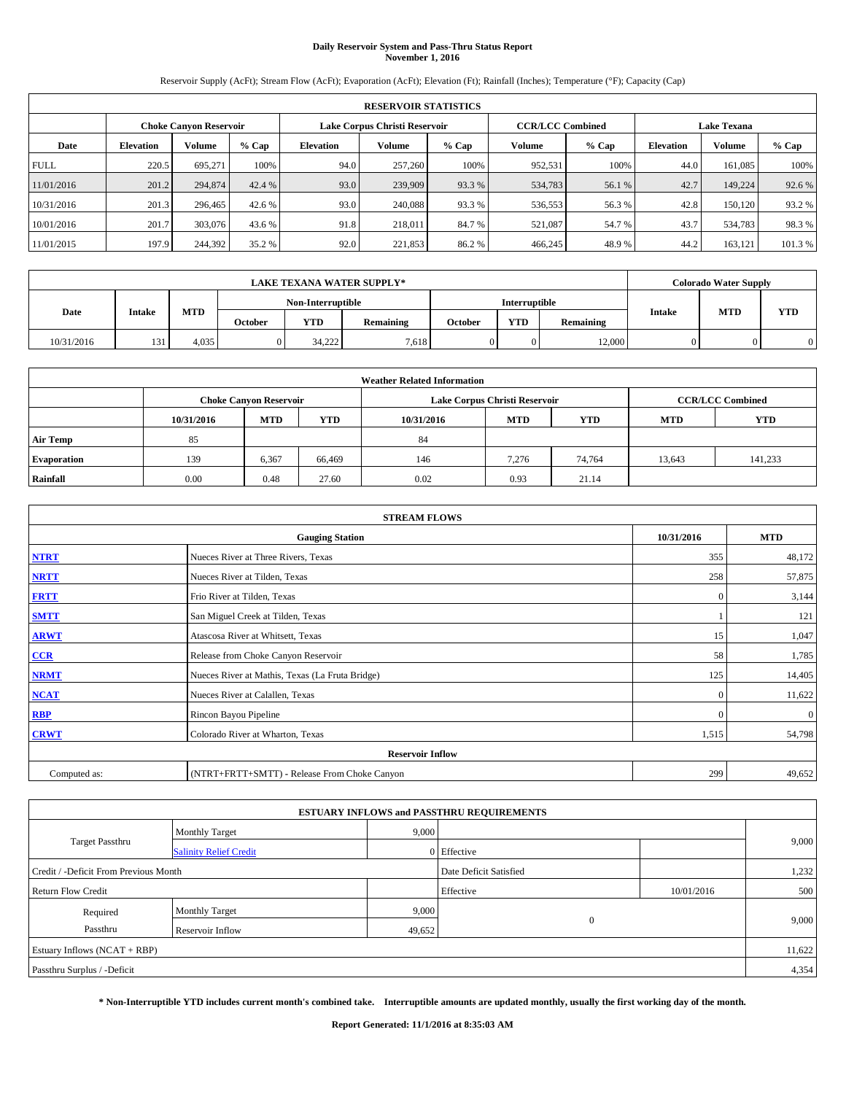## **Daily Reservoir System and Pass-Thru Status Report November 1, 2016**

Reservoir Supply (AcFt); Stream Flow (AcFt); Evaporation (AcFt); Elevation (Ft); Rainfall (Inches); Temperature (°F); Capacity (Cap)

|             | <b>RESERVOIR STATISTICS</b> |                        |         |                  |                               |         |                         |         |                    |               |         |
|-------------|-----------------------------|------------------------|---------|------------------|-------------------------------|---------|-------------------------|---------|--------------------|---------------|---------|
|             |                             | Choke Canvon Reservoir |         |                  | Lake Corpus Christi Reservoir |         | <b>CCR/LCC Combined</b> |         | <b>Lake Texana</b> |               |         |
| Date        | <b>Elevation</b>            | Volume                 | $%$ Cap | <b>Elevation</b> | Volume                        | $%$ Cap | <b>Volume</b>           | $%$ Cap | <b>Elevation</b>   | <b>Volume</b> | % Cap   |
| <b>FULL</b> | 220.5                       | 695.271                | 100%    | 94.0             | 257,260                       | 100%    | 952,531                 | 100%    | 44.0               | 161.085       | 100%    |
| 11/01/2016  | 201.2                       | 294,874                | 42.4 %  | 93.0             | 239,909                       | 93.3 %  | 534,783                 | 56.1 %  | 42.7               | 149,224       | 92.6 %  |
| 10/31/2016  | 201.3                       | 296,465                | 42.6 %  | 93.0             | 240,088                       | 93.3 %  | 536,553                 | 56.3%   | 42.8               | 150.120       | 93.2 %  |
| 10/01/2016  | 201.7                       | 303,076                | 43.6 %  | 91.8             | 218,011                       | 84.7 %  | 521.087                 | 54.7 %  | 43.7               | 534,783       | 98.3%   |
| 11/01/2015  | 197.9                       | 244,392                | 35.2 %  | 92.0             | 221,853                       | 86.2%   | 466,245                 | 48.9%   | 44.2               | 163,121       | 101.3 % |

|            | <b>LAKE TEXANA WATER SUPPLY*</b> |            |                |                   |           |         |                      |           |               | <b>Colorado Water Supply</b> |     |
|------------|----------------------------------|------------|----------------|-------------------|-----------|---------|----------------------|-----------|---------------|------------------------------|-----|
|            |                                  |            |                | Non-Interruptible |           |         | <b>Interruptible</b> |           |               |                              |     |
| Date       | Intake                           | <b>MTD</b> | <b>October</b> | <b>YTD</b>        | Remaining | October | <b>YTD</b>           | Remaining | <b>Intake</b> | <b>MTD</b>                   | YTD |
| 10/31/2016 | 131                              | 4,035      |                | 34.222            | 7.618     |         |                      | 12,000    |               |                              |     |

| <b>Weather Related Information</b> |            |                                                                                  |        |      |                               |                         |        |         |  |  |
|------------------------------------|------------|----------------------------------------------------------------------------------|--------|------|-------------------------------|-------------------------|--------|---------|--|--|
|                                    |            | <b>Choke Canyon Reservoir</b>                                                    |        |      | Lake Corpus Christi Reservoir | <b>CCR/LCC Combined</b> |        |         |  |  |
|                                    | 10/31/2016 | <b>MTD</b><br><b>YTD</b><br><b>MTD</b><br><b>YTD</b><br>10/31/2016<br><b>MTD</b> |        |      |                               |                         |        |         |  |  |
| <b>Air Temp</b>                    | 85         |                                                                                  |        | 84   |                               |                         |        |         |  |  |
| <b>Evaporation</b>                 | 139        | 6,367                                                                            | 66,469 | 146  | 7.276                         | 74.764                  | 13.643 | 141,233 |  |  |
| Rainfall                           | 0.00       | 0.48                                                                             | 27.60  | 0.02 | 0.93                          | 21.14                   |        |         |  |  |

| <b>STREAM FLOWS</b> |                                                 |              |              |  |  |  |  |  |  |
|---------------------|-------------------------------------------------|--------------|--------------|--|--|--|--|--|--|
|                     | <b>Gauging Station</b>                          | 10/31/2016   | <b>MTD</b>   |  |  |  |  |  |  |
| <b>NTRT</b>         | Nueces River at Three Rivers, Texas             | 355          | 48,172       |  |  |  |  |  |  |
| <b>NRTT</b>         | Nueces River at Tilden, Texas                   | 258          | 57,875       |  |  |  |  |  |  |
| <b>FRTT</b>         | Frio River at Tilden, Texas                     | $\mathbf{0}$ | 3,144        |  |  |  |  |  |  |
| <b>SMTT</b>         | San Miguel Creek at Tilden, Texas               |              | 121          |  |  |  |  |  |  |
| <b>ARWT</b>         | Atascosa River at Whitsett, Texas               | 15           | 1,047        |  |  |  |  |  |  |
| $CCR$               | Release from Choke Canyon Reservoir             | 58           | 1,785        |  |  |  |  |  |  |
| <b>NRMT</b>         | Nueces River at Mathis, Texas (La Fruta Bridge) | 125          | 14,405       |  |  |  |  |  |  |
| <b>NCAT</b>         | Nueces River at Calallen, Texas                 | $\mathbf{0}$ | 11,622       |  |  |  |  |  |  |
| RBP                 | Rincon Bayou Pipeline                           | $\Omega$     | $\mathbf{0}$ |  |  |  |  |  |  |
| <b>CRWT</b>         | Colorado River at Wharton, Texas                | 1,515        | 54,798       |  |  |  |  |  |  |
|                     | <b>Reservoir Inflow</b>                         |              |              |  |  |  |  |  |  |
| Computed as:        | (NTRT+FRTT+SMTT) - Release From Choke Canyon    |              |              |  |  |  |  |  |  |

| <b>ESTUARY INFLOWS and PASSTHRU REQUIREMENTS</b> |                               |        |                        |            |       |  |  |  |  |  |
|--------------------------------------------------|-------------------------------|--------|------------------------|------------|-------|--|--|--|--|--|
|                                                  | <b>Monthly Target</b>         | 9,000  |                        |            |       |  |  |  |  |  |
| Target Passthru                                  | <b>Salinity Relief Credit</b> |        | 0 Effective            |            | 9,000 |  |  |  |  |  |
| Credit / -Deficit From Previous Month            |                               |        | Date Deficit Satisfied |            | 1,232 |  |  |  |  |  |
| <b>Return Flow Credit</b>                        |                               |        | Effective              | 10/01/2016 | 500   |  |  |  |  |  |
| Required                                         | Monthly Target                | 9,000  |                        |            |       |  |  |  |  |  |
| Passthru                                         | <b>Reservoir Inflow</b>       | 49,652 | $\Omega$               |            | 9,000 |  |  |  |  |  |
| Estuary Inflows (NCAT + RBP)                     |                               |        |                        |            |       |  |  |  |  |  |
| Passthru Surplus / -Deficit                      |                               |        |                        |            |       |  |  |  |  |  |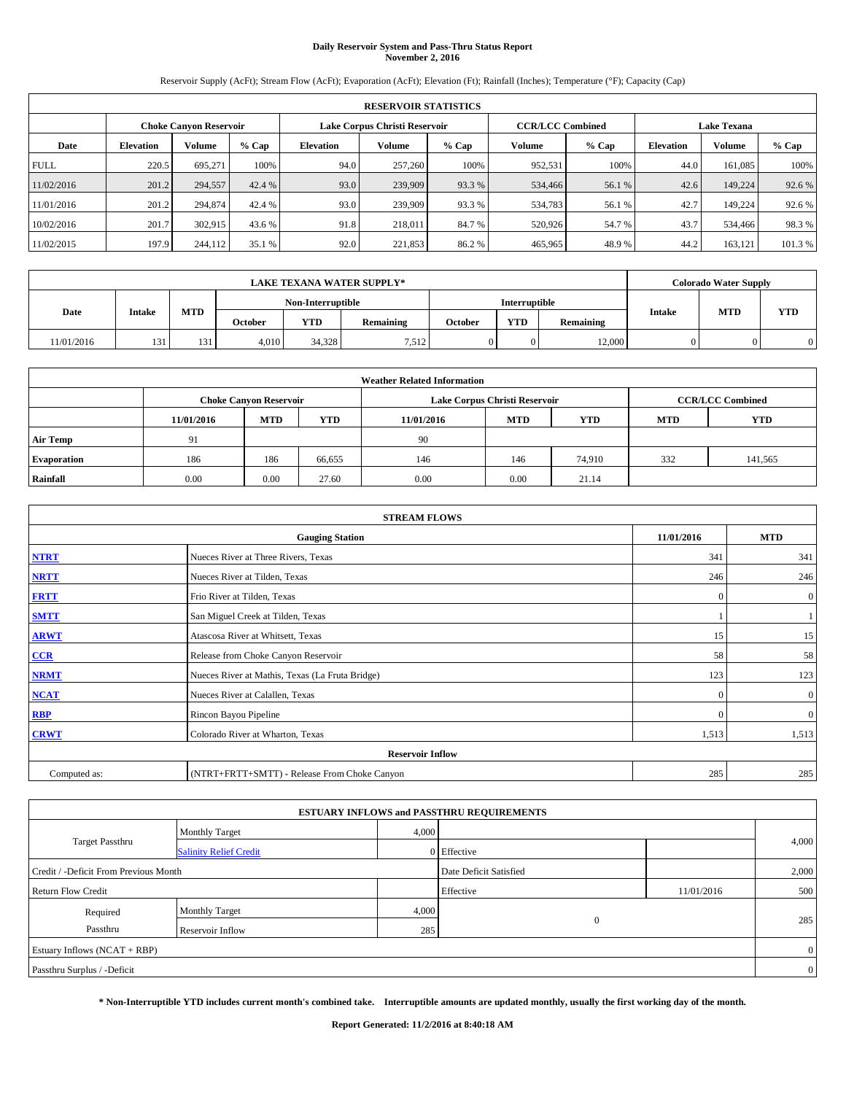## **Daily Reservoir System and Pass-Thru Status Report November 2, 2016**

Reservoir Supply (AcFt); Stream Flow (AcFt); Evaporation (AcFt); Elevation (Ft); Rainfall (Inches); Temperature (°F); Capacity (Cap)

|             | <b>RESERVOIR STATISTICS</b> |                        |         |                  |                               |         |                         |         |                  |               |                    |  |
|-------------|-----------------------------|------------------------|---------|------------------|-------------------------------|---------|-------------------------|---------|------------------|---------------|--------------------|--|
|             |                             | Choke Canvon Reservoir |         |                  | Lake Corpus Christi Reservoir |         | <b>CCR/LCC Combined</b> |         |                  |               | <b>Lake Texana</b> |  |
| Date        | <b>Elevation</b>            | Volume                 | $%$ Cap | <b>Elevation</b> | Volume                        | $%$ Cap | <b>Volume</b>           | $%$ Cap | <b>Elevation</b> | <b>Volume</b> | % Cap              |  |
| <b>FULL</b> | 220.5                       | 695.271                | 100%    | 94.0             | 257,260                       | 100%    | 952,531                 | 100%    | 44.0             | 161.085       | 100%               |  |
| 11/02/2016  | 201.2                       | 294,557                | 42.4 %  | 93.0             | 239,909                       | 93.3 %  | 534,466                 | 56.1 %  | 42.6             | 149,224       | 92.6 %             |  |
| 11/01/2016  | 201.2                       | 294,874                | 42.4 %  | 93.0             | 239,909                       | 93.3 %  | 534,783                 | 56.1 %  | 42.7             | 149.224       | 92.6 %             |  |
| 10/02/2016  | 201.7                       | 302.915                | 43.6 %  | 91.8             | 218,011                       | 84.7 %  | 520,926                 | 54.7 %  | 43.7             | 534,466       | 98.3%              |  |
| 11/02/2015  | 197.9                       | 244,112                | 35.1 %  | 92.0             | 221,853                       | 86.2%   | 465,965                 | 48.9%   | 44.2             | 163,121       | 101.3 %            |  |

|            | <b>LAKE TEXANA WATER SUPPLY*</b> |            |         |                   |           |         |                      |           |               | <b>Colorado Water Supply</b> |            |
|------------|----------------------------------|------------|---------|-------------------|-----------|---------|----------------------|-----------|---------------|------------------------------|------------|
|            |                                  |            |         | Non-Interruptible |           |         | <b>Interruptible</b> |           |               |                              |            |
| Date       | Intake                           | <b>MTD</b> | October | <b>YTD</b>        | Remaining | October | <b>YTD</b>           | Remaining | <b>Intake</b> | <b>MTD</b>                   | <b>YTD</b> |
| 11/01/2016 | 131                              | 131        | 4.010   | 34.328            | 7,512     | 0       | 0.                   | 12,000    |               |                              |            |

| <b>Weather Related Information</b> |                                                                                                |                               |        |      |                               |                         |     |            |  |  |
|------------------------------------|------------------------------------------------------------------------------------------------|-------------------------------|--------|------|-------------------------------|-------------------------|-----|------------|--|--|
|                                    |                                                                                                | <b>Choke Canyon Reservoir</b> |        |      | Lake Corpus Christi Reservoir | <b>CCR/LCC Combined</b> |     |            |  |  |
|                                    | <b>YTD</b><br><b>MTD</b><br><b>MTD</b><br><b>YTD</b><br><b>MTD</b><br>11/01/2016<br>11/01/2016 |                               |        |      |                               |                         |     | <b>YTD</b> |  |  |
| <b>Air Temp</b>                    | 91                                                                                             |                               |        | -90  |                               |                         |     |            |  |  |
| <b>Evaporation</b>                 | 186                                                                                            | 186                           | 66,655 | 146  | 146                           | 74.910                  | 332 | 141,565    |  |  |
| Rainfall                           | 0.00                                                                                           | 0.00                          | 27.60  | 0.00 | 0.00                          | 21.14                   |     |            |  |  |

|              | <b>STREAM FLOWS</b>                             |              |              |  |  |  |  |  |  |  |
|--------------|-------------------------------------------------|--------------|--------------|--|--|--|--|--|--|--|
|              | <b>Gauging Station</b>                          | 11/01/2016   | <b>MTD</b>   |  |  |  |  |  |  |  |
| <b>NTRT</b>  | Nueces River at Three Rivers, Texas             | 341          | 341          |  |  |  |  |  |  |  |
| <b>NRTT</b>  | Nueces River at Tilden, Texas                   | 246          | 246          |  |  |  |  |  |  |  |
| <b>FRTT</b>  | Frio River at Tilden, Texas                     | $\mathbf{0}$ | $\mathbf{0}$ |  |  |  |  |  |  |  |
| <b>SMTT</b>  | San Miguel Creek at Tilden, Texas               |              |              |  |  |  |  |  |  |  |
| <b>ARWT</b>  | Atascosa River at Whitsett, Texas               | 15           | 15           |  |  |  |  |  |  |  |
| $CCR$        | Release from Choke Canyon Reservoir             | 58           | 58           |  |  |  |  |  |  |  |
| <b>NRMT</b>  | Nueces River at Mathis, Texas (La Fruta Bridge) | 123          | 123          |  |  |  |  |  |  |  |
| <b>NCAT</b>  | Nueces River at Calallen, Texas                 | $\mathbf{0}$ | $\mathbf{0}$ |  |  |  |  |  |  |  |
| RBP          | Rincon Bayou Pipeline                           | $\Omega$     | $\mathbf{0}$ |  |  |  |  |  |  |  |
| <b>CRWT</b>  | Colorado River at Wharton, Texas                | 1,513        | 1,513        |  |  |  |  |  |  |  |
|              | <b>Reservoir Inflow</b>                         |              |              |  |  |  |  |  |  |  |
| Computed as: | (NTRT+FRTT+SMTT) - Release From Choke Canyon    | 285          | 285          |  |  |  |  |  |  |  |

| <b>ESTUARY INFLOWS and PASSTHRU REQUIREMENTS</b> |                               |                        |              |            |       |  |  |  |  |  |
|--------------------------------------------------|-------------------------------|------------------------|--------------|------------|-------|--|--|--|--|--|
|                                                  | Monthly Target                | 4,000                  |              |            |       |  |  |  |  |  |
| <b>Target Passthru</b>                           | <b>Salinity Relief Credit</b> |                        | 0 Effective  |            | 4,000 |  |  |  |  |  |
| Credit / -Deficit From Previous Month            |                               | Date Deficit Satisfied |              | 2,000      |       |  |  |  |  |  |
| <b>Return Flow Credit</b>                        |                               |                        | Effective    | 11/01/2016 | 500   |  |  |  |  |  |
| Required                                         | <b>Monthly Target</b>         | 4,000                  |              |            |       |  |  |  |  |  |
| Passthru                                         | Reservoir Inflow              | 285                    | $\mathbf{0}$ |            | 285   |  |  |  |  |  |
| Estuary Inflows (NCAT + RBP)                     |                               |                        |              |            |       |  |  |  |  |  |
| Passthru Surplus / -Deficit                      |                               |                        |              |            |       |  |  |  |  |  |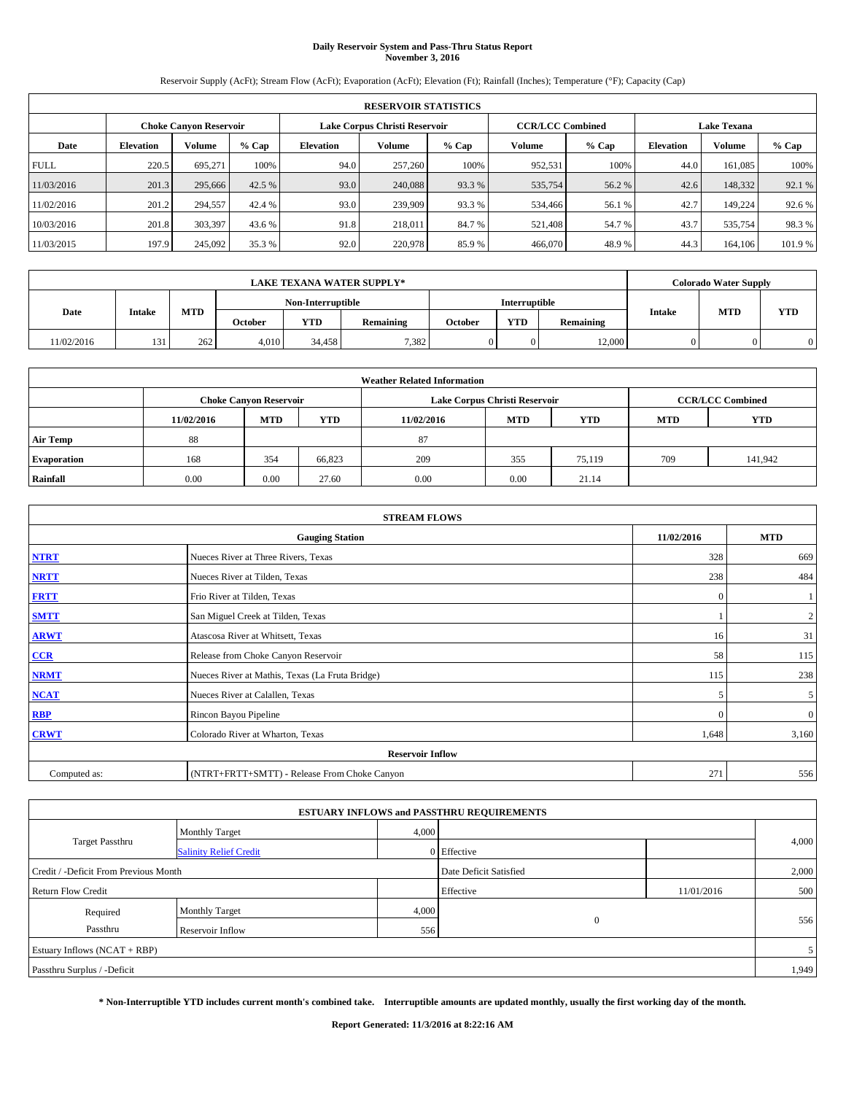### **Daily Reservoir System and Pass-Thru Status Report November 3, 2016**

Reservoir Supply (AcFt); Stream Flow (AcFt); Evaporation (AcFt); Elevation (Ft); Rainfall (Inches); Temperature (°F); Capacity (Cap)

|             | <b>RESERVOIR STATISTICS</b> |                               |         |           |                               |         |                         |         |                  |               |                    |  |
|-------------|-----------------------------|-------------------------------|---------|-----------|-------------------------------|---------|-------------------------|---------|------------------|---------------|--------------------|--|
|             |                             | <b>Choke Canyon Reservoir</b> |         |           | Lake Corpus Christi Reservoir |         | <b>CCR/LCC Combined</b> |         |                  |               | <b>Lake Texana</b> |  |
| Date        | <b>Elevation</b>            | Volume                        | $%$ Cap | Elevation | Volume                        | $%$ Cap | Volume                  | $%$ Cap | <b>Elevation</b> | <b>Volume</b> | % Cap              |  |
| <b>FULL</b> | 220.5                       | 695.271                       | 100%    | 94.0      | 257,260                       | 100%    | 952,531                 | 100%    | 44.0             | 161.085       | 100%               |  |
| 11/03/2016  | 201.3                       | 295,666                       | 42.5 %  | 93.0      | 240,088                       | 93.3 %  | 535,754                 | 56.2 %  | 42.6             | 148,332       | 92.1 %             |  |
| 11/02/2016  | 201.2                       | 294,557                       | 42.4 %  | 93.0      | 239,909                       | 93.3 %  | 534,466                 | 56.1 %  | 42.7             | 149.224       | 92.6 %             |  |
| 10/03/2016  | 201.8                       | 303,397                       | 43.6 %  | 91.8      | 218,011                       | 84.7 %  | 521,408                 | 54.7 %  | 43.7             | 535,754       | 98.3%              |  |
| 11/03/2015  | 197.9                       | 245,092                       | 35.3 %  | 92.0      | 220,978                       | 85.9%   | 466,070                 | 48.9%   | 44.3             | 164,106       | 101.9%             |  |

|            | <b>LAKE TEXANA WATER SUPPLY*</b> |            |         |                   |           |         |                      |           |               | <b>Colorado Water Supply</b> |            |
|------------|----------------------------------|------------|---------|-------------------|-----------|---------|----------------------|-----------|---------------|------------------------------|------------|
|            |                                  |            |         | Non-Interruptible |           |         | <b>Interruptible</b> |           |               | <b>MTD</b>                   |            |
| Date       | Intake                           | <b>MTD</b> | October | <b>YTD</b>        | Remaining | October | <b>YTD</b>           | Remaining | <b>Intake</b> |                              | <b>YTD</b> |
| 11/02/2016 | 131                              | 262        | 4.010   | 34.458            | 7.382     | 0       | 0.                   | 12,000    |               |                              |            |

| <b>Weather Related Information</b> |            |                               |            |            |                               |                         |            |            |  |
|------------------------------------|------------|-------------------------------|------------|------------|-------------------------------|-------------------------|------------|------------|--|
|                                    |            | <b>Choke Canyon Reservoir</b> |            |            | Lake Corpus Christi Reservoir | <b>CCR/LCC Combined</b> |            |            |  |
|                                    | 11/02/2016 | <b>MTD</b>                    | <b>YTD</b> | 11/02/2016 | <b>MTD</b>                    | <b>YTD</b>              | <b>MTD</b> | <b>YTD</b> |  |
| <b>Air Temp</b>                    | 88         |                               |            | 87         |                               |                         |            |            |  |
| <b>Evaporation</b>                 | 168        | 354                           | 66,823     | 209        | 355                           | 75.119                  | 709        | 141,942    |  |
| Rainfall                           | 0.00       | 0.00                          | 27.60      | 0.00       | 0.00                          | 21.14                   |            |            |  |

| <b>STREAM FLOWS</b> |                                                 |              |                  |  |  |  |  |  |  |
|---------------------|-------------------------------------------------|--------------|------------------|--|--|--|--|--|--|
|                     | 11/02/2016                                      | <b>MTD</b>   |                  |  |  |  |  |  |  |
| <b>NTRT</b>         | Nueces River at Three Rivers, Texas             | 328          | 669              |  |  |  |  |  |  |
| <b>NRTT</b>         | Nueces River at Tilden, Texas                   | 238          | 484              |  |  |  |  |  |  |
| <b>FRTT</b>         | Frio River at Tilden, Texas                     | $\mathbf{0}$ |                  |  |  |  |  |  |  |
| <b>SMTT</b>         | San Miguel Creek at Tilden, Texas               |              | $\boldsymbol{2}$ |  |  |  |  |  |  |
| <b>ARWT</b>         | Atascosa River at Whitsett, Texas               | 16           | 31               |  |  |  |  |  |  |
| $CCR$               | Release from Choke Canyon Reservoir             | 58           | 115              |  |  |  |  |  |  |
| <b>NRMT</b>         | Nueces River at Mathis, Texas (La Fruta Bridge) | 115          | 238              |  |  |  |  |  |  |
| <b>NCAT</b>         | Nueces River at Calallen, Texas                 | 5            | 5                |  |  |  |  |  |  |
| RBP                 | Rincon Bayou Pipeline                           | $\Omega$     | $\mathbf{0}$     |  |  |  |  |  |  |
| <b>CRWT</b>         | Colorado River at Wharton, Texas                | 1,648        | 3,160            |  |  |  |  |  |  |
|                     | <b>Reservoir Inflow</b>                         |              |                  |  |  |  |  |  |  |
| Computed as:        | 271                                             | 556          |                  |  |  |  |  |  |  |

|                                       |                               |       | <b>ESTUARY INFLOWS and PASSTHRU REQUIREMENTS</b> |            |       |  |  |  |
|---------------------------------------|-------------------------------|-------|--------------------------------------------------|------------|-------|--|--|--|
|                                       | Monthly Target                | 4,000 |                                                  |            |       |  |  |  |
| <b>Target Passthru</b>                | <b>Salinity Relief Credit</b> |       | 0 Effective                                      |            | 4,000 |  |  |  |
| Credit / -Deficit From Previous Month |                               |       | Date Deficit Satisfied                           |            | 2,000 |  |  |  |
| <b>Return Flow Credit</b>             |                               |       | Effective                                        | 11/01/2016 | 500   |  |  |  |
| Required                              | <b>Monthly Target</b>         | 4,000 |                                                  |            |       |  |  |  |
| Passthru                              | Reservoir Inflow              | 556   | $\theta$                                         |            | 556   |  |  |  |
| Estuary Inflows $(NCAT + RBP)$        |                               |       |                                                  |            |       |  |  |  |
| Passthru Surplus / -Deficit           |                               |       |                                                  |            | 1,949 |  |  |  |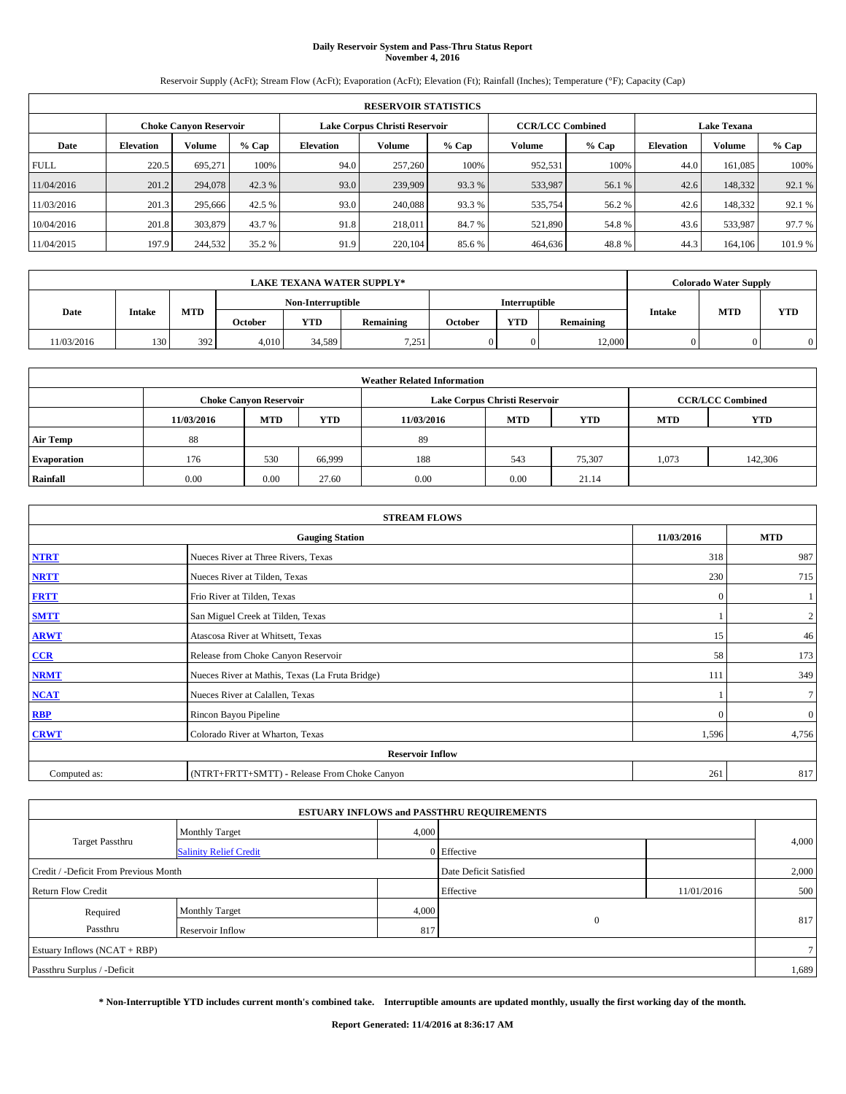### **Daily Reservoir System and Pass-Thru Status Report November 4, 2016**

Reservoir Supply (AcFt); Stream Flow (AcFt); Evaporation (AcFt); Elevation (Ft); Rainfall (Inches); Temperature (°F); Capacity (Cap)

|             | <b>RESERVOIR STATISTICS</b> |                               |         |           |                               |         |                         |         |                  |                    |        |
|-------------|-----------------------------|-------------------------------|---------|-----------|-------------------------------|---------|-------------------------|---------|------------------|--------------------|--------|
|             |                             | <b>Choke Canyon Reservoir</b> |         |           | Lake Corpus Christi Reservoir |         | <b>CCR/LCC Combined</b> |         |                  | <b>Lake Texana</b> |        |
| Date        | <b>Elevation</b>            | Volume                        | $%$ Cap | Elevation | Volume                        | $%$ Cap | Volume                  | $%$ Cap | <b>Elevation</b> | <b>Volume</b>      | % Cap  |
| <b>FULL</b> | 220.5                       | 695.271                       | 100%    | 94.0      | 257,260                       | 100%    | 952,531                 | 100%    | 44.0             | 161.085            | 100%   |
| 11/04/2016  | 201.2                       | 294,078                       | 42.3 %  | 93.0      | 239,909                       | 93.3 %  | 533,987                 | 56.1 %  | 42.6             | 148,332            | 92.1 % |
| 11/03/2016  | 201.3                       | 295,666                       | 42.5 %  | 93.0      | 240,088                       | 93.3 %  | 535,754                 | 56.2%   | 42.6             | 148,332            | 92.1 % |
| 10/04/2016  | 201.8                       | 303,879                       | 43.7 %  | 91.8      | 218,011                       | 84.7 %  | 521,890                 | 54.8%   | 43.6             | 533,987            | 97.7 % |
| 11/04/2015  | 197.9                       | 244,532                       | 35.2 %  | 91.9      | 220,104                       | 85.6%   | 464,636                 | 48.8%   | 44.3             | 164,106            | 101.9% |

|            | <b>LAKE TEXANA WATER SUPPLY*</b> |        |       |                   |         |            |               |         |            |           | <b>Colorado Water Supply</b> |            |            |
|------------|----------------------------------|--------|-------|-------------------|---------|------------|---------------|---------|------------|-----------|------------------------------|------------|------------|
|            |                                  |        |       | Non-Interruptible |         |            | Interruptible |         |            |           |                              |            |            |
| Date       |                                  | Intake |       | <b>MTD</b>        | October | <b>YTD</b> | Remaining     | October | <b>YTD</b> | Remaining | <b>Intake</b>                | <b>MTD</b> | <b>YTD</b> |
| 11/03/2016 | 130                              | 392    | 4.010 | 34.589            | 7,251   | 0          | 0.            | 12,000  |            |           |                              |            |            |

| <b>Weather Related Information</b> |            |                               |            |            |                               |                         |            |         |  |
|------------------------------------|------------|-------------------------------|------------|------------|-------------------------------|-------------------------|------------|---------|--|
|                                    |            | <b>Choke Canyon Reservoir</b> |            |            | Lake Corpus Christi Reservoir | <b>CCR/LCC Combined</b> |            |         |  |
|                                    | 11/03/2016 | <b>MTD</b>                    | <b>YTD</b> | 11/03/2016 | <b>MTD</b>                    | <b>MTD</b>              | <b>YTD</b> |         |  |
| <b>Air Temp</b>                    | 88         |                               |            | 89         |                               |                         |            |         |  |
| <b>Evaporation</b>                 | 176        | 530                           | 66,999     | 188        | 543                           | 75.307                  | 1,073      | 142,306 |  |
| Rainfall                           | 0.00       | 0.00                          | 27.60      | 0.00       | 0.00                          | 21.14                   |            |         |  |

| <b>STREAM FLOWS</b> |                                                 |              |                |  |  |  |  |  |  |
|---------------------|-------------------------------------------------|--------------|----------------|--|--|--|--|--|--|
|                     | 11/03/2016                                      | <b>MTD</b>   |                |  |  |  |  |  |  |
| <b>NTRT</b>         | Nueces River at Three Rivers, Texas             | 318          | 987            |  |  |  |  |  |  |
| <b>NRTT</b>         | Nueces River at Tilden, Texas                   | 230          | 715            |  |  |  |  |  |  |
| <b>FRTT</b>         | Frio River at Tilden, Texas                     | $\mathbf{0}$ |                |  |  |  |  |  |  |
| <b>SMTT</b>         | San Miguel Creek at Tilden, Texas               |              | $\overline{c}$ |  |  |  |  |  |  |
| <b>ARWT</b>         | Atascosa River at Whitsett, Texas               | 15           | 46             |  |  |  |  |  |  |
| $CCR$               | Release from Choke Canyon Reservoir             | 58           | 173            |  |  |  |  |  |  |
| <b>NRMT</b>         | Nueces River at Mathis, Texas (La Fruta Bridge) | 111          | 349            |  |  |  |  |  |  |
| <b>NCAT</b>         | Nueces River at Calallen, Texas                 |              | $\tau$         |  |  |  |  |  |  |
| RBP                 | Rincon Bayou Pipeline                           | $\mathbf{0}$ | $\mathbf{0}$   |  |  |  |  |  |  |
| <b>CRWT</b>         | Colorado River at Wharton, Texas                | 1,596        | 4,756          |  |  |  |  |  |  |
|                     | <b>Reservoir Inflow</b>                         |              |                |  |  |  |  |  |  |
| Computed as:        | 261                                             | 817          |                |  |  |  |  |  |  |

|                                       |                               |       | <b>ESTUARY INFLOWS and PASSTHRU REQUIREMENTS</b> |            |                |
|---------------------------------------|-------------------------------|-------|--------------------------------------------------|------------|----------------|
|                                       | <b>Monthly Target</b>         | 4,000 |                                                  |            |                |
| <b>Target Passthru</b>                | <b>Salinity Relief Credit</b> |       | 0 Effective                                      |            | 4,000          |
| Credit / -Deficit From Previous Month |                               |       | Date Deficit Satisfied                           |            | 2,000          |
| <b>Return Flow Credit</b>             |                               |       | Effective                                        | 11/01/2016 | 500            |
| Required                              | <b>Monthly Target</b>         | 4,000 |                                                  |            |                |
| Passthru                              | Reservoir Inflow              | 817   | $\theta$                                         |            | 817            |
| Estuary Inflows (NCAT + RBP)          |                               |       |                                                  |            | 7 <sup>1</sup> |
| Passthru Surplus / -Deficit           |                               |       |                                                  |            | 1,689          |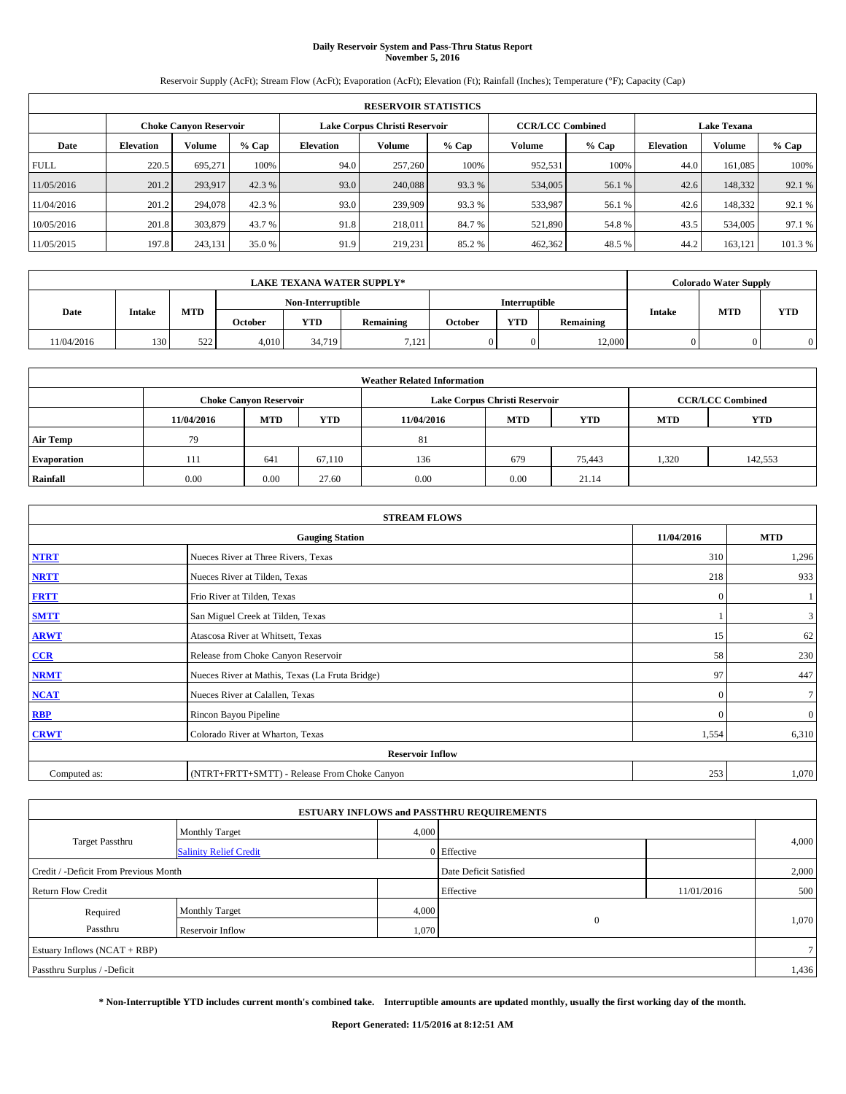## **Daily Reservoir System and Pass-Thru Status Report November 5, 2016**

Reservoir Supply (AcFt); Stream Flow (AcFt); Evaporation (AcFt); Elevation (Ft); Rainfall (Inches); Temperature (°F); Capacity (Cap)

|             | <b>RESERVOIR STATISTICS</b> |                               |         |           |                               |         |                         |         |                  |                    |         |  |
|-------------|-----------------------------|-------------------------------|---------|-----------|-------------------------------|---------|-------------------------|---------|------------------|--------------------|---------|--|
|             |                             | <b>Choke Canyon Reservoir</b> |         |           | Lake Corpus Christi Reservoir |         | <b>CCR/LCC Combined</b> |         |                  | <b>Lake Texana</b> |         |  |
| Date        | <b>Elevation</b>            | Volume                        | $%$ Cap | Elevation | Volume                        | $%$ Cap | Volume                  | $%$ Cap | <b>Elevation</b> | <b>Volume</b>      | % Cap   |  |
| <b>FULL</b> | 220.5                       | 695.271                       | 100%    | 94.0      | 257,260                       | 100%    | 952,531                 | 100%    | 44.0             | 161.085            | 100%    |  |
| 11/05/2016  | 201.2                       | 293,917                       | 42.3 %  | 93.0      | 240,088                       | 93.3 %  | 534,005                 | 56.1 %  | 42.6             | 148,332            | 92.1 %  |  |
| 11/04/2016  | 201.2                       | 294,078                       | 42.3 %  | 93.0      | 239,909                       | 93.3 %  | 533,987                 | 56.1 %  | 42.6             | 148,332            | 92.1 %  |  |
| 10/05/2016  | 201.8                       | 303,879                       | 43.7 %  | 91.8      | 218,011                       | 84.7 %  | 521,890                 | 54.8%   | 43.5             | 534,005            | 97.1 %  |  |
| 11/05/2015  | 197.8                       | 243,131                       | 35.0 %  | 91.9      | 219.231                       | 85.2%   | 462,362                 | 48.5 %  | 44.2             | 163,121            | 101.3 % |  |

| <b>LAKE TEXANA WATER SUPPLY*</b> |        |            |         |                   |           |         |               |           |               | <b>Colorado Water Supply</b> |            |
|----------------------------------|--------|------------|---------|-------------------|-----------|---------|---------------|-----------|---------------|------------------------------|------------|
|                                  |        |            |         | Non-Interruptible |           |         | Interruptible |           |               |                              |            |
| Date                             | Intake | <b>MTD</b> | October | <b>YTD</b>        | Remaining | October | <b>YTD</b>    | Remaining | <b>Intake</b> | <b>MTD</b>                   | <b>YTD</b> |
| 11/04/2016                       | 130    | 522<br>ے د | 4.010   | 34,719            | 7.121     | 0       | 0.            | 12,000    |               |                              |            |

| <b>Weather Related Information</b> |            |                               |            |            |                               |                         |            |            |  |
|------------------------------------|------------|-------------------------------|------------|------------|-------------------------------|-------------------------|------------|------------|--|
|                                    |            | <b>Choke Canyon Reservoir</b> |            |            | Lake Corpus Christi Reservoir | <b>CCR/LCC Combined</b> |            |            |  |
|                                    | 11/04/2016 | <b>MTD</b>                    | <b>YTD</b> | 11/04/2016 | <b>MTD</b>                    | <b>YTD</b>              | <b>MTD</b> | <b>YTD</b> |  |
| <b>Air Temp</b>                    | 79         |                               |            | 81         |                               |                         |            |            |  |
| <b>Evaporation</b>                 | 111        | 641                           | 67.110     | 136        | 679                           | 75,443                  | 1,320      | 142,553    |  |
| Rainfall                           | 0.00       | 0.00                          | 27.60      | 0.00       | 0.00                          | 21.14                   |            |            |  |

| <b>STREAM FLOWS</b> |                                                 |              |              |  |  |  |  |  |  |
|---------------------|-------------------------------------------------|--------------|--------------|--|--|--|--|--|--|
|                     | 11/04/2016                                      | <b>MTD</b>   |              |  |  |  |  |  |  |
| <b>NTRT</b>         | Nueces River at Three Rivers, Texas             | 310          | 1,296        |  |  |  |  |  |  |
| <b>NRTT</b>         | Nueces River at Tilden, Texas                   | 218          | 933          |  |  |  |  |  |  |
| <b>FRTT</b>         | Frio River at Tilden, Texas                     | $\mathbf{0}$ |              |  |  |  |  |  |  |
| <b>SMTT</b>         | San Miguel Creek at Tilden, Texas               |              | 3            |  |  |  |  |  |  |
| <b>ARWT</b>         | Atascosa River at Whitsett, Texas               | 15           | 62           |  |  |  |  |  |  |
| CCR                 | Release from Choke Canyon Reservoir             | 58           | 230          |  |  |  |  |  |  |
| <b>NRMT</b>         | Nueces River at Mathis, Texas (La Fruta Bridge) | 97           | 447          |  |  |  |  |  |  |
| <b>NCAT</b>         | Nueces River at Calallen, Texas                 | $\Omega$     | $\tau$       |  |  |  |  |  |  |
| <b>RBP</b>          | Rincon Bayou Pipeline                           | $\Omega$     | $\mathbf{0}$ |  |  |  |  |  |  |
| <b>CRWT</b>         | Colorado River at Wharton, Texas                | 1,554        | 6,310        |  |  |  |  |  |  |
|                     |                                                 |              |              |  |  |  |  |  |  |
| Computed as:        | 253                                             | 1,070        |              |  |  |  |  |  |  |

| <b>ESTUARY INFLOWS and PASSTHRU REQUIREMENTS</b> |                               |       |                        |            |       |  |  |  |  |  |
|--------------------------------------------------|-------------------------------|-------|------------------------|------------|-------|--|--|--|--|--|
|                                                  | <b>Monthly Target</b>         | 4,000 |                        |            |       |  |  |  |  |  |
| <b>Target Passthru</b>                           | <b>Salinity Relief Credit</b> |       | 0 Effective            |            | 4,000 |  |  |  |  |  |
| Credit / -Deficit From Previous Month            |                               |       | Date Deficit Satisfied |            | 2,000 |  |  |  |  |  |
| <b>Return Flow Credit</b>                        |                               |       | Effective              | 11/01/2016 | 500   |  |  |  |  |  |
| Required                                         | Monthly Target                | 4,000 |                        |            |       |  |  |  |  |  |
| Passthru                                         | Reservoir Inflow              | 1,070 | $\mathbf{0}$           |            | 1,070 |  |  |  |  |  |
| Estuary Inflows (NCAT + RBP)                     |                               |       |                        |            |       |  |  |  |  |  |
| Passthru Surplus / -Deficit                      |                               |       |                        |            | 1,436 |  |  |  |  |  |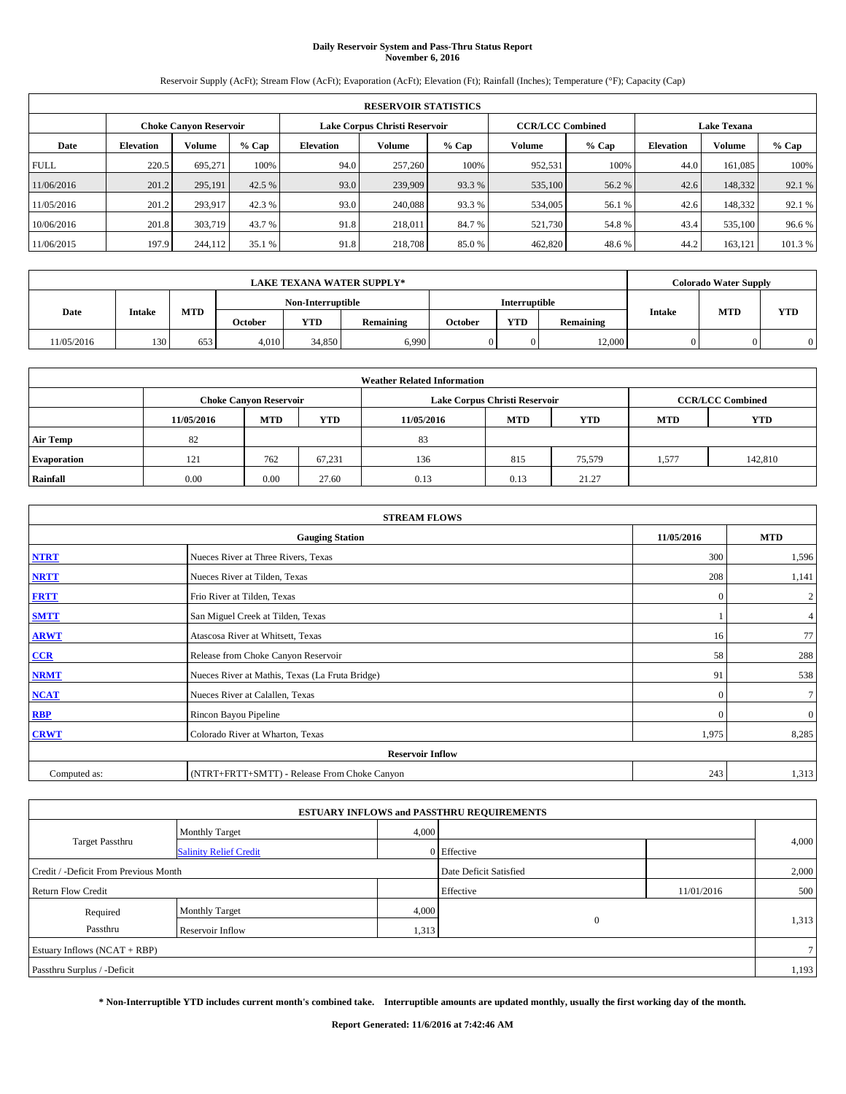#### **Daily Reservoir System and Pass-Thru Status Report November 6, 2016**

Reservoir Supply (AcFt); Stream Flow (AcFt); Evaporation (AcFt); Elevation (Ft); Rainfall (Inches); Temperature (°F); Capacity (Cap)

|             | <b>RESERVOIR STATISTICS</b> |                               |         |           |                               |         |                                               |         |                  |               |         |
|-------------|-----------------------------|-------------------------------|---------|-----------|-------------------------------|---------|-----------------------------------------------|---------|------------------|---------------|---------|
|             |                             | <b>Choke Canyon Reservoir</b> |         |           | Lake Corpus Christi Reservoir |         | <b>CCR/LCC Combined</b><br><b>Lake Texana</b> |         |                  |               |         |
| Date        | <b>Elevation</b>            | Volume                        | $%$ Cap | Elevation | Volume                        | $%$ Cap | Volume                                        | $%$ Cap | <b>Elevation</b> | <b>Volume</b> | % Cap   |
| <b>FULL</b> | 220.5                       | 695.271                       | 100%    | 94.0      | 257,260                       | 100%    | 952,531                                       | 100%    | 44.0             | 161.085       | 100%    |
| 11/06/2016  | 201.2                       | 295,191                       | 42.5 %  | 93.0      | 239,909                       | 93.3 %  | 535,100                                       | 56.2 %  | 42.6             | 148,332       | 92.1 %  |
| 11/05/2016  | 201.2                       | 293,917                       | 42.3 %  | 93.0      | 240,088                       | 93.3 %  | 534,005                                       | 56.1 %  | 42.6             | 148,332       | 92.1 %  |
| 10/06/2016  | 201.8                       | 303,719                       | 43.7 %  | 91.8      | 218,011                       | 84.7 %  | 521,730                                       | 54.8%   | 43.4             | 535,100       | 96.6%   |
| 11/06/2015  | 197.9                       | 244,112                       | 35.1 %  | 91.8      | 218,708                       | 85.0%   | 462,820                                       | 48.6%   | 44.2             | 163,121       | 101.3 % |

|            |        |            |                   |            | <b>LAKE TEXANA WATER SUPPLY*</b> |         |            |           |               | <b>Colorado Water Supply</b> |            |
|------------|--------|------------|-------------------|------------|----------------------------------|---------|------------|-----------|---------------|------------------------------|------------|
|            |        |            | Non-Interruptible |            | <b>Interruptible</b>             |         |            |           |               |                              |            |
| Date       | Intake | <b>MTD</b> | October           | <b>YTD</b> | Remaining                        | October | <b>YTD</b> | Remaining | <b>Intake</b> | <b>MTD</b>                   | <b>YTD</b> |
| 11/05/2016 | 130    | 653        | 4.010             | 34,850     | 6,990                            | 0       | 0.         | 12,000    |               |                              |            |

| <b>Weather Related Information</b> |            |                                                                                  |        |      |                               |        |                         |         |  |  |
|------------------------------------|------------|----------------------------------------------------------------------------------|--------|------|-------------------------------|--------|-------------------------|---------|--|--|
|                                    |            | <b>Choke Canyon Reservoir</b>                                                    |        |      | Lake Corpus Christi Reservoir |        | <b>CCR/LCC Combined</b> |         |  |  |
|                                    | 11/05/2016 | <b>YTD</b><br><b>MTD</b><br><b>MTD</b><br><b>YTD</b><br><b>MTD</b><br>11/05/2016 |        |      |                               |        |                         |         |  |  |
| <b>Air Temp</b>                    | 82         |                                                                                  |        | 83   |                               |        |                         |         |  |  |
| <b>Evaporation</b>                 | 121        | 762                                                                              | 67,231 | 136  | 815                           | 75,579 | 1,577                   | 142,810 |  |  |
| Rainfall                           | 0.00       | 0.00                                                                             | 27.60  | 0.13 | 0.13                          | 21.27  |                         |         |  |  |

|              | <b>STREAM FLOWS</b>                             |              |                  |  |  |  |  |  |  |  |
|--------------|-------------------------------------------------|--------------|------------------|--|--|--|--|--|--|--|
|              | <b>Gauging Station</b>                          | 11/05/2016   | <b>MTD</b>       |  |  |  |  |  |  |  |
| <b>NTRT</b>  | Nueces River at Three Rivers, Texas             | 300          | 1,596            |  |  |  |  |  |  |  |
| <b>NRTT</b>  | Nueces River at Tilden, Texas                   | 208          | 1,141            |  |  |  |  |  |  |  |
| <b>FRTT</b>  | Frio River at Tilden, Texas                     | $\mathbf{0}$ | $\boldsymbol{2}$ |  |  |  |  |  |  |  |
| <b>SMTT</b>  | San Miguel Creek at Tilden, Texas               |              | $\overline{4}$   |  |  |  |  |  |  |  |
| <b>ARWT</b>  | Atascosa River at Whitsett, Texas               | 16           | 77               |  |  |  |  |  |  |  |
| $CCR$        | Release from Choke Canyon Reservoir             | 58           | 288              |  |  |  |  |  |  |  |
| <b>NRMT</b>  | Nueces River at Mathis, Texas (La Fruta Bridge) | 91           | 538              |  |  |  |  |  |  |  |
| <b>NCAT</b>  | Nueces River at Calallen, Texas                 | $\mathbf{0}$ | 7 <sub>l</sub>   |  |  |  |  |  |  |  |
| RBP          | Rincon Bayou Pipeline                           | $\Omega$     | $\mathbf{0}$     |  |  |  |  |  |  |  |
| <b>CRWT</b>  | Colorado River at Wharton, Texas                | 1,975        | 8,285            |  |  |  |  |  |  |  |
|              | <b>Reservoir Inflow</b>                         |              |                  |  |  |  |  |  |  |  |
| Computed as: | (NTRT+FRTT+SMTT) - Release From Choke Canyon    | 243          | 1,313            |  |  |  |  |  |  |  |

| <b>ESTUARY INFLOWS and PASSTHRU REQUIREMENTS</b> |                               |       |                        |            |       |  |  |  |  |  |
|--------------------------------------------------|-------------------------------|-------|------------------------|------------|-------|--|--|--|--|--|
|                                                  | Monthly Target                | 4,000 |                        |            |       |  |  |  |  |  |
| <b>Target Passthru</b>                           | <b>Salinity Relief Credit</b> |       | 0 Effective            |            | 4,000 |  |  |  |  |  |
| Credit / -Deficit From Previous Month            |                               |       | Date Deficit Satisfied |            | 2,000 |  |  |  |  |  |
| <b>Return Flow Credit</b>                        |                               |       | Effective              | 11/01/2016 | 500   |  |  |  |  |  |
| Required                                         | <b>Monthly Target</b>         | 4,000 |                        |            |       |  |  |  |  |  |
| Passthru                                         | Reservoir Inflow              | 1,313 | $\theta$               |            | 1,313 |  |  |  |  |  |
| Estuary Inflows (NCAT + RBP)                     |                               |       |                        |            |       |  |  |  |  |  |
| Passthru Surplus / -Deficit                      |                               |       |                        |            | 1,193 |  |  |  |  |  |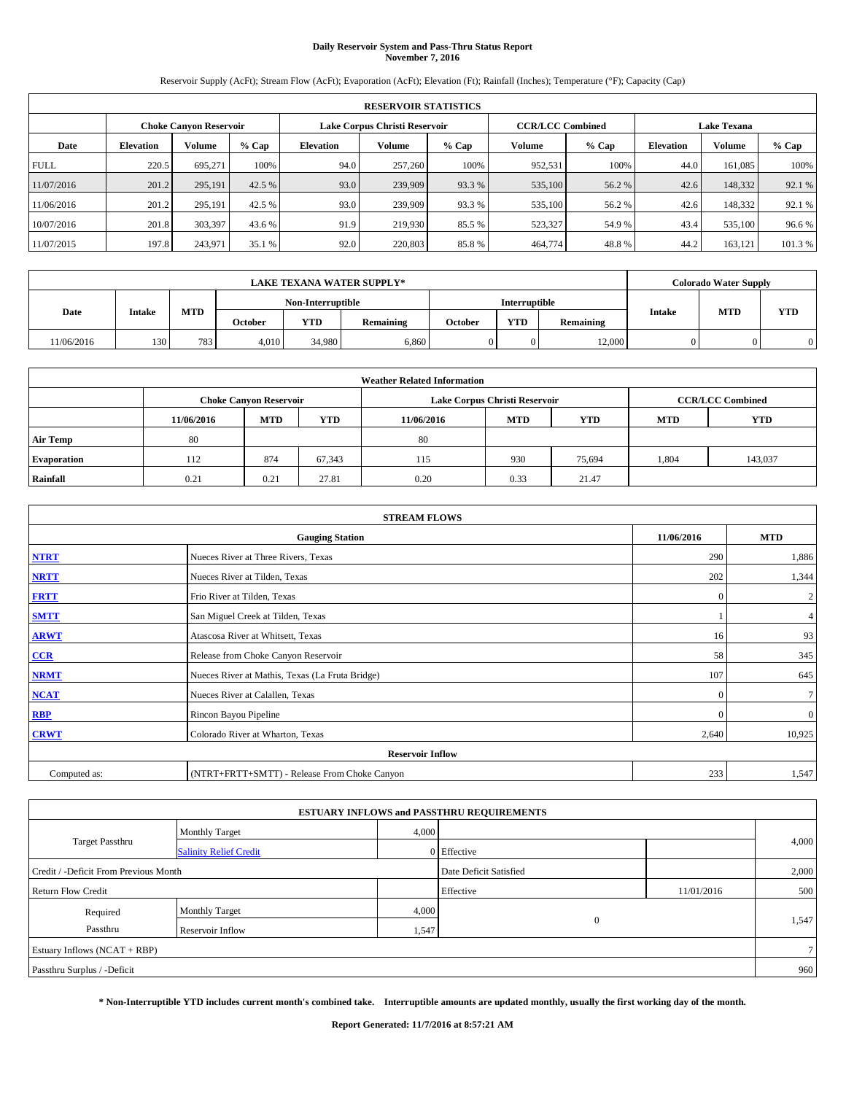## **Daily Reservoir System and Pass-Thru Status Report November 7, 2016**

Reservoir Supply (AcFt); Stream Flow (AcFt); Evaporation (AcFt); Elevation (Ft); Rainfall (Inches); Temperature (°F); Capacity (Cap)

|                                                         | <b>RESERVOIR STATISTICS</b> |         |         |                  |         |         |                         |         |                  |                    |         |
|---------------------------------------------------------|-----------------------------|---------|---------|------------------|---------|---------|-------------------------|---------|------------------|--------------------|---------|
| Lake Corpus Christi Reservoir<br>Choke Canvon Reservoir |                             |         |         |                  |         |         | <b>CCR/LCC Combined</b> |         |                  | <b>Lake Texana</b> |         |
| Date                                                    | <b>Elevation</b>            | Volume  | $%$ Cap | <b>Elevation</b> | Volume  | $%$ Cap | <b>Volume</b>           | $%$ Cap | <b>Elevation</b> | <b>Volume</b>      | % Cap   |
| <b>FULL</b>                                             | 220.5                       | 695.271 | 100%    | 94.0             | 257,260 | 100%    | 952,531                 | 100%    | 44.0             | 161.085            | 100%    |
| 11/07/2016                                              | 201.2                       | 295,191 | 42.5 %  | 93.0             | 239,909 | 93.3 %  | 535,100                 | 56.2%   | 42.6             | 148,332            | 92.1 %  |
| 11/06/2016                                              | 201.2                       | 295,191 | 42.5 %  | 93.0             | 239,909 | 93.3 %  | 535,100                 | 56.2 %  | 42.6             | 148,332            | 92.1 %  |
| 10/07/2016                                              | 201.8                       | 303,397 | 43.6 %  | 91.9             | 219,930 | 85.5 %  | 523,327                 | 54.9 %  | 43.4             | 535,100            | 96.6%   |
| 11/07/2015                                              | 197.8                       | 243,971 | 35.1 %  | 92.0             | 220,803 | 85.8%   | 464,774                 | 48.8%   | 44.2             | 163,121            | 101.3 % |

|            |        |            |                   |            | <b>LAKE TEXANA WATER SUPPLY*</b> |                      |            |           |               | <b>Colorado Water Supply</b> |            |
|------------|--------|------------|-------------------|------------|----------------------------------|----------------------|------------|-----------|---------------|------------------------------|------------|
|            |        |            | Non-Interruptible |            |                                  | <b>Interruptible</b> |            |           |               |                              |            |
| Date       | Intake | <b>MTD</b> | October           | <b>YTD</b> | Remaining                        | October              | <b>YTD</b> | Remaining | <b>Intake</b> | <b>MTD</b>                   | <b>YTD</b> |
| 11/06/2016 | 130    | 783        | 4.010             | 34,980     | 6.860                            | 0                    | 0.         | 12,000    |               |                              |            |

| <b>Weather Related Information</b> |            |                                                                                  |        |      |                               |        |       |                         |  |  |
|------------------------------------|------------|----------------------------------------------------------------------------------|--------|------|-------------------------------|--------|-------|-------------------------|--|--|
|                                    |            | <b>Choke Canyon Reservoir</b>                                                    |        |      | Lake Corpus Christi Reservoir |        |       | <b>CCR/LCC Combined</b> |  |  |
|                                    | 11/06/2016 | <b>YTD</b><br><b>MTD</b><br><b>MTD</b><br><b>YTD</b><br><b>MTD</b><br>11/06/2016 |        |      |                               |        |       |                         |  |  |
| <b>Air Temp</b>                    | 80         |                                                                                  |        | 80   |                               |        |       |                         |  |  |
| <b>Evaporation</b>                 | 112        | 874                                                                              | 67,343 | 115  | 930                           | 75,694 | 1,804 | 143,037                 |  |  |
| Rainfall                           | 0.21       | 0.21                                                                             | 27.81  | 0.20 | 0.33                          | 21.47  |       |                         |  |  |

|              | <b>STREAM FLOWS</b>                             |              |                  |  |  |  |  |  |  |  |
|--------------|-------------------------------------------------|--------------|------------------|--|--|--|--|--|--|--|
|              | <b>Gauging Station</b>                          | 11/06/2016   | <b>MTD</b>       |  |  |  |  |  |  |  |
| <b>NTRT</b>  | Nueces River at Three Rivers, Texas             | 290          | 1,886            |  |  |  |  |  |  |  |
| <b>NRTT</b>  | Nueces River at Tilden, Texas                   | 202          | 1,344            |  |  |  |  |  |  |  |
| <b>FRTT</b>  | Frio River at Tilden, Texas                     | $\mathbf{0}$ | $\boldsymbol{2}$ |  |  |  |  |  |  |  |
| <b>SMTT</b>  | San Miguel Creek at Tilden, Texas               |              | 4                |  |  |  |  |  |  |  |
| <b>ARWT</b>  | Atascosa River at Whitsett, Texas               | 16           | 93               |  |  |  |  |  |  |  |
| $CCR$        | Release from Choke Canyon Reservoir             | 58           | 345              |  |  |  |  |  |  |  |
| <b>NRMT</b>  | Nueces River at Mathis, Texas (La Fruta Bridge) | 107          | 645              |  |  |  |  |  |  |  |
| <b>NCAT</b>  | Nueces River at Calallen, Texas                 | $\Omega$     | $\tau$           |  |  |  |  |  |  |  |
| RBP          | Rincon Bayou Pipeline                           | $\mathbf{0}$ | $\mathbf{0}$     |  |  |  |  |  |  |  |
| <b>CRWT</b>  | Colorado River at Wharton, Texas                | 2,640        | 10,925           |  |  |  |  |  |  |  |
|              | <b>Reservoir Inflow</b>                         |              |                  |  |  |  |  |  |  |  |
| Computed as: | (NTRT+FRTT+SMTT) - Release From Choke Canyon    | 233          | 1,547            |  |  |  |  |  |  |  |

| <b>ESTUARY INFLOWS and PASSTHRU REQUIREMENTS</b> |                               |           |                        |     |       |  |  |  |  |  |
|--------------------------------------------------|-------------------------------|-----------|------------------------|-----|-------|--|--|--|--|--|
|                                                  | <b>Monthly Target</b>         | 4,000     |                        |     | 4,000 |  |  |  |  |  |
| <b>Target Passthru</b>                           | <b>Salinity Relief Credit</b> |           | 0 Effective            |     |       |  |  |  |  |  |
| Credit / -Deficit From Previous Month            |                               |           | Date Deficit Satisfied |     | 2,000 |  |  |  |  |  |
| <b>Return Flow Credit</b>                        |                               | Effective | 11/01/2016             | 500 |       |  |  |  |  |  |
| Required                                         | <b>Monthly Target</b>         | 4,000     |                        |     |       |  |  |  |  |  |
| Passthru                                         | Reservoir Inflow              | 1,547     | $\theta$               |     | 1,547 |  |  |  |  |  |
| Estuary Inflows $(NCAT + RBP)$                   |                               |           |                        |     |       |  |  |  |  |  |
| Passthru Surplus / -Deficit                      |                               |           |                        |     |       |  |  |  |  |  |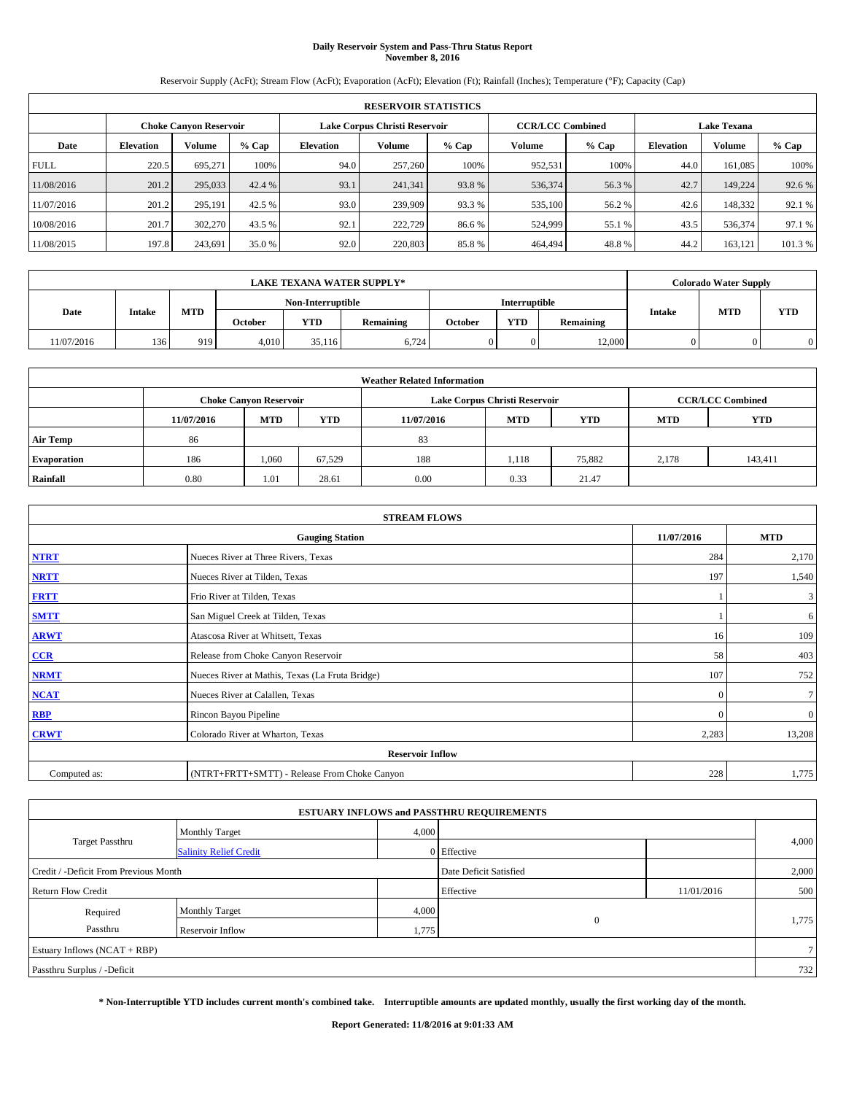### **Daily Reservoir System and Pass-Thru Status Report November 8, 2016**

Reservoir Supply (AcFt); Stream Flow (AcFt); Evaporation (AcFt); Elevation (Ft); Rainfall (Inches); Temperature (°F); Capacity (Cap)

|             | <b>RESERVOIR STATISTICS</b> |                               |         |                  |                               |         |                         |         |                    |               |        |  |
|-------------|-----------------------------|-------------------------------|---------|------------------|-------------------------------|---------|-------------------------|---------|--------------------|---------------|--------|--|
|             |                             | <b>Choke Canyon Reservoir</b> |         |                  | Lake Corpus Christi Reservoir |         | <b>CCR/LCC Combined</b> |         | <b>Lake Texana</b> |               |        |  |
| Date        | <b>Elevation</b>            | Volume                        | $%$ Cap | <b>Elevation</b> | Volume                        | $%$ Cap | Volume                  | $%$ Cap | <b>Elevation</b>   | <b>Volume</b> | % Cap  |  |
| <b>FULL</b> | 220.5                       | 695.271                       | 100%    | 94.0             | 257,260                       | 100%    | 952,531                 | 100%    | 44.0               | 161,085       | 100%   |  |
| 11/08/2016  | 201.2                       | 295,033                       | 42.4 %  | 93.1             | 241,341                       | 93.8%   | 536,374                 | 56.3%   | 42.7               | 149,224       | 92.6 % |  |
| 11/07/2016  | 201.2                       | 295.191                       | 42.5 %  | 93.0             | 239,909                       | 93.3 %  | 535,100                 | 56.2 %  | 42.6               | 148,332       | 92.1 % |  |
| 10/08/2016  | 201.7                       | 302,270                       | 43.5 %  | 92.1             | 222,729                       | 86.6 %  | 524,999                 | 55.1 %  | 43.5               | 536,374       | 97.1 % |  |
| 11/08/2015  | 197.8                       | 243,691                       | 35.0 %  | 92.0             | 220,803                       | 85.8%   | 464,494                 | 48.8%   | 44.2               | 163,121       | 101.3% |  |

|            | <b>LAKE TEXANA WATER SUPPLY*</b> |            |                   |            |           |         |                      |           |                                           | <b>Colorado Water Supply</b> |  |
|------------|----------------------------------|------------|-------------------|------------|-----------|---------|----------------------|-----------|-------------------------------------------|------------------------------|--|
|            |                                  |            | Non-Interruptible |            |           |         | <b>Interruptible</b> |           | <b>MTD</b><br><b>YTD</b><br><b>Intake</b> |                              |  |
| Date       | Intake                           | <b>MTD</b> | October           | <b>YTD</b> | Remaining | October | <b>YTD</b>           | Remaining |                                           |                              |  |
| 11/07/2016 | 136                              | 919        | 4.010             | 35.116     | 6.724     | 0       | 0.                   | 12,000    |                                           |                              |  |

| <b>Weather Related Information</b> |            |                               |                                                                    |      |                               |                         |       |         |  |  |  |
|------------------------------------|------------|-------------------------------|--------------------------------------------------------------------|------|-------------------------------|-------------------------|-------|---------|--|--|--|
|                                    |            | <b>Choke Canyon Reservoir</b> |                                                                    |      | Lake Corpus Christi Reservoir | <b>CCR/LCC Combined</b> |       |         |  |  |  |
|                                    | 11/07/2016 | <b>MTD</b>                    | <b>YTD</b><br><b>MTD</b><br><b>YTD</b><br><b>MTD</b><br>11/07/2016 |      |                               |                         |       |         |  |  |  |
| <b>Air Temp</b>                    | 86         |                               |                                                                    | 83   |                               |                         |       |         |  |  |  |
| <b>Evaporation</b>                 | 186        | 1,060                         | 67,529                                                             | 188  | l.118                         | 75,882                  | 2.178 | 143,411 |  |  |  |
| Rainfall                           | 0.80       | 1.01                          | 28.61                                                              | 0.00 | 0.33                          | 21.47                   |       |         |  |  |  |

| <b>STREAM FLOWS</b> |                                                 |              |              |  |  |  |  |  |
|---------------------|-------------------------------------------------|--------------|--------------|--|--|--|--|--|
|                     | <b>Gauging Station</b>                          | 11/07/2016   | <b>MTD</b>   |  |  |  |  |  |
| <b>NTRT</b>         | Nueces River at Three Rivers, Texas             | 284          | 2,170        |  |  |  |  |  |
| <b>NRTT</b>         | Nueces River at Tilden, Texas                   | 197          | 1,540        |  |  |  |  |  |
| <b>FRTT</b>         | Frio River at Tilden, Texas                     |              | 3            |  |  |  |  |  |
| <b>SMTT</b>         | San Miguel Creek at Tilden, Texas               |              | 6            |  |  |  |  |  |
| <b>ARWT</b>         | Atascosa River at Whitsett, Texas               | 16           | 109          |  |  |  |  |  |
| $CCR$               | Release from Choke Canyon Reservoir             | 58           | 403          |  |  |  |  |  |
| <b>NRMT</b>         | Nueces River at Mathis, Texas (La Fruta Bridge) | 107          | 752          |  |  |  |  |  |
| <b>NCAT</b>         | Nueces River at Calallen, Texas                 | $\mathbf{0}$ | $\tau$       |  |  |  |  |  |
| RBP                 | Rincon Bayou Pipeline                           | $\Omega$     | $\mathbf{0}$ |  |  |  |  |  |
| <b>CRWT</b>         | Colorado River at Wharton, Texas                | 2,283        | 13,208       |  |  |  |  |  |
|                     | <b>Reservoir Inflow</b>                         |              |              |  |  |  |  |  |
| Computed as:        | (NTRT+FRTT+SMTT) - Release From Choke Canyon    | 228          | 1,775        |  |  |  |  |  |

|                                       |                               |       | <b>ESTUARY INFLOWS and PASSTHRU REQUIREMENTS</b> |            |        |
|---------------------------------------|-------------------------------|-------|--------------------------------------------------|------------|--------|
|                                       | <b>Monthly Target</b>         | 4,000 |                                                  |            |        |
| <b>Target Passthru</b>                | <b>Salinity Relief Credit</b> |       | 0 Effective                                      |            | 4,000  |
| Credit / -Deficit From Previous Month |                               |       | Date Deficit Satisfied                           |            | 2,000  |
| <b>Return Flow Credit</b>             |                               |       | Effective                                        | 11/01/2016 | 500    |
| Required                              | <b>Monthly Target</b>         | 4,000 |                                                  |            |        |
| Passthru                              | Reservoir Inflow              | 1,775 | $\overline{0}$                                   |            | 1,775  |
| Estuary Inflows (NCAT + RBP)          |                               |       |                                                  |            | $\tau$ |
| Passthru Surplus / -Deficit           |                               |       |                                                  |            | 732    |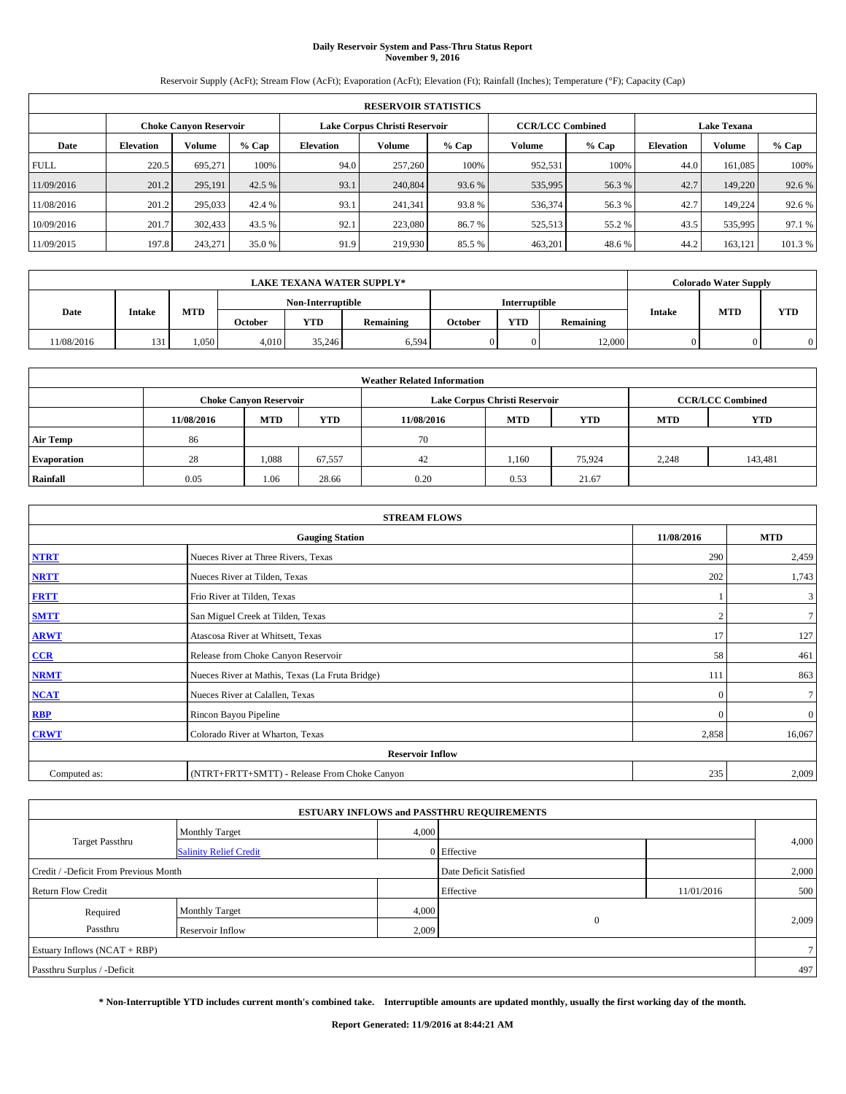#### **Daily Reservoir System and Pass-Thru Status Report November 9, 2016**

Reservoir Supply (AcFt); Stream Flow (AcFt); Evaporation (AcFt); Elevation (Ft); Rainfall (Inches); Temperature (°F); Capacity (Cap)

| <b>RESERVOIR STATISTICS</b> |                  |                               |         |                  |                               |         |                         |         |                    |               |         |  |
|-----------------------------|------------------|-------------------------------|---------|------------------|-------------------------------|---------|-------------------------|---------|--------------------|---------------|---------|--|
|                             |                  | <b>Choke Canyon Reservoir</b> |         |                  | Lake Corpus Christi Reservoir |         | <b>CCR/LCC Combined</b> |         | <b>Lake Texana</b> |               |         |  |
| Date                        | <b>Elevation</b> | Volume                        | $%$ Cap | <b>Elevation</b> | Volume                        | $%$ Cap | <b>Volume</b>           | $%$ Cap | <b>Elevation</b>   | <b>Volume</b> | $%$ Cap |  |
| <b>FULL</b>                 | 220.5            | 695.271                       | 100%    | 94.0             | 257,260                       | 100%    | 952,531                 | 100%    | 44.0               | 161.085       | 100%    |  |
| 11/09/2016                  | 201.2            | 295,191                       | 42.5 %  | 93.1             | 240,804                       | 93.6 %  | 535,995                 | 56.3%   | 42.7               | 149,220       | 92.6 %  |  |
| 11/08/2016                  | 201.2            | 295,033                       | 42.4 %  | 93.1             | 241,341                       | 93.8%   | 536,374                 | 56.3 %  | 42.7               | 149.224       | 92.6 %  |  |
| 10/09/2016                  | 201.7            | 302,433                       | 43.5 %  | 92.1             | 223,080                       | 86.7 %  | 525,513                 | 55.2%   | 43.5               | 535,995       | 97.1 %  |  |
| 11/09/2015                  | 197.8            | 243,271                       | 35.0 %  | 91.9             | 219,930                       | 85.5 %  | 463,201                 | 48.6%   | 44.2               | 163.121       | 101.3 % |  |

|            |        |      |                   |            | <b>LAKE TEXANA WATER SUPPLY*</b> |         |                      |           |                                           | <b>Colorado Water Supply</b> |  |
|------------|--------|------|-------------------|------------|----------------------------------|---------|----------------------|-----------|-------------------------------------------|------------------------------|--|
|            |        |      | Non-Interruptible |            |                                  |         | <b>Interruptible</b> |           | <b>MTD</b><br><b>YTD</b><br><b>Intake</b> |                              |  |
| Date       | Intake | MTD  | October           | <b>YTD</b> | Remaining                        | October | <b>YTD</b>           | Remaining |                                           |                              |  |
| 11/08/2016 | 131    | .050 | 4.010             | 35,246     | 6,594                            |         |                      | 12,000    |                                           |                              |  |

|                    | <b>Weather Related Information</b> |                                                                                  |        |      |                               |                         |       |         |  |  |  |  |
|--------------------|------------------------------------|----------------------------------------------------------------------------------|--------|------|-------------------------------|-------------------------|-------|---------|--|--|--|--|
|                    |                                    | <b>Choke Canyon Reservoir</b>                                                    |        |      | Lake Corpus Christi Reservoir | <b>CCR/LCC Combined</b> |       |         |  |  |  |  |
|                    | 11/08/2016                         | <b>YTD</b><br><b>MTD</b><br><b>MTD</b><br><b>YTD</b><br><b>MTD</b><br>11/08/2016 |        |      |                               |                         |       |         |  |  |  |  |
| <b>Air Temp</b>    | 86                                 |                                                                                  |        | 70   |                               |                         |       |         |  |  |  |  |
| <b>Evaporation</b> | 28                                 | 1,088                                                                            | 67,557 | 42   | 1.160                         | 75.924                  | 2,248 | 143,481 |  |  |  |  |
| Rainfall           | 0.05                               | 1.06                                                                             | 28.66  | 0.20 | 0.53                          | 21.67                   |       |         |  |  |  |  |

| <b>STREAM FLOWS</b> |                                                    |              |                |  |  |  |  |  |
|---------------------|----------------------------------------------------|--------------|----------------|--|--|--|--|--|
|                     | <b>MTD</b><br><b>Gauging Station</b><br>11/08/2016 |              |                |  |  |  |  |  |
| <b>NTRT</b>         | Nueces River at Three Rivers, Texas                | 290          | 2,459          |  |  |  |  |  |
| <b>NRTT</b>         | Nueces River at Tilden, Texas                      | 202          | 1,743          |  |  |  |  |  |
| <b>FRTT</b>         | Frio River at Tilden, Texas                        |              | 3              |  |  |  |  |  |
| <b>SMTT</b>         | San Miguel Creek at Tilden, Texas                  |              | 7 <sup>1</sup> |  |  |  |  |  |
| <b>ARWT</b>         | Atascosa River at Whitsett, Texas                  | 17           | 127            |  |  |  |  |  |
| $CCR$               | Release from Choke Canyon Reservoir                | 58           | 461            |  |  |  |  |  |
| <b>NRMT</b>         | Nueces River at Mathis, Texas (La Fruta Bridge)    | 111          | 863            |  |  |  |  |  |
| <b>NCAT</b>         | Nueces River at Calallen, Texas                    | $\Omega$     | $\tau$         |  |  |  |  |  |
| RBP                 | Rincon Bayou Pipeline                              | $\mathbf{0}$ | $\mathbf{0}$   |  |  |  |  |  |
| <b>CRWT</b>         | Colorado River at Wharton, Texas                   | 2,858        | 16,067         |  |  |  |  |  |
|                     | <b>Reservoir Inflow</b>                            |              |                |  |  |  |  |  |
| Computed as:        | (NTRT+FRTT+SMTT) - Release From Choke Canyon       |              |                |  |  |  |  |  |

|                                       |                               |       | <b>ESTUARY INFLOWS and PASSTHRU REQUIREMENTS</b> |            |                |
|---------------------------------------|-------------------------------|-------|--------------------------------------------------|------------|----------------|
|                                       | <b>Monthly Target</b>         | 4,000 |                                                  |            |                |
| <b>Target Passthru</b>                | <b>Salinity Relief Credit</b> |       | 0 Effective                                      |            | 4,000          |
| Credit / -Deficit From Previous Month |                               |       | Date Deficit Satisfied                           |            | 2,000          |
| <b>Return Flow Credit</b>             |                               |       | Effective                                        | 11/01/2016 | 500            |
| Required                              | <b>Monthly Target</b>         | 4,000 |                                                  |            |                |
| Passthru                              | Reservoir Inflow              | 2,009 | $\overline{0}$                                   |            | 2,009          |
| Estuary Inflows $(NCAT + RBP)$        |                               |       |                                                  |            | 7 <sup>1</sup> |
| Passthru Surplus / -Deficit           |                               |       |                                                  |            | 497            |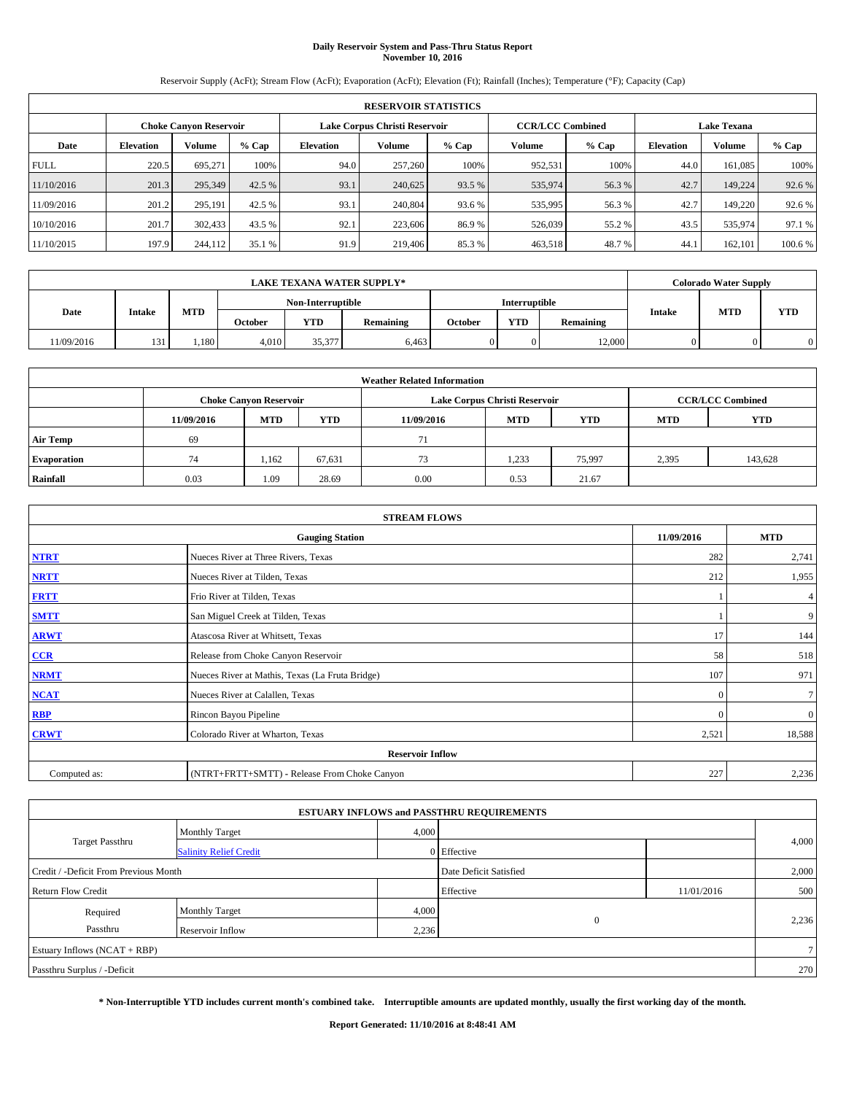# **Daily Reservoir System and Pass-Thru Status Report November 10, 2016**

Reservoir Supply (AcFt); Stream Flow (AcFt); Evaporation (AcFt); Elevation (Ft); Rainfall (Inches); Temperature (°F); Capacity (Cap)

| <b>RESERVOIR STATISTICS</b> |                  |                        |         |                               |               |         |                         |         |                    |               |         |  |
|-----------------------------|------------------|------------------------|---------|-------------------------------|---------------|---------|-------------------------|---------|--------------------|---------------|---------|--|
|                             |                  | Choke Canvon Reservoir |         | Lake Corpus Christi Reservoir |               |         | <b>CCR/LCC Combined</b> |         | <b>Lake Texana</b> |               |         |  |
| Date                        | <b>Elevation</b> | Volume                 | $%$ Cap | <b>Elevation</b>              | <b>Volume</b> | $%$ Cap | Volume                  | $%$ Cap | <b>Elevation</b>   | <b>Volume</b> | $%$ Cap |  |
| <b>FULL</b>                 | 220.5            | 695.271                | 100%    | 94.0                          | 257,260       | 100%    | 952.531                 | 100%    | 44.0               | 161.085       | 100%    |  |
| 11/10/2016                  | 201.3            | 295,349                | 42.5 %  | 93.1                          | 240,625       | 93.5 %  | 535,974                 | 56.3%   | 42.7               | 149.224       | 92.6%   |  |
| 11/09/2016                  | 201.2            | 295,191                | 42.5 %  | 93.1                          | 240,804       | 93.6 %  | 535,995                 | 56.3 %  | 42.7               | 149,220       | 92.6 %  |  |
| 10/10/2016                  | 201.7            | 302.433                | 43.5 %  | 92.1                          | 223,606       | 86.9%   | 526,039                 | 55.2 %  | 43.5               | 535,974       | 97.1 %  |  |
| 11/10/2015                  | 197.9            | 244,112                | 35.1 %  | 91.9                          | 219,406       | 85.3%   | 463,518                 | 48.7%   | 44.                | 162,101       | 100.6%  |  |

|            |        |            |                   |            | <b>LAKE TEXANA WATER SUPPLY*</b> |                      |            |           |               | <b>Colorado Water Supply</b> |     |
|------------|--------|------------|-------------------|------------|----------------------------------|----------------------|------------|-----------|---------------|------------------------------|-----|
|            |        |            | Non-Interruptible |            |                                  | <b>Interruptible</b> |            |           |               |                              |     |
| Date       | Intake | <b>MTD</b> | <b>October</b>    | <b>YTD</b> | <b>Remaining</b>                 | October              | <b>YTD</b> | Remaining | <b>Intake</b> | <b>MTD</b>                   | YTD |
| 11/09/2016 | 131    | .180       | 4.010             | 35,377     | 6.463                            |                      |            | 12,000    |               |                              |     |

|                    | <b>Weather Related Information</b> |                                                                                  |        |      |                               |                         |       |         |  |  |  |  |
|--------------------|------------------------------------|----------------------------------------------------------------------------------|--------|------|-------------------------------|-------------------------|-------|---------|--|--|--|--|
|                    |                                    | <b>Choke Canyon Reservoir</b>                                                    |        |      | Lake Corpus Christi Reservoir | <b>CCR/LCC Combined</b> |       |         |  |  |  |  |
|                    | 11/09/2016                         | <b>YTD</b><br><b>MTD</b><br><b>MTD</b><br><b>YTD</b><br><b>MTD</b><br>11/09/2016 |        |      |                               |                         |       |         |  |  |  |  |
| <b>Air Temp</b>    | 69                                 |                                                                                  |        | 71   |                               |                         |       |         |  |  |  |  |
| <b>Evaporation</b> | 74                                 | 1,162                                                                            | 67,631 | 73   | 1,233                         | 75.997                  | 2,395 | 143,628 |  |  |  |  |
| Rainfall           | 0.03                               | 1.09                                                                             | 28.69  | 0.00 | 0.53                          | 21.67                   |       |         |  |  |  |  |

| <b>STREAM FLOWS</b> |                                                                         |              |              |  |  |  |  |  |  |
|---------------------|-------------------------------------------------------------------------|--------------|--------------|--|--|--|--|--|--|
|                     | <b>Gauging Station</b>                                                  |              |              |  |  |  |  |  |  |
| <b>NTRT</b>         | Nueces River at Three Rivers, Texas                                     |              |              |  |  |  |  |  |  |
| <b>NRTT</b>         | Nueces River at Tilden, Texas                                           | 212          | 1,955        |  |  |  |  |  |  |
| <b>FRTT</b>         | Frio River at Tilden, Texas                                             |              | 4            |  |  |  |  |  |  |
| <b>SMTT</b>         | San Miguel Creek at Tilden, Texas                                       |              | 9            |  |  |  |  |  |  |
| <b>ARWT</b>         | Atascosa River at Whitsett, Texas                                       | 17           | 144          |  |  |  |  |  |  |
| $CCR$               | Release from Choke Canyon Reservoir                                     | 58           | 518          |  |  |  |  |  |  |
| <b>NRMT</b>         | Nueces River at Mathis, Texas (La Fruta Bridge)                         | 107          | 971          |  |  |  |  |  |  |
| <b>NCAT</b>         | Nueces River at Calallen, Texas                                         | $\theta$     | $\tau$       |  |  |  |  |  |  |
| RBP                 | Rincon Bayou Pipeline                                                   | $\mathbf{0}$ | $\mathbf{0}$ |  |  |  |  |  |  |
| <b>CRWT</b>         | Colorado River at Wharton, Texas                                        | 2,521        | 18,588       |  |  |  |  |  |  |
|                     |                                                                         |              |              |  |  |  |  |  |  |
| Computed as:        | <b>Reservoir Inflow</b><br>(NTRT+FRTT+SMTT) - Release From Choke Canyon |              |              |  |  |  |  |  |  |

| <b>ESTUARY INFLOWS and PASSTHRU REQUIREMENTS</b> |                               |                        |              |            |                |  |  |  |  |  |
|--------------------------------------------------|-------------------------------|------------------------|--------------|------------|----------------|--|--|--|--|--|
|                                                  | <b>Monthly Target</b>         | 4,000                  |              |            |                |  |  |  |  |  |
| <b>Target Passthru</b>                           | <b>Salinity Relief Credit</b> |                        | 0 Effective  |            | 4,000          |  |  |  |  |  |
| Credit / -Deficit From Previous Month            |                               | Date Deficit Satisfied |              | 2,000      |                |  |  |  |  |  |
| <b>Return Flow Credit</b>                        |                               |                        | Effective    | 11/01/2016 | 500            |  |  |  |  |  |
| Required                                         | <b>Monthly Target</b>         | 4,000                  |              |            |                |  |  |  |  |  |
| Passthru                                         | Reservoir Inflow              | 2,236                  | $\mathbf{0}$ |            | 2,236          |  |  |  |  |  |
| Estuary Inflows (NCAT + RBP)                     |                               |                        |              |            | 7 <sup>1</sup> |  |  |  |  |  |
| Passthru Surplus / -Deficit                      |                               |                        |              |            | 270            |  |  |  |  |  |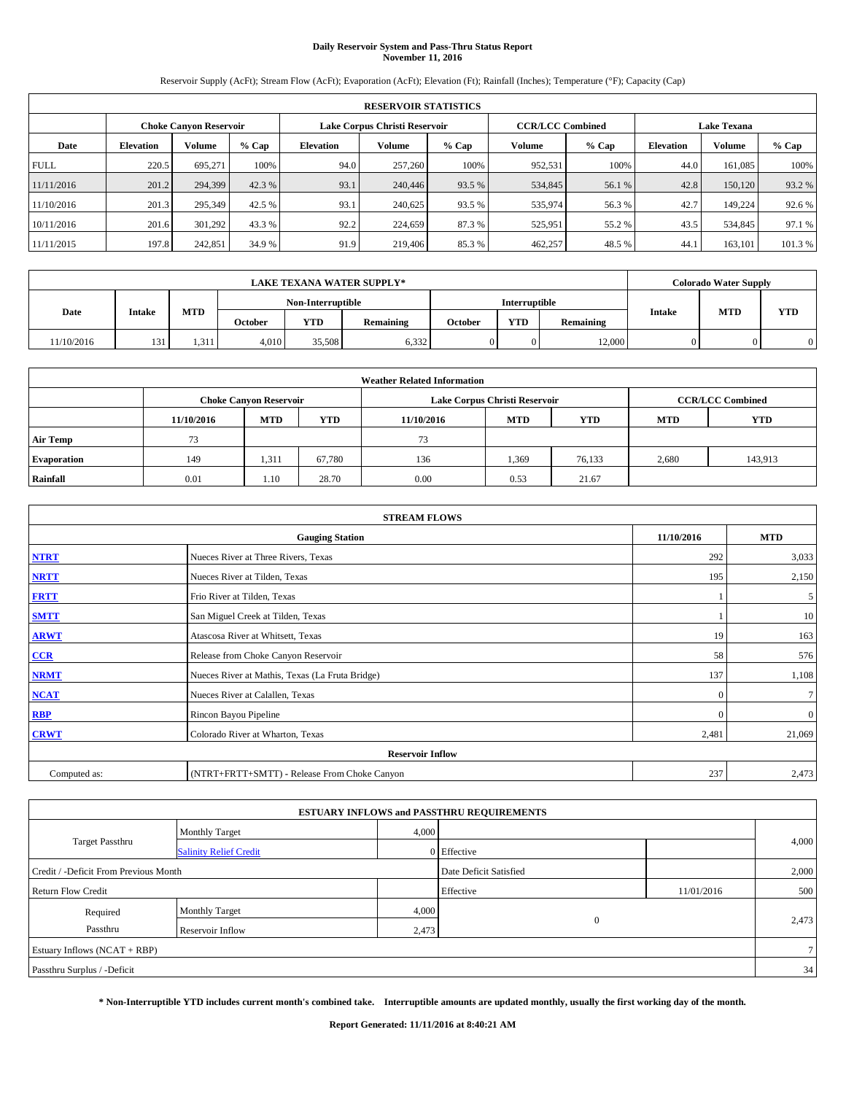# **Daily Reservoir System and Pass-Thru Status Report November 11, 2016**

Reservoir Supply (AcFt); Stream Flow (AcFt); Evaporation (AcFt); Elevation (Ft); Rainfall (Inches); Temperature (°F); Capacity (Cap)

|             | <b>RESERVOIR STATISTICS</b> |                               |         |                  |                               |         |                         |         |                    |         |        |  |  |
|-------------|-----------------------------|-------------------------------|---------|------------------|-------------------------------|---------|-------------------------|---------|--------------------|---------|--------|--|--|
|             |                             | <b>Choke Canyon Reservoir</b> |         |                  | Lake Corpus Christi Reservoir |         | <b>CCR/LCC Combined</b> |         | <b>Lake Texana</b> |         |        |  |  |
| Date        | <b>Elevation</b>            | Volume                        | $%$ Cap | <b>Elevation</b> | Volume                        | $%$ Cap | Volume                  | $%$ Cap | <b>Elevation</b>   | Volume  | % Cap  |  |  |
| <b>FULL</b> | 220.5                       | 695.271                       | 100%    | 94.0             | 257,260                       | 100%    | 952,531                 | 100%    | 44.0               | 161,085 | 100%   |  |  |
| 11/11/2016  | 201.2                       | 294,399                       | 42.3 %  | 93.1             | 240,446                       | 93.5 %  | 534,845                 | 56.1 %  | 42.8               | 150,120 | 93.2 % |  |  |
| 11/10/2016  | 201.3                       | 295,349                       | 42.5 %  | 93.1             | 240,625                       | 93.5 %  | 535,974                 | 56.3 %  | 42.7               | 149.224 | 92.6 % |  |  |
| 10/11/2016  | 201.6                       | 301.292                       | 43.3 %  | 92.2             | 224,659                       | 87.3 %  | 525,951                 | 55.2 %  | 43.5               | 534,845 | 97.1 % |  |  |
| 11/11/2015  | 197.8                       | 242,851                       | 34.9 %  | 91.9             | 219,406                       | 85.3%   | 462,257                 | 48.5 %  | 44.1               | 163,101 | 101.3% |  |  |

| <b>LAKE TEXANA WATER SUPPLY*</b> |        |       |                   |            |                  |               | <b>Colorado Water Supply</b> |           |               |            |            |
|----------------------------------|--------|-------|-------------------|------------|------------------|---------------|------------------------------|-----------|---------------|------------|------------|
|                                  |        |       | Non-Interruptible |            |                  | Interruptible |                              |           |               |            |            |
| Date                             | Intake | MTD   | October           | <b>YTD</b> | <b>Remaining</b> | October       | <b>YTD</b>                   | Remaining | <b>Intake</b> | <b>MTD</b> | <b>YTD</b> |
| 11/10/2016                       | 131    | 1.311 | 4.010             | 35,508     | 6,332            |               |                              | 12,000    |               |            | $\Omega$   |

| <b>Weather Related Information</b> |            |                               |            |            |                               |                         |            |            |  |  |
|------------------------------------|------------|-------------------------------|------------|------------|-------------------------------|-------------------------|------------|------------|--|--|
|                                    |            | <b>Choke Canyon Reservoir</b> |            |            | Lake Corpus Christi Reservoir | <b>CCR/LCC Combined</b> |            |            |  |  |
|                                    | 11/10/2016 | <b>MTD</b>                    | <b>YTD</b> | 11/10/2016 | <b>MTD</b>                    | <b>YTD</b>              | <b>MTD</b> | <b>YTD</b> |  |  |
| <b>Air Temp</b>                    | 73         |                               |            | 73         |                               |                         |            |            |  |  |
| <b>Evaporation</b>                 | 149        | 1,311                         | 67.780     | 136        | 1,369                         | 76,133                  | 2,680      | 143,913    |  |  |
| Rainfall                           | 0.01       | 1.10                          | 28.70      | 0.00       | 0.53                          | 21.67                   |            |            |  |  |

| <b>STREAM FLOWS</b> |                                                 |              |              |  |  |  |  |  |  |
|---------------------|-------------------------------------------------|--------------|--------------|--|--|--|--|--|--|
|                     | <b>Gauging Station</b>                          |              |              |  |  |  |  |  |  |
| <b>NTRT</b>         | Nueces River at Three Rivers, Texas             |              |              |  |  |  |  |  |  |
| <b>NRTT</b>         | Nueces River at Tilden, Texas                   | 195          | 2,150        |  |  |  |  |  |  |
| <b>FRTT</b>         | Frio River at Tilden, Texas                     |              | 5            |  |  |  |  |  |  |
| <b>SMTT</b>         | San Miguel Creek at Tilden, Texas               |              | 10           |  |  |  |  |  |  |
| <b>ARWT</b>         | Atascosa River at Whitsett, Texas               | 19           | 163          |  |  |  |  |  |  |
| $CCR$               | Release from Choke Canyon Reservoir             | 58           | 576          |  |  |  |  |  |  |
| <b>NRMT</b>         | Nueces River at Mathis, Texas (La Fruta Bridge) | 137          | 1,108        |  |  |  |  |  |  |
| <b>NCAT</b>         | Nueces River at Calallen, Texas                 | $\mathbf{0}$ | $\tau$       |  |  |  |  |  |  |
| RBP                 | Rincon Bayou Pipeline                           | $\Omega$     | $\mathbf{0}$ |  |  |  |  |  |  |
| <b>CRWT</b>         | Colorado River at Wharton, Texas                | 2,481        | 21,069       |  |  |  |  |  |  |
|                     |                                                 |              |              |  |  |  |  |  |  |
| Computed as:        | (NTRT+FRTT+SMTT) - Release From Choke Canyon    | 237          | 2,473        |  |  |  |  |  |  |

| <b>ESTUARY INFLOWS and PASSTHRU REQUIREMENTS</b> |                               |                        |              |            |       |  |  |  |  |  |
|--------------------------------------------------|-------------------------------|------------------------|--------------|------------|-------|--|--|--|--|--|
|                                                  | Monthly Target                | 4,000                  |              |            |       |  |  |  |  |  |
| <b>Target Passthru</b>                           | <b>Salinity Relief Credit</b> |                        | 0 Effective  |            | 4,000 |  |  |  |  |  |
| Credit / -Deficit From Previous Month            |                               | Date Deficit Satisfied |              | 2,000      |       |  |  |  |  |  |
| <b>Return Flow Credit</b>                        |                               |                        | Effective    | 11/01/2016 | 500   |  |  |  |  |  |
| Required                                         | Monthly Target                | 4,000                  |              |            |       |  |  |  |  |  |
| Passthru                                         | Reservoir Inflow              | 2,473                  | $\mathbf{0}$ |            | 2,473 |  |  |  |  |  |
| Estuary Inflows $(NCAT + RBP)$                   |                               |                        |              |            |       |  |  |  |  |  |
| Passthru Surplus / -Deficit                      |                               |                        |              |            | 34    |  |  |  |  |  |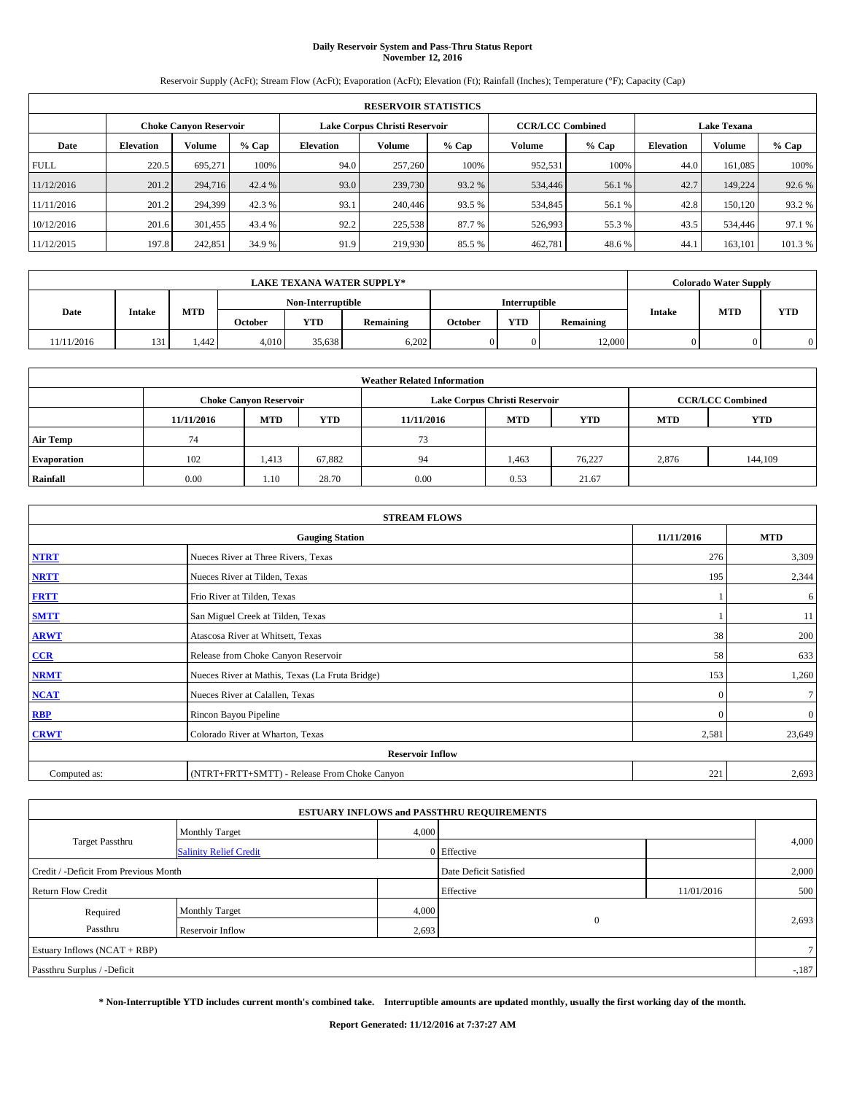# **Daily Reservoir System and Pass-Thru Status Report November 12, 2016**

Reservoir Supply (AcFt); Stream Flow (AcFt); Evaporation (AcFt); Elevation (Ft); Rainfall (Inches); Temperature (°F); Capacity (Cap)

| <b>RESERVOIR STATISTICS</b> |                  |                        |         |                  |                               |         |                         |         |                    |               |         |  |
|-----------------------------|------------------|------------------------|---------|------------------|-------------------------------|---------|-------------------------|---------|--------------------|---------------|---------|--|
|                             |                  | Choke Canvon Reservoir |         |                  | Lake Corpus Christi Reservoir |         | <b>CCR/LCC Combined</b> |         | <b>Lake Texana</b> |               |         |  |
| Date                        | <b>Elevation</b> | Volume                 | $%$ Cap | <b>Elevation</b> | <b>Volume</b>                 | $%$ Cap | Volume                  | $%$ Cap | <b>Elevation</b>   | <b>Volume</b> | $%$ Cap |  |
| <b>FULL</b>                 | 220.5            | 695.271                | 100%    | 94.0             | 257,260                       | 100%    | 952.531                 | 100%    | 44.0               | 161.085       | 100%    |  |
| 11/12/2016                  | 201.2            | 294,716                | 42.4 %  | 93.0             | 239,730                       | 93.2 %  | 534,446                 | 56.1 %  | 42.7               | 149.224       | 92.6%   |  |
| 11/11/2016                  | 201.2            | 294,399                | 42.3 %  | 93.1             | 240,446                       | 93.5 %  | 534,845                 | 56.1 %  | 42.8               | 150.120       | 93.2 %  |  |
| 10/12/2016                  | 201.6            | 301.455                | 43.4 %  | 92.2             | 225,538                       | 87.7 %  | 526,993                 | 55.3 %  | 43.5               | 534,446       | 97.1 %  |  |
| 11/12/2015                  | 197.8            | 242,851                | 34.9 %  | 91.9             | 219,930                       | 85.5 %  | 462,781                 | 48.6%   | 44.                | 163.101       | 101.3%  |  |

| <b>LAKE TEXANA WATER SUPPLY*</b> |        |       |                   |            |                  |                      |            | <b>Colorado Water Supply</b> |               |            |     |
|----------------------------------|--------|-------|-------------------|------------|------------------|----------------------|------------|------------------------------|---------------|------------|-----|
|                                  |        |       | Non-Interruptible |            |                  | <b>Interruptible</b> |            |                              |               |            |     |
| Date                             | Intake | MTD   | <b>October</b>    | <b>YTD</b> | <b>Remaining</b> | October              | <b>YTD</b> | Remaining                    | <b>Intake</b> | <b>MTD</b> | YTD |
| 11/11/2016                       | 131    | . 442 | 4.010             | 35.638     | 6,202            |                      |            | 12,000                       |               |            |     |

| <b>Weather Related Information</b> |            |                               |            |            |                               |                         |            |            |  |  |
|------------------------------------|------------|-------------------------------|------------|------------|-------------------------------|-------------------------|------------|------------|--|--|
|                                    |            | <b>Choke Canyon Reservoir</b> |            |            | Lake Corpus Christi Reservoir | <b>CCR/LCC Combined</b> |            |            |  |  |
|                                    | 11/11/2016 | <b>MTD</b>                    | <b>YTD</b> | 11/11/2016 | <b>MTD</b>                    | <b>YTD</b>              | <b>MTD</b> | <b>YTD</b> |  |  |
| <b>Air Temp</b>                    | 74         |                               |            | 73         |                               |                         |            |            |  |  |
| <b>Evaporation</b>                 | 102        | 1,413                         | 67,882     | 94         | 1,463                         | 76.227                  | 2,876      | 144,109    |  |  |
| Rainfall                           | 0.00       | 1.10                          | 28.70      | 0.00       | 0.53                          | 21.67                   |            |            |  |  |

| <b>STREAM FLOWS</b> |                                                 |          |              |  |  |  |  |  |  |
|---------------------|-------------------------------------------------|----------|--------------|--|--|--|--|--|--|
|                     | <b>Gauging Station</b>                          |          |              |  |  |  |  |  |  |
| <b>NTRT</b>         | Nueces River at Three Rivers, Texas             |          |              |  |  |  |  |  |  |
| <b>NRTT</b>         | Nueces River at Tilden, Texas                   | 195      | 2,344        |  |  |  |  |  |  |
| <b>FRTT</b>         | Frio River at Tilden, Texas                     |          | 6            |  |  |  |  |  |  |
| <b>SMTT</b>         | San Miguel Creek at Tilden, Texas               |          | 11           |  |  |  |  |  |  |
| <b>ARWT</b>         | Atascosa River at Whitsett, Texas               | 38       | 200          |  |  |  |  |  |  |
| $CCR$               | Release from Choke Canyon Reservoir             | 58       | 633          |  |  |  |  |  |  |
| <b>NRMT</b>         | Nueces River at Mathis, Texas (La Fruta Bridge) | 153      | 1,260        |  |  |  |  |  |  |
| <b>NCAT</b>         | Nueces River at Calallen, Texas                 | $\Omega$ | $\tau$       |  |  |  |  |  |  |
| <b>RBP</b>          | Rincon Bayou Pipeline                           | $\Omega$ | $\mathbf{0}$ |  |  |  |  |  |  |
| <b>CRWT</b>         | Colorado River at Wharton, Texas                | 2,581    | 23,649       |  |  |  |  |  |  |
|                     |                                                 |          |              |  |  |  |  |  |  |
| Computed as:        | (NTRT+FRTT+SMTT) - Release From Choke Canyon    | 221      | 2,693        |  |  |  |  |  |  |

| <b>ESTUARY INFLOWS and PASSTHRU REQUIREMENTS</b> |                               |                        |              |            |                |  |  |  |  |  |
|--------------------------------------------------|-------------------------------|------------------------|--------------|------------|----------------|--|--|--|--|--|
|                                                  | <b>Monthly Target</b>         | 4,000                  |              |            |                |  |  |  |  |  |
| <b>Target Passthru</b>                           | <b>Salinity Relief Credit</b> |                        | 0 Effective  |            | 4,000          |  |  |  |  |  |
| Credit / -Deficit From Previous Month            |                               | Date Deficit Satisfied |              | 2,000      |                |  |  |  |  |  |
| <b>Return Flow Credit</b>                        |                               |                        | Effective    | 11/01/2016 | 500            |  |  |  |  |  |
| Required                                         | Monthly Target                | 4,000                  |              |            |                |  |  |  |  |  |
| Passthru                                         | Reservoir Inflow              | 2,693                  | $\mathbf{0}$ |            | 2,693          |  |  |  |  |  |
| Estuary Inflows (NCAT + RBP)                     |                               |                        |              |            | 7 <sup>1</sup> |  |  |  |  |  |
| Passthru Surplus / -Deficit                      |                               |                        |              |            | $-187$         |  |  |  |  |  |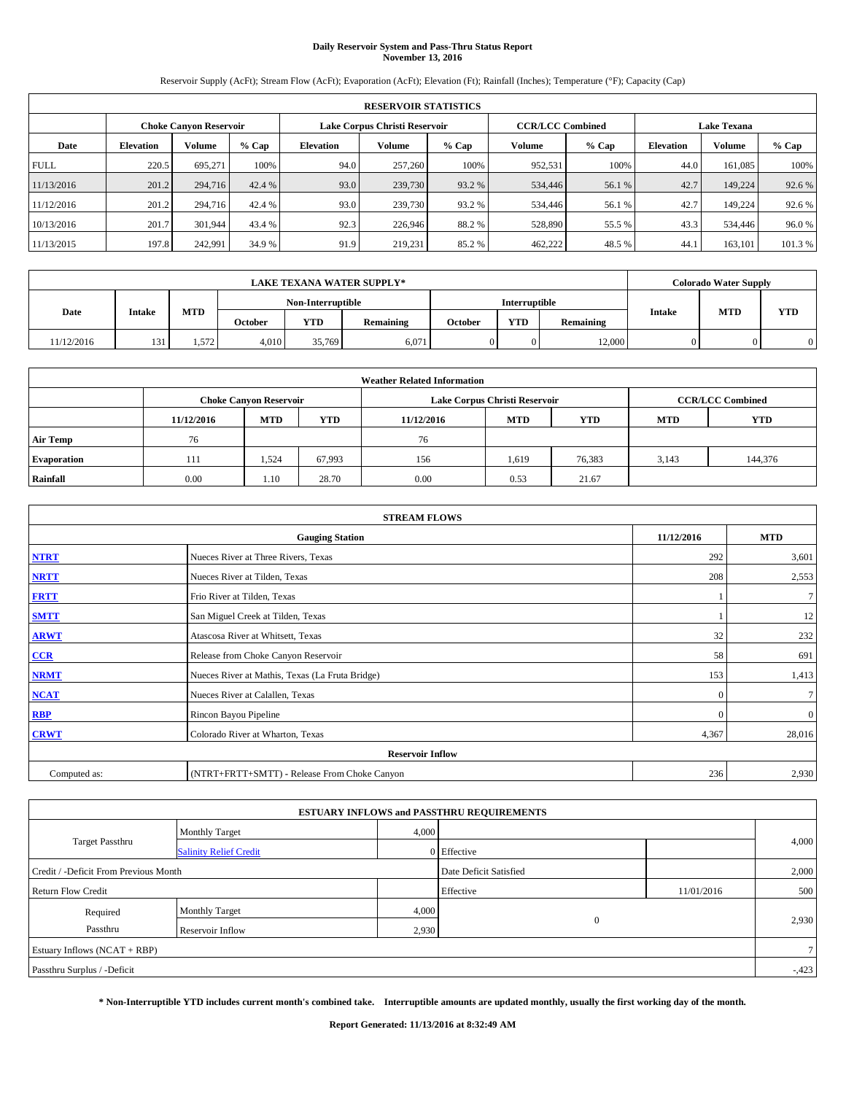# **Daily Reservoir System and Pass-Thru Status Report November 13, 2016**

Reservoir Supply (AcFt); Stream Flow (AcFt); Evaporation (AcFt); Elevation (Ft); Rainfall (Inches); Temperature (°F); Capacity (Cap)

|             | <b>RESERVOIR STATISTICS</b> |                        |         |                  |                                                          |         |         |         |                    |               |         |
|-------------|-----------------------------|------------------------|---------|------------------|----------------------------------------------------------|---------|---------|---------|--------------------|---------------|---------|
|             |                             | Choke Canvon Reservoir |         |                  | Lake Corpus Christi Reservoir<br><b>CCR/LCC Combined</b> |         |         |         | <b>Lake Texana</b> |               |         |
| Date        | <b>Elevation</b>            | Volume                 | $%$ Cap | <b>Elevation</b> | <b>Volume</b>                                            | $%$ Cap | Volume  | $%$ Cap | <b>Elevation</b>   | <b>Volume</b> | $%$ Cap |
| <b>FULL</b> | 220.5                       | 695.271                | 100%    | 94.0             | 257,260                                                  | 100%    | 952.531 | 100%    | 44.0               | 161.085       | 100%    |
| 11/13/2016  | 201.2                       | 294,716                | 42.4 %  | 93.0             | 239,730                                                  | 93.2 %  | 534,446 | 56.1 %  | 42.7               | 149.224       | 92.6%   |
| 11/12/2016  | 201.2                       | 294,716                | 42.4 %  | 93.0             | 239,730                                                  | 93.2 %  | 534,446 | 56.1 %  | 42.7               | 149.224       | 92.6 %  |
| 10/13/2016  | 201.7                       | 301.944                | 43.4 %  | 92.3             | 226,946                                                  | 88.2%   | 528,890 | 55.5 %  | 43.3               | 534,446       | 96.0%   |
| 11/13/2015  | 197.8                       | 242,991                | 34.9 %  | 91.9             | 219.231                                                  | 85.2%   | 462,222 | 48.5 %  | 44.                | 163.101       | 101.3%  |

|            |                                               |       |       |                   | <b>LAKE TEXANA WATER SUPPLY*</b> |            |                      |               |            | <b>Colorado Water Supply</b> |  |
|------------|-----------------------------------------------|-------|-------|-------------------|----------------------------------|------------|----------------------|---------------|------------|------------------------------|--|
|            |                                               |       |       | Non-Interruptible |                                  |            | <b>Interruptible</b> |               |            |                              |  |
| Date       | MTD<br>Intake<br><b>YTD</b><br><b>October</b> |       |       | <b>Remaining</b>  | October                          | <b>YTD</b> | Remaining            | <b>Intake</b> | <b>MTD</b> | <b>YTD</b>                   |  |
| 11/12/2016 | 131                                           | 1.572 | 4.010 | 35,769            | 6,071                            |            |                      | 12,000        |            |                              |  |

| <b>Weather Related Information</b> |            |                               |            |                                                                    |                               |                         |       |         |  |  |
|------------------------------------|------------|-------------------------------|------------|--------------------------------------------------------------------|-------------------------------|-------------------------|-------|---------|--|--|
|                                    |            | <b>Choke Canyon Reservoir</b> |            |                                                                    | Lake Corpus Christi Reservoir | <b>CCR/LCC Combined</b> |       |         |  |  |
|                                    | 11/12/2016 | <b>MTD</b>                    | <b>YTD</b> | <b>YTD</b><br><b>MTD</b><br><b>YTD</b><br><b>MTD</b><br>11/12/2016 |                               |                         |       |         |  |  |
| <b>Air Temp</b>                    | 76         |                               |            | 76                                                                 |                               |                         |       |         |  |  |
| <b>Evaporation</b>                 | 111        | 1,524                         | 67,993     | 156                                                                | 1,619                         | 76,383                  | 3,143 | 144,376 |  |  |
| Rainfall                           | 0.00       | 1.10                          | 28.70      | 0.00                                                               | 0.53                          | 21.67                   |       |         |  |  |

|              | <b>STREAM FLOWS</b>                             |            |              |  |  |  |  |  |  |  |  |
|--------------|-------------------------------------------------|------------|--------------|--|--|--|--|--|--|--|--|
|              | <b>Gauging Station</b>                          | 11/12/2016 | <b>MTD</b>   |  |  |  |  |  |  |  |  |
| <b>NTRT</b>  | Nueces River at Three Rivers, Texas             | 292        | 3,601        |  |  |  |  |  |  |  |  |
| <b>NRTT</b>  | Nueces River at Tilden, Texas                   | 208        | 2,553        |  |  |  |  |  |  |  |  |
| <b>FRTT</b>  | Frio River at Tilden, Texas                     |            | $\tau$       |  |  |  |  |  |  |  |  |
| <b>SMTT</b>  | San Miguel Creek at Tilden, Texas               |            | 12           |  |  |  |  |  |  |  |  |
| <b>ARWT</b>  | Atascosa River at Whitsett, Texas               | 32         | 232          |  |  |  |  |  |  |  |  |
| CCR          | Release from Choke Canyon Reservoir             | 58         | 691          |  |  |  |  |  |  |  |  |
| <b>NRMT</b>  | Nueces River at Mathis, Texas (La Fruta Bridge) | 153        | 1,413        |  |  |  |  |  |  |  |  |
| <b>NCAT</b>  | Nueces River at Calallen, Texas                 | $\Omega$   | $\tau$       |  |  |  |  |  |  |  |  |
| <b>RBP</b>   | Rincon Bayou Pipeline                           | $\Omega$   | $\mathbf{0}$ |  |  |  |  |  |  |  |  |
| <b>CRWT</b>  | Colorado River at Wharton, Texas                | 4,367      | 28,016       |  |  |  |  |  |  |  |  |
|              | <b>Reservoir Inflow</b>                         |            |              |  |  |  |  |  |  |  |  |
| Computed as: | (NTRT+FRTT+SMTT) - Release From Choke Canyon    | 236        | 2,930        |  |  |  |  |  |  |  |  |

| <b>ESTUARY INFLOWS and PASSTHRU REQUIREMENTS</b> |                               |                        |                       |            |                |  |  |  |  |  |
|--------------------------------------------------|-------------------------------|------------------------|-----------------------|------------|----------------|--|--|--|--|--|
|                                                  | Monthly Target                | 4,000                  |                       |            |                |  |  |  |  |  |
| <b>Target Passthru</b>                           | <b>Salinity Relief Credit</b> |                        | 0 Effective           |            | 4,000          |  |  |  |  |  |
| Credit / -Deficit From Previous Month            |                               | Date Deficit Satisfied |                       | 2,000      |                |  |  |  |  |  |
| <b>Return Flow Credit</b>                        |                               |                        | Effective             | 11/01/2016 | 500            |  |  |  |  |  |
| Required                                         | Monthly Target                | 4,000                  |                       |            |                |  |  |  |  |  |
| Passthru<br>Reservoir Inflow                     |                               |                        | $\mathbf{0}$<br>2,930 |            | 2,930          |  |  |  |  |  |
| Estuary Inflows $(NCAT + RBP)$                   |                               |                        |                       |            | 7 <sup>1</sup> |  |  |  |  |  |
| Passthru Surplus / -Deficit                      |                               |                        |                       |            |                |  |  |  |  |  |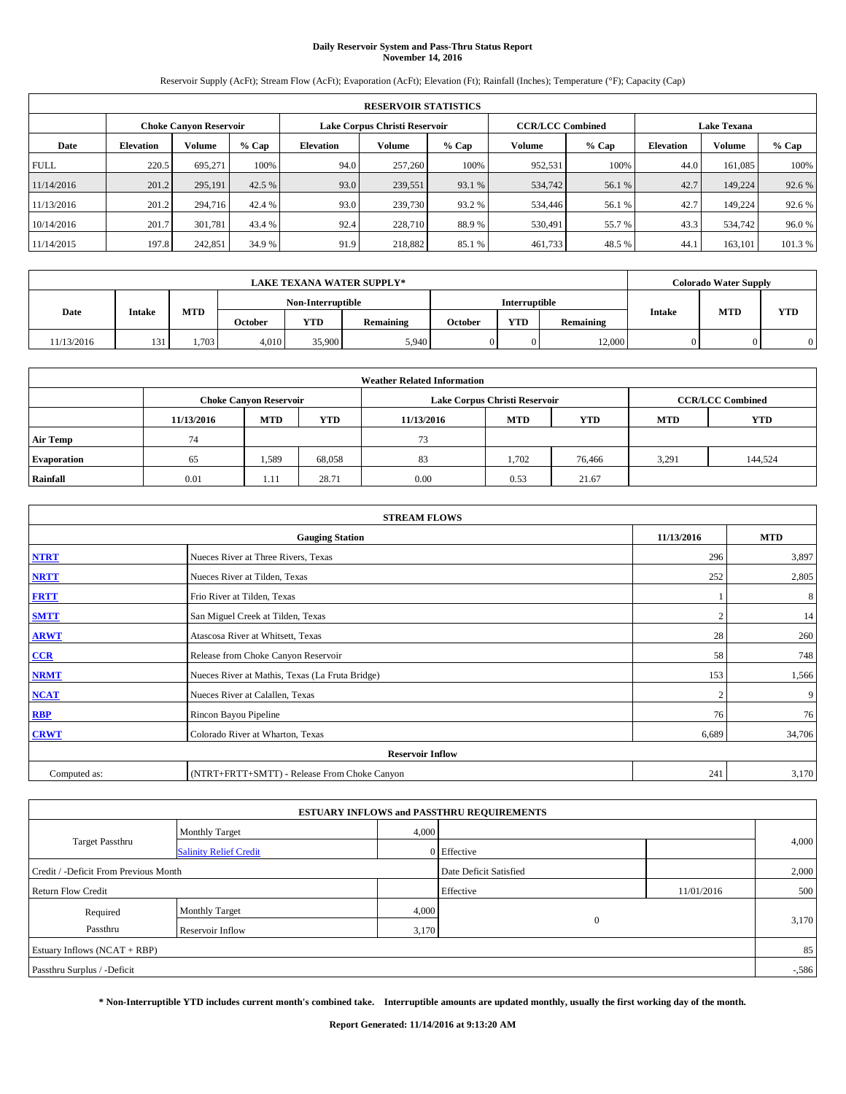# **Daily Reservoir System and Pass-Thru Status Report November 14, 2016**

Reservoir Supply (AcFt); Stream Flow (AcFt); Evaporation (AcFt); Elevation (Ft); Rainfall (Inches); Temperature (°F); Capacity (Cap)

|             | <b>RESERVOIR STATISTICS</b> |                               |         |                  |                                                          |         |         |         |                  |                    |        |  |
|-------------|-----------------------------|-------------------------------|---------|------------------|----------------------------------------------------------|---------|---------|---------|------------------|--------------------|--------|--|
|             |                             | <b>Choke Canyon Reservoir</b> |         |                  | Lake Corpus Christi Reservoir<br><b>CCR/LCC Combined</b> |         |         |         |                  | <b>Lake Texana</b> |        |  |
| Date        | <b>Elevation</b>            | Volume                        | $%$ Cap | <b>Elevation</b> | Volume                                                   | $%$ Cap | Volume  | $%$ Cap | <b>Elevation</b> | Volume             |        |  |
| <b>FULL</b> | 220.5                       | 695.271                       | 100%    | 94.0             | 257,260                                                  | 100%    | 952,531 | 100%    | 44.0             | 161,085            | 100%   |  |
| 11/14/2016  | 201.2                       | 295,191                       | 42.5 %  | 93.0             | 239,551                                                  | 93.1 %  | 534,742 | 56.1 %  | 42.7             | 149,224            | 92.6 % |  |
| 11/13/2016  | 201.2                       | 294,716                       | 42.4 %  | 93.0             | 239,730                                                  | 93.2 %  | 534,446 | 56.1 %  | 42.7             | 149.224            | 92.6 % |  |
| 10/14/2016  | 201.7                       | 301.781                       | 43.4 %  | 92.4             | 228,710                                                  | 88.9%   | 530,491 | 55.7 %  | 43.3             | 534,742            | 96.0 % |  |
| 11/14/2015  | 197.8                       | 242,851                       | 34.9 %  | 91.9             | 218,882                                                  | 85.1 %  | 461,733 | 48.5 %  | 44.1             | 163,101            | 101.3% |  |

|                                         |     |       |       |                   | <b>LAKE TEXANA WATER SUPPLY*</b> |         |                      |           |               | <b>Colorado Water Supply</b> |     |
|-----------------------------------------|-----|-------|-------|-------------------|----------------------------------|---------|----------------------|-----------|---------------|------------------------------|-----|
|                                         |     |       |       | Non-Interruptible |                                  |         | <b>Interruptible</b> |           |               |                              |     |
| MTD<br>Date<br>Intake<br><b>October</b> |     |       |       | <b>YTD</b>        | <b>Remaining</b>                 | October | <b>YTD</b>           | Remaining | <b>Intake</b> | <b>MTD</b>                   | YTD |
| 11/13/2016                              | 131 | 1,703 | 4.010 | 35,900            | 5.940                            |         |                      | 12,000    |               |                              |     |

| <b>Weather Related Information</b> |                               |            |            |            |                                                      |                         |       |         |  |  |
|------------------------------------|-------------------------------|------------|------------|------------|------------------------------------------------------|-------------------------|-------|---------|--|--|
|                                    | <b>Choke Canyon Reservoir</b> |            |            |            | Lake Corpus Christi Reservoir                        | <b>CCR/LCC Combined</b> |       |         |  |  |
|                                    | 11/13/2016                    | <b>MTD</b> | <b>YTD</b> | 11/13/2016 | <b>YTD</b><br><b>MTD</b><br><b>YTD</b><br><b>MTD</b> |                         |       |         |  |  |
| <b>Air Temp</b>                    | 74                            |            |            | 73         |                                                      |                         |       |         |  |  |
| <b>Evaporation</b>                 | 65                            | 1,589      | 68,058     | 83         | 1,702                                                | 76,466                  | 3,291 | 144,524 |  |  |
| Rainfall                           | 0.01                          | 1.11       | 28.71      | 0.00       | 0.53                                                 | 21.67                   |       |         |  |  |

|              | <b>STREAM FLOWS</b>                             |                |            |  |  |  |  |  |  |  |  |
|--------------|-------------------------------------------------|----------------|------------|--|--|--|--|--|--|--|--|
|              | <b>Gauging Station</b>                          | 11/13/2016     | <b>MTD</b> |  |  |  |  |  |  |  |  |
| <b>NTRT</b>  | Nueces River at Three Rivers, Texas             | 296            | 3,897      |  |  |  |  |  |  |  |  |
| <b>NRTT</b>  | Nueces River at Tilden, Texas                   | 252            | 2,805      |  |  |  |  |  |  |  |  |
| <b>FRTT</b>  | Frio River at Tilden, Texas                     |                | 8          |  |  |  |  |  |  |  |  |
| <b>SMTT</b>  | San Miguel Creek at Tilden, Texas               |                | 14         |  |  |  |  |  |  |  |  |
| <b>ARWT</b>  | Atascosa River at Whitsett, Texas               | 28             | 260        |  |  |  |  |  |  |  |  |
| CCR          | Release from Choke Canyon Reservoir             | 58             | 748        |  |  |  |  |  |  |  |  |
| <b>NRMT</b>  | Nueces River at Mathis, Texas (La Fruta Bridge) | 153            | 1,566      |  |  |  |  |  |  |  |  |
| <b>NCAT</b>  | Nueces River at Calallen, Texas                 | $\overline{2}$ | 9          |  |  |  |  |  |  |  |  |
| <b>RBP</b>   | Rincon Bayou Pipeline                           | 76             | 76         |  |  |  |  |  |  |  |  |
| <b>CRWT</b>  | Colorado River at Wharton, Texas                | 6,689          | 34,706     |  |  |  |  |  |  |  |  |
|              | <b>Reservoir Inflow</b>                         |                |            |  |  |  |  |  |  |  |  |
| Computed as: | (NTRT+FRTT+SMTT) - Release From Choke Canyon    | 241            | 3,170      |  |  |  |  |  |  |  |  |

| <b>ESTUARY INFLOWS and PASSTHRU REQUIREMENTS</b> |                               |                        |                       |            |       |  |  |  |  |  |
|--------------------------------------------------|-------------------------------|------------------------|-----------------------|------------|-------|--|--|--|--|--|
|                                                  | <b>Monthly Target</b>         | 4,000                  |                       |            |       |  |  |  |  |  |
| <b>Target Passthru</b>                           | <b>Salinity Relief Credit</b> |                        | 0 Effective           |            | 4,000 |  |  |  |  |  |
| Credit / -Deficit From Previous Month            |                               | Date Deficit Satisfied |                       | 2,000      |       |  |  |  |  |  |
| <b>Return Flow Credit</b>                        |                               |                        | Effective             | 11/01/2016 | 500   |  |  |  |  |  |
| Required                                         | Monthly Target                | 4,000                  |                       |            |       |  |  |  |  |  |
| Passthru<br>Reservoir Inflow                     |                               |                        | $\mathbf{0}$<br>3,170 |            | 3,170 |  |  |  |  |  |
| Estuary Inflows (NCAT + RBP)                     |                               |                        |                       |            | 85    |  |  |  |  |  |
| Passthru Surplus / -Deficit                      |                               |                        |                       |            |       |  |  |  |  |  |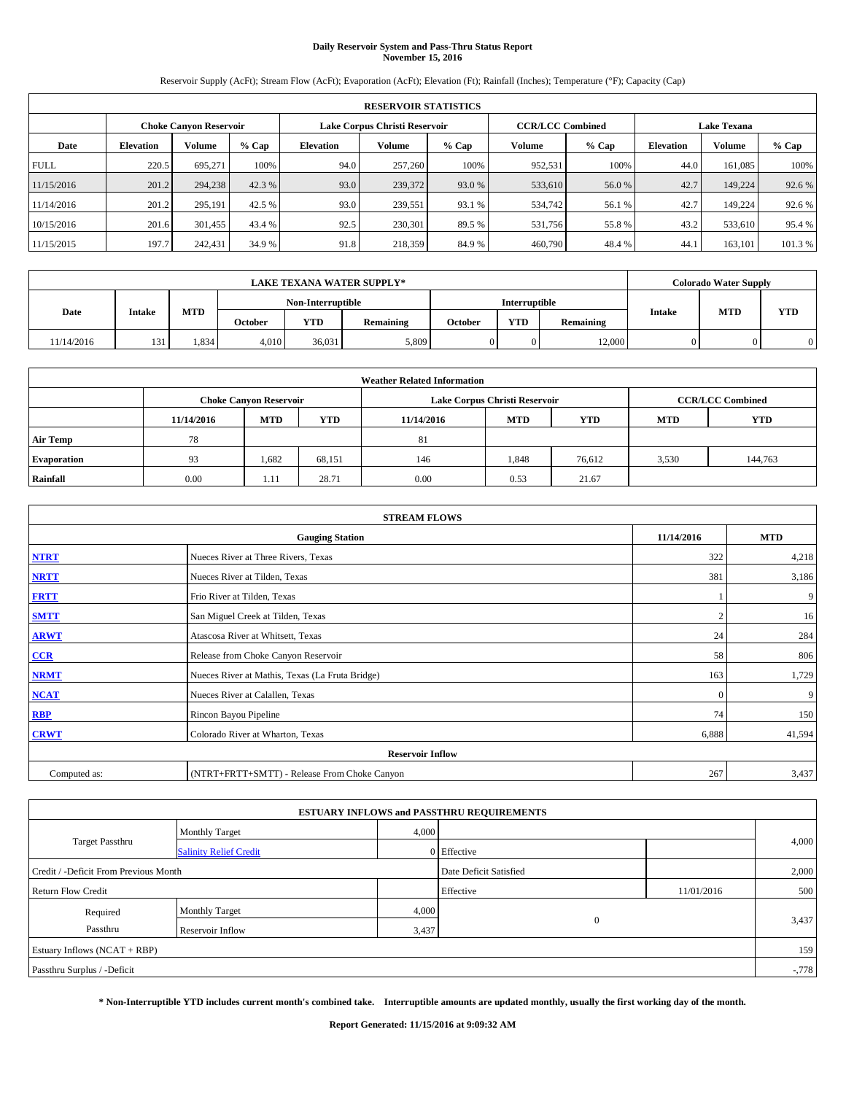# **Daily Reservoir System and Pass-Thru Status Report November 15, 2016**

Reservoir Supply (AcFt); Stream Flow (AcFt); Evaporation (AcFt); Elevation (Ft); Rainfall (Inches); Temperature (°F); Capacity (Cap)

|             | <b>RESERVOIR STATISTICS</b> |                               |         |                  |                                                          |         |         |         |                  |                    |        |
|-------------|-----------------------------|-------------------------------|---------|------------------|----------------------------------------------------------|---------|---------|---------|------------------|--------------------|--------|
|             |                             | <b>Choke Canyon Reservoir</b> |         |                  | Lake Corpus Christi Reservoir<br><b>CCR/LCC Combined</b> |         |         |         |                  | <b>Lake Texana</b> |        |
| Date        | <b>Elevation</b>            | Volume                        | $%$ Cap | <b>Elevation</b> | Volume                                                   | $%$ Cap | Volume  | $%$ Cap | <b>Elevation</b> | Volume             | % Cap  |
| <b>FULL</b> | 220.5                       | 695.271                       | 100%    | 94.0             | 257,260                                                  | 100%    | 952,531 | 100%    | 44.0             | 161,085            | 100%   |
| 11/15/2016  | 201.2                       | 294,238                       | 42.3 %  | 93.0             | 239,372                                                  | 93.0 %  | 533,610 | 56.0%   | 42.7             | 149,224            | 92.6 % |
| 11/14/2016  | 201.2                       | 295.191                       | 42.5 %  | 93.0             | 239.551                                                  | 93.1 %  | 534,742 | 56.1 %  | 42.7             | 149.224            | 92.6 % |
| 10/15/2016  | 201.6                       | 301,455                       | 43.4 %  | 92.5             | 230,301                                                  | 89.5 %  | 531,756 | 55.8%   | 43.2             | 533,610            | 95.4 % |
| 11/15/2015  | 197.7                       | 242,431                       | 34.9 %  | 91.8             | 218,359                                                  | 84.9%   | 460,790 | 48.4%   | 44.1             | 163,101            | 101.3% |

|            | <b>LAKE TEXANA WATER SUPPLY*</b> |       |         |                   |                  |         |                      |           |               | <b>Colorado Water Supply</b> |            |
|------------|----------------------------------|-------|---------|-------------------|------------------|---------|----------------------|-----------|---------------|------------------------------|------------|
|            |                                  |       |         | Non-Interruptible |                  |         | <b>Interruptible</b> |           |               |                              |            |
| Date       | Intake                           | MTD   | October | <b>YTD</b>        | <b>Remaining</b> | October | <b>YTD</b>           | Remaining | <b>Intake</b> | <b>MTD</b>                   | <b>YTD</b> |
| 11/14/2016 | 131                              | 1,834 | 4,010   | 36,031            | 5,809            |         |                      | 12,000    |               |                              |            |

| <b>Weather Related Information</b> |            |                               |            |            |                                                      |                         |       |         |  |  |
|------------------------------------|------------|-------------------------------|------------|------------|------------------------------------------------------|-------------------------|-------|---------|--|--|
|                                    |            | <b>Choke Canyon Reservoir</b> |            |            | Lake Corpus Christi Reservoir                        | <b>CCR/LCC Combined</b> |       |         |  |  |
|                                    | 11/14/2016 | <b>MTD</b>                    | <b>YTD</b> | 11/14/2016 | <b>YTD</b><br><b>MTD</b><br><b>YTD</b><br><b>MTD</b> |                         |       |         |  |  |
| <b>Air Temp</b>                    | 78         |                               |            | 81         |                                                      |                         |       |         |  |  |
| <b>Evaporation</b>                 | 93         | 1,682                         | 68,151     | 146        | 1,848                                                | 76,612                  | 3,530 | 144,763 |  |  |
| Rainfall                           | 0.00       | 1.11                          | 28.71      | 0.00       | 0.53                                                 | 21.67                   |       |         |  |  |

| <b>STREAM FLOWS</b> |                                                 |              |        |  |  |  |  |  |  |
|---------------------|-------------------------------------------------|--------------|--------|--|--|--|--|--|--|
|                     | 11/14/2016                                      | <b>MTD</b>   |        |  |  |  |  |  |  |
| <b>NTRT</b>         | Nueces River at Three Rivers, Texas             | 322          | 4,218  |  |  |  |  |  |  |
| <b>NRTT</b>         | Nueces River at Tilden, Texas                   | 381          | 3,186  |  |  |  |  |  |  |
| <b>FRTT</b>         | Frio River at Tilden, Texas                     |              | 9      |  |  |  |  |  |  |
| <b>SMTT</b>         | San Miguel Creek at Tilden, Texas               |              | 16     |  |  |  |  |  |  |
| <b>ARWT</b>         | Atascosa River at Whitsett, Texas               | 24           | 284    |  |  |  |  |  |  |
| $CCR$               | Release from Choke Canyon Reservoir             | 58           | 806    |  |  |  |  |  |  |
| <b>NRMT</b>         | Nueces River at Mathis, Texas (La Fruta Bridge) | 163          | 1,729  |  |  |  |  |  |  |
| <b>NCAT</b>         | Nueces River at Calallen, Texas                 | $\mathbf{0}$ | 9      |  |  |  |  |  |  |
| RBP                 | Rincon Bayou Pipeline                           | 74           | 150    |  |  |  |  |  |  |
| <b>CRWT</b>         | Colorado River at Wharton, Texas                | 6,888        | 41,594 |  |  |  |  |  |  |
|                     | <b>Reservoir Inflow</b>                         |              |        |  |  |  |  |  |  |
| Computed as:        | (NTRT+FRTT+SMTT) - Release From Choke Canyon    | 267          | 3,437  |  |  |  |  |  |  |

|                                       |                               |       | <b>ESTUARY INFLOWS and PASSTHRU REQUIREMENTS</b> |            |          |
|---------------------------------------|-------------------------------|-------|--------------------------------------------------|------------|----------|
|                                       | <b>Monthly Target</b>         | 4,000 |                                                  |            |          |
| <b>Target Passthru</b>                | <b>Salinity Relief Credit</b> |       | 0 Effective                                      |            | 4,000    |
| Credit / -Deficit From Previous Month |                               |       | Date Deficit Satisfied                           |            | 2,000    |
| <b>Return Flow Credit</b>             |                               |       | Effective                                        | 11/01/2016 | 500      |
| Required                              | Monthly Target                | 4,000 |                                                  |            |          |
| Passthru<br>Reservoir Inflow          |                               |       | $\mathbf{0}$<br>3,437                            |            | 3,437    |
| Estuary Inflows (NCAT + RBP)          |                               |       |                                                  |            | 159      |
| Passthru Surplus / -Deficit           |                               |       |                                                  |            | $-0.778$ |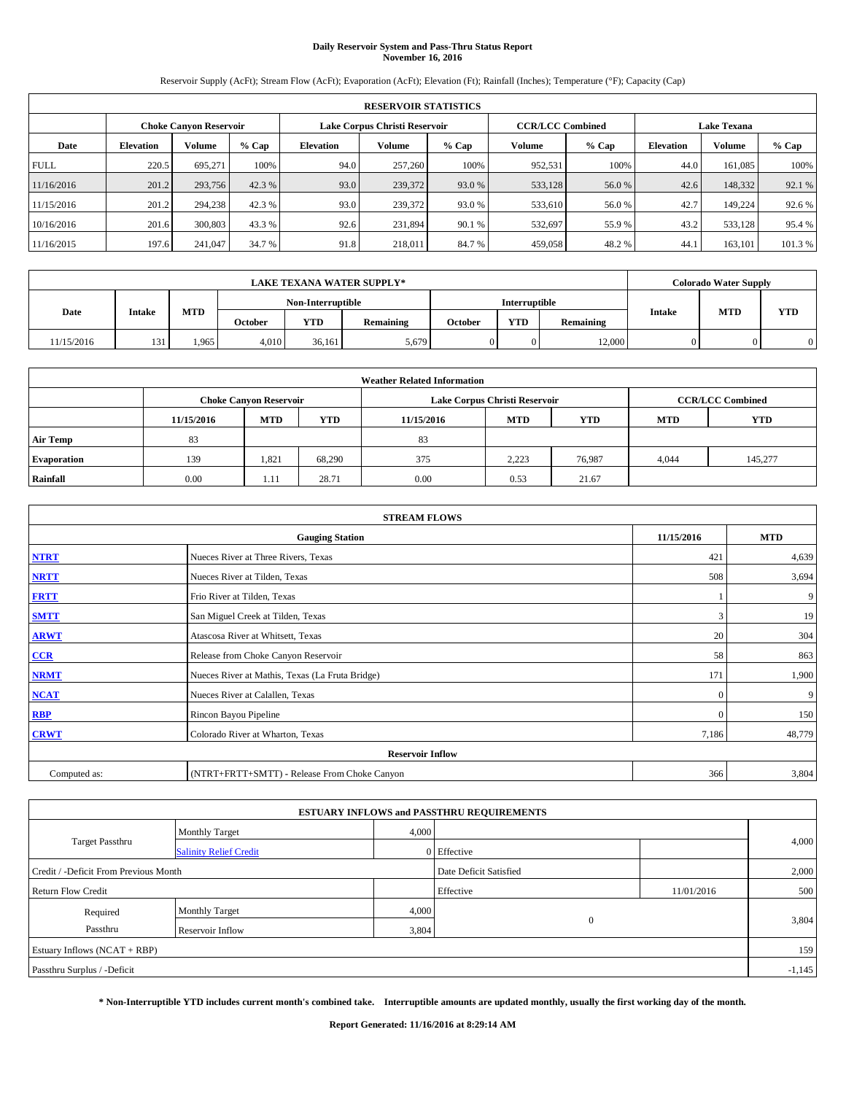# **Daily Reservoir System and Pass-Thru Status Report November 16, 2016**

Reservoir Supply (AcFt); Stream Flow (AcFt); Evaporation (AcFt); Elevation (Ft); Rainfall (Inches); Temperature (°F); Capacity (Cap)

| <b>RESERVOIR STATISTICS</b> |                  |                        |         |                               |               |         |                         |         |                  |                    |        |  |
|-----------------------------|------------------|------------------------|---------|-------------------------------|---------------|---------|-------------------------|---------|------------------|--------------------|--------|--|
|                             |                  | Choke Canvon Reservoir |         | Lake Corpus Christi Reservoir |               |         | <b>CCR/LCC Combined</b> |         |                  | <b>Lake Texana</b> |        |  |
| Date                        | <b>Elevation</b> | Volume                 | $%$ Cap | <b>Elevation</b>              | <b>Volume</b> | $%$ Cap | Volume                  | $%$ Cap | <b>Elevation</b> | <b>Volume</b>      | % Cap  |  |
| <b>FULL</b>                 | 220.5            | 695.271                | 100%    | 94.0                          | 257,260       | 100%    | 952.531                 | 100%    | 44.0             | 161.085            | 100%   |  |
| 11/16/2016                  | 201.2            | 293,756                | 42.3 %  | 93.0                          | 239,372       | 93.0 %  | 533,128                 | 56.0 %  | 42.6             | 148,332            | 92.1 % |  |
| 11/15/2016                  | 201.2            | 294,238                | 42.3 %  | 93.0                          | 239,372       | 93.0 %  | 533,610                 | 56.0 %  | 42.7             | 149.224            | 92.6 % |  |
| 10/16/2016                  | 201.6            | 300,803                | 43.3 %  | 92.6                          | 231.894       | 90.1 %  | 532,697                 | 55.9%   | 43.2             | 533,128            | 95.4 % |  |
| 11/16/2015                  | 197.6            | 241,047                | 34.7 %  | 91.8                          | 218,011       | 84.7%   | 459,058                 | 48.2%   | 44.              | 163.101            | 101.3% |  |

| <b>LAKE TEXANA WATER SUPPLY*</b> |        |       |         |                   |                  |         |                      |           |               | <b>Colorado Water Supply</b> |            |
|----------------------------------|--------|-------|---------|-------------------|------------------|---------|----------------------|-----------|---------------|------------------------------|------------|
|                                  |        |       |         | Non-Interruptible |                  |         | <b>Interruptible</b> |           |               |                              |            |
| Date                             | Intake | MTD   | October | <b>YTD</b>        | <b>Remaining</b> | October | <b>YTD</b>           | Remaining | <b>Intake</b> | <b>MTD</b>                   | <b>YTD</b> |
| 11/15/2016                       | 131    | 1,965 | 4,010   | 36.161            | 5,679            |         |                      | 12,000    |               |                              |            |

| <b>Weather Related Information</b> |            |                               |            |            |                                                      |                         |       |         |  |  |
|------------------------------------|------------|-------------------------------|------------|------------|------------------------------------------------------|-------------------------|-------|---------|--|--|
|                                    |            | <b>Choke Canyon Reservoir</b> |            |            | Lake Corpus Christi Reservoir                        | <b>CCR/LCC Combined</b> |       |         |  |  |
|                                    | 11/15/2016 | <b>MTD</b>                    | <b>YTD</b> | 11/15/2016 | <b>YTD</b><br><b>MTD</b><br><b>YTD</b><br><b>MTD</b> |                         |       |         |  |  |
| <b>Air Temp</b>                    | 83         |                               |            | 83         |                                                      |                         |       |         |  |  |
| <b>Evaporation</b>                 | 139        | 1,821                         | 68.290     | 375        | 2,223                                                | 76.987                  | 4,044 | 145,277 |  |  |
| Rainfall                           | 0.00       | 1.11                          | 28.71      | 0.00       | 0.53                                                 | 21.67                   |       |         |  |  |

| <b>STREAM FLOWS</b> |                                                 |              |        |  |  |  |  |  |  |
|---------------------|-------------------------------------------------|--------------|--------|--|--|--|--|--|--|
|                     | 11/15/2016                                      | <b>MTD</b>   |        |  |  |  |  |  |  |
| <b>NTRT</b>         | Nueces River at Three Rivers, Texas             | 421          | 4,639  |  |  |  |  |  |  |
| <b>NRTT</b>         | Nueces River at Tilden, Texas                   | 508          | 3,694  |  |  |  |  |  |  |
| <b>FRTT</b>         | Frio River at Tilden, Texas                     |              | 9      |  |  |  |  |  |  |
| <b>SMTT</b>         | San Miguel Creek at Tilden, Texas               | 3            | 19     |  |  |  |  |  |  |
| <b>ARWT</b>         | Atascosa River at Whitsett, Texas               | 20           | 304    |  |  |  |  |  |  |
| $CCR$               | Release from Choke Canyon Reservoir             | 58           | 863    |  |  |  |  |  |  |
| <b>NRMT</b>         | Nueces River at Mathis, Texas (La Fruta Bridge) | 171          | 1,900  |  |  |  |  |  |  |
| <b>NCAT</b>         | Nueces River at Calallen, Texas                 | $\mathbf{0}$ | 9      |  |  |  |  |  |  |
| RBP                 | Rincon Bayou Pipeline                           | $\Omega$     | 150    |  |  |  |  |  |  |
| <b>CRWT</b>         | Colorado River at Wharton, Texas                | 7,186        | 48,779 |  |  |  |  |  |  |
|                     | <b>Reservoir Inflow</b>                         |              |        |  |  |  |  |  |  |
| Computed as:        | (NTRT+FRTT+SMTT) - Release From Choke Canyon    | 366          | 3,804  |  |  |  |  |  |  |

|                                       |                                                        |                        | <b>ESTUARY INFLOWS and PASSTHRU REQUIREMENTS</b> |            |       |  |  |  |
|---------------------------------------|--------------------------------------------------------|------------------------|--------------------------------------------------|------------|-------|--|--|--|
|                                       | <b>Monthly Target</b><br><b>Salinity Relief Credit</b> |                        | 4,000                                            |            |       |  |  |  |
| <b>Target Passthru</b>                |                                                        |                        | 0 Effective                                      |            | 4,000 |  |  |  |
| Credit / -Deficit From Previous Month |                                                        | Date Deficit Satisfied |                                                  | 2,000      |       |  |  |  |
| <b>Return Flow Credit</b>             |                                                        |                        | Effective                                        | 11/01/2016 | 500   |  |  |  |
| Required                              | <b>Monthly Target</b>                                  | 4,000                  |                                                  |            |       |  |  |  |
| Passthru                              | Reservoir Inflow                                       | 3,804                  | $\Omega$                                         |            | 3,804 |  |  |  |
| Estuary Inflows $(NCAT + RBP)$        |                                                        |                        |                                                  |            |       |  |  |  |
| Passthru Surplus / -Deficit           |                                                        |                        |                                                  |            |       |  |  |  |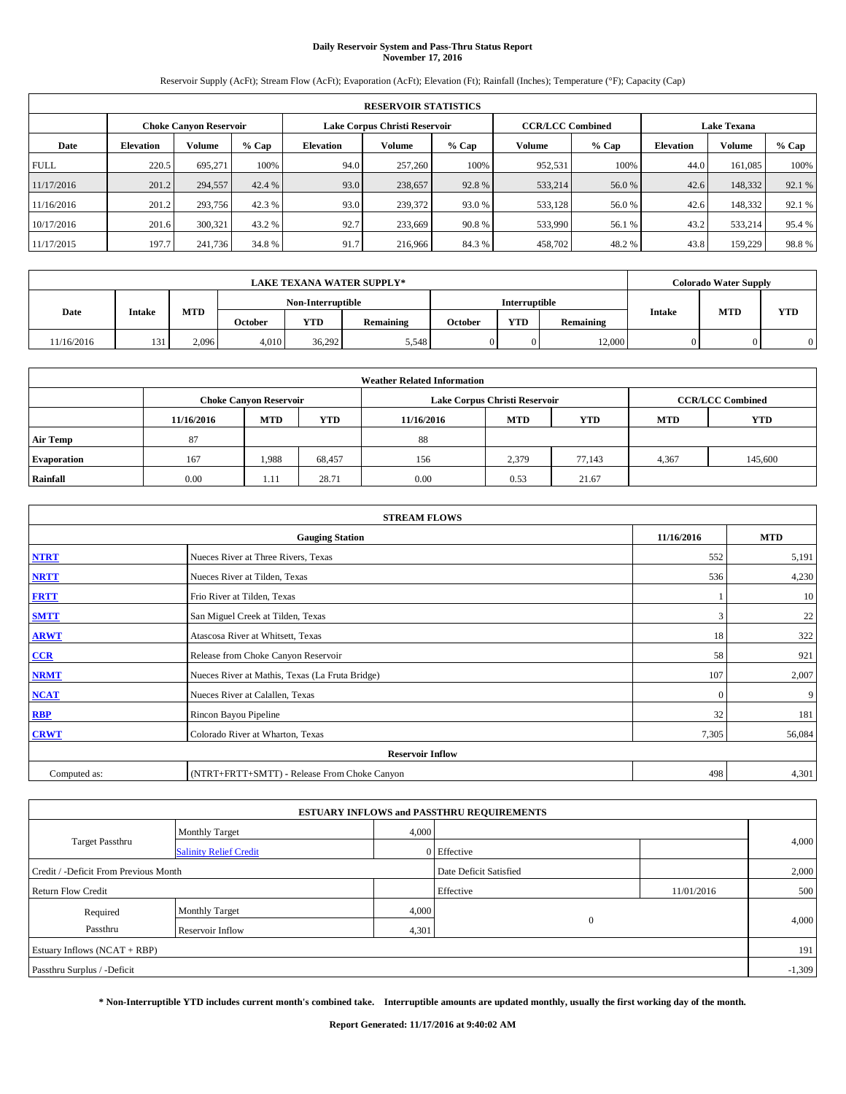# **Daily Reservoir System and Pass-Thru Status Report November 17, 2016**

Reservoir Supply (AcFt); Stream Flow (AcFt); Evaporation (AcFt); Elevation (Ft); Rainfall (Inches); Temperature (°F); Capacity (Cap)

| <b>RESERVOIR STATISTICS</b> |                  |                               |        |                               |         |        |                         |         |                    |               |        |
|-----------------------------|------------------|-------------------------------|--------|-------------------------------|---------|--------|-------------------------|---------|--------------------|---------------|--------|
|                             |                  | <b>Choke Canvon Reservoir</b> |        | Lake Corpus Christi Reservoir |         |        | <b>CCR/LCC Combined</b> |         | <b>Lake Texana</b> |               |        |
| Date                        | <b>Elevation</b> | <b>Volume</b>                 | % Cap  | Elevation                     | Volume  | % Cap  | Volume                  | $%$ Cap | <b>Elevation</b>   | <b>Volume</b> | % Cap  |
| <b>FULL</b>                 | 220.5            | 695.271                       | 100%   | 94.0                          | 257,260 | 100%   | 952,531                 | 100%    | 44.0               | 161,085       | 100%   |
| 11/17/2016                  | 201.2            | 294,557                       | 42.4 % | 93.0                          | 238,657 | 92.8%  | 533,214                 | 56.0%   | 42.6               | 148,332       | 92.1 % |
| 11/16/2016                  | 201.2            | 293,756                       | 42.3 % | 93.0                          | 239,372 | 93.0 % | 533,128                 | 56.0%   | 42.6               | 148,332       | 92.1 % |
| 10/17/2016                  | 201.6            | 300,321                       | 43.2 % | 92.7                          | 233,669 | 90.8%  | 533,990                 | 56.1 %  | 43.2               | 533,214       | 95.4 % |
| 11/17/2015                  | 197.7            | 241,736                       | 34.8%  | 91.7                          | 216,966 | 84.3 % | 458,702                 | 48.2%   | 43.8               | 159,229       | 98.8%  |

| <b>LAKE TEXANA WATER SUPPLY*</b> |        |       |                |                   |                  |         |                      |           |               | <b>Colorado Water Supply</b> |     |
|----------------------------------|--------|-------|----------------|-------------------|------------------|---------|----------------------|-----------|---------------|------------------------------|-----|
|                                  |        |       |                | Non-Interruptible |                  |         | <b>Interruptible</b> |           |               |                              |     |
| Date                             | Intake | MTD   | <b>October</b> | <b>YTD</b>        | <b>Remaining</b> | October | <b>YTD</b>           | Remaining | <b>Intake</b> | <b>MTD</b>                   | YTD |
| 11/16/2016                       | 131    | 2,096 | 4.010          | 36.292            | 5,548            |         |                      | 12,000    |               |                              |     |

| <b>Weather Related Information</b> |            |                               |            |            |                                                      |                         |       |         |  |  |  |
|------------------------------------|------------|-------------------------------|------------|------------|------------------------------------------------------|-------------------------|-------|---------|--|--|--|
|                                    |            | <b>Choke Canyon Reservoir</b> |            |            | Lake Corpus Christi Reservoir                        | <b>CCR/LCC Combined</b> |       |         |  |  |  |
|                                    | 11/16/2016 | <b>MTD</b>                    | <b>YTD</b> | 11/16/2016 | <b>YTD</b><br><b>MTD</b><br><b>YTD</b><br><b>MTD</b> |                         |       |         |  |  |  |
| <b>Air Temp</b>                    | 87         |                               |            | 88         |                                                      |                         |       |         |  |  |  |
| <b>Evaporation</b>                 | 167        | 1,988                         | 68,457     | 156        | 2,379                                                | 77,143                  | 4,367 | 145,600 |  |  |  |
| Rainfall                           | 0.00       | 1.11                          | 28.71      | 0.00       | 0.53                                                 | 21.67                   |       |         |  |  |  |

| <b>STREAM FLOWS</b> |                                                 |            |        |  |  |  |  |  |  |
|---------------------|-------------------------------------------------|------------|--------|--|--|--|--|--|--|
|                     | 11/16/2016                                      | <b>MTD</b> |        |  |  |  |  |  |  |
| <b>NTRT</b>         | Nueces River at Three Rivers, Texas             | 552        | 5,191  |  |  |  |  |  |  |
| <b>NRTT</b>         | Nueces River at Tilden, Texas                   | 536        | 4,230  |  |  |  |  |  |  |
| <b>FRTT</b>         | Frio River at Tilden, Texas                     |            | 10     |  |  |  |  |  |  |
| <b>SMTT</b>         | San Miguel Creek at Tilden, Texas               | 3          | 22     |  |  |  |  |  |  |
| <b>ARWT</b>         | Atascosa River at Whitsett, Texas               | 18         | 322    |  |  |  |  |  |  |
| $CCR$               | Release from Choke Canyon Reservoir             | 58         | 921    |  |  |  |  |  |  |
| <b>NRMT</b>         | Nueces River at Mathis, Texas (La Fruta Bridge) | 107        | 2,007  |  |  |  |  |  |  |
| <b>NCAT</b>         | Nueces River at Calallen, Texas                 | $\Omega$   | 9      |  |  |  |  |  |  |
| <b>RBP</b>          | Rincon Bayou Pipeline                           | 32         | 181    |  |  |  |  |  |  |
| <b>CRWT</b>         | Colorado River at Wharton, Texas                | 7,305      | 56,084 |  |  |  |  |  |  |
|                     |                                                 |            |        |  |  |  |  |  |  |
| Computed as:        | (NTRT+FRTT+SMTT) - Release From Choke Canyon    | 498        | 4,301  |  |  |  |  |  |  |

| <b>ESTUARY INFLOWS and PASSTHRU REQUIREMENTS</b> |                               |       |                        |            |       |  |  |  |  |  |
|--------------------------------------------------|-------------------------------|-------|------------------------|------------|-------|--|--|--|--|--|
|                                                  | <b>Monthly Target</b>         | 4,000 |                        |            |       |  |  |  |  |  |
| <b>Target Passthru</b>                           | <b>Salinity Relief Credit</b> |       | 0 Effective            |            | 4,000 |  |  |  |  |  |
| Credit / -Deficit From Previous Month            |                               |       | Date Deficit Satisfied |            | 2,000 |  |  |  |  |  |
| <b>Return Flow Credit</b>                        |                               |       | Effective              | 11/01/2016 | 500   |  |  |  |  |  |
| Required                                         | <b>Monthly Target</b>         | 4,000 |                        |            |       |  |  |  |  |  |
| Passthru                                         | Reservoir Inflow              | 4,301 | $\Omega$               |            | 4,000 |  |  |  |  |  |
| Estuary Inflows $(NCAT + RBP)$                   |                               |       |                        |            |       |  |  |  |  |  |
| Passthru Surplus / -Deficit                      |                               |       |                        |            |       |  |  |  |  |  |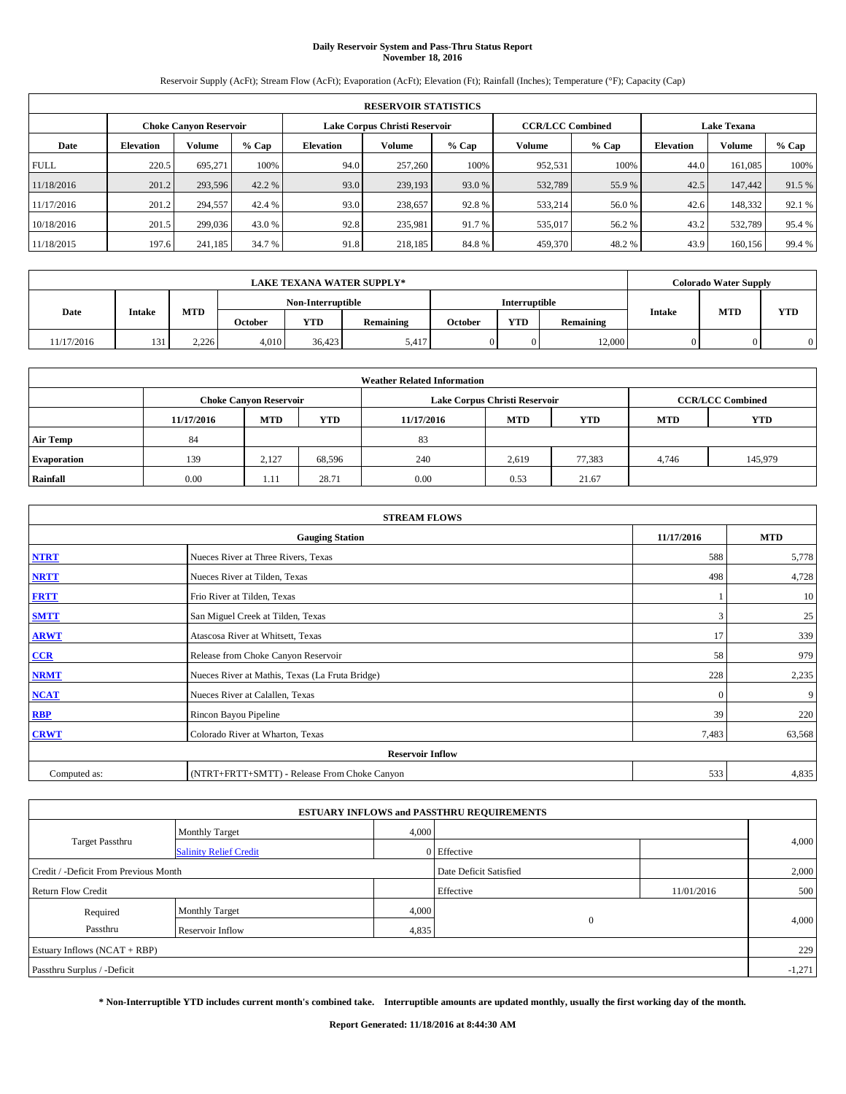# **Daily Reservoir System and Pass-Thru Status Report November 18, 2016**

Reservoir Supply (AcFt); Stream Flow (AcFt); Evaporation (AcFt); Elevation (Ft); Rainfall (Inches); Temperature (°F); Capacity (Cap)

|                               | <b>RESERVOIR STATISTICS</b> |               |        |                  |                               |        |                                               |         |                  |               |        |  |
|-------------------------------|-----------------------------|---------------|--------|------------------|-------------------------------|--------|-----------------------------------------------|---------|------------------|---------------|--------|--|
| <b>Choke Canvon Reservoir</b> |                             |               |        |                  | Lake Corpus Christi Reservoir |        | <b>CCR/LCC Combined</b><br><b>Lake Texana</b> |         |                  |               |        |  |
| Date                          | <b>Elevation</b>            | <b>Volume</b> | % Cap  | <b>Elevation</b> | Volume                        | % Cap  | Volume                                        | $%$ Cap | <b>Elevation</b> | <b>Volume</b> | % Cap  |  |
| <b>FULL</b>                   | 220.5                       | 695,271       | 100%   | 94.0             | 257,260                       | 100%   | 952.531                                       | 100%    | 44.0             | 161,085       | 100%   |  |
| 11/18/2016                    | 201.2                       | 293,596       | 42.2 % | 93.0             | 239,193                       | 93.0 % | 532,789                                       | 55.9%   | 42.5             | 147,442       | 91.5 % |  |
| 11/17/2016                    | 201.2                       | 294,557       | 42.4 % | 93.0             | 238,657                       | 92.8%  | 533,214                                       | 56.0%   | 42.6             | 148,332       | 92.1 % |  |
| 10/18/2016                    | 201.5                       | 299,036       | 43.0 % | 92.8             | 235,981                       | 91.7 % | 535,017                                       | 56.2%   | 43.2             | 532,789       | 95.4 % |  |
| 11/18/2015                    | 197.6                       | 241,185       | 34.7 % | 91.8             | 218,185                       | 84.8%  | 459,370                                       | 48.2%   | 43.9             | 160,156       | 99.4 % |  |

|            |        |       |                   |            | <b>LAKE TEXANA WATER SUPPLY*</b> |                      |            |           | <b>Colorado Water Supply</b> |            |
|------------|--------|-------|-------------------|------------|----------------------------------|----------------------|------------|-----------|------------------------------|------------|
|            |        |       | Non-Interruptible |            |                                  | <b>Interruptible</b> |            |           |                              |            |
| Date       | Intake | MTD   | <b>October</b>    | <b>YTD</b> | <b>Remaining</b>                 | October              | <b>YTD</b> | Remaining | <b>MTD</b><br><b>Intake</b>  | <b>YTD</b> |
| 11/17/2016 | 131    | 2,226 | 4.010             | 36,423     | 5.417                            |                      |            | 12,000    |                              |            |

| <b>Weather Related Information</b> |            |                                                                                  |        |      |                               |        |                         |         |  |  |  |
|------------------------------------|------------|----------------------------------------------------------------------------------|--------|------|-------------------------------|--------|-------------------------|---------|--|--|--|
|                                    |            | <b>Choke Canyon Reservoir</b>                                                    |        |      | Lake Corpus Christi Reservoir |        | <b>CCR/LCC Combined</b> |         |  |  |  |
|                                    | 11/17/2016 | <b>YTD</b><br><b>MTD</b><br><b>MTD</b><br><b>YTD</b><br><b>MTD</b><br>11/17/2016 |        |      |                               |        |                         |         |  |  |  |
| <b>Air Temp</b>                    | 84         |                                                                                  |        | 83   |                               |        |                         |         |  |  |  |
| <b>Evaporation</b>                 | 139        | 2,127                                                                            | 68,596 | 240  | 2,619                         | 77,383 | 4,746                   | 145,979 |  |  |  |
| Rainfall                           | 0.00       | 1.11                                                                             | 28.71  | 0.00 | 0.53                          | 21.67  |                         |         |  |  |  |

|              | <b>STREAM FLOWS</b>                             |              |            |  |  |  |  |  |  |  |
|--------------|-------------------------------------------------|--------------|------------|--|--|--|--|--|--|--|
|              | <b>Gauging Station</b>                          | 11/17/2016   | <b>MTD</b> |  |  |  |  |  |  |  |
| <b>NTRT</b>  | Nueces River at Three Rivers, Texas             | 588          | 5,778      |  |  |  |  |  |  |  |
| <b>NRTT</b>  | Nueces River at Tilden, Texas                   | 498          | 4,728      |  |  |  |  |  |  |  |
| <b>FRTT</b>  | Frio River at Tilden, Texas                     |              | 10         |  |  |  |  |  |  |  |
| <b>SMTT</b>  | San Miguel Creek at Tilden, Texas               | 3            | 25         |  |  |  |  |  |  |  |
| <b>ARWT</b>  | Atascosa River at Whitsett, Texas               | 17           | 339        |  |  |  |  |  |  |  |
| $CCR$        | Release from Choke Canyon Reservoir             | 58           | 979        |  |  |  |  |  |  |  |
| <b>NRMT</b>  | Nueces River at Mathis, Texas (La Fruta Bridge) | 228          | 2,235      |  |  |  |  |  |  |  |
| <b>NCAT</b>  | Nueces River at Calallen, Texas                 | $\mathbf{0}$ | 9          |  |  |  |  |  |  |  |
| RBP          | Rincon Bayou Pipeline                           | 39           | 220        |  |  |  |  |  |  |  |
| <b>CRWT</b>  | Colorado River at Wharton, Texas                | 7,483        | 63,568     |  |  |  |  |  |  |  |
|              | <b>Reservoir Inflow</b>                         |              |            |  |  |  |  |  |  |  |
| Computed as: | (NTRT+FRTT+SMTT) - Release From Choke Canyon    | 533          | 4,835      |  |  |  |  |  |  |  |

| <b>ESTUARY INFLOWS and PASSTHRU REQUIREMENTS</b> |                               |       |                        |            |       |  |  |  |  |  |
|--------------------------------------------------|-------------------------------|-------|------------------------|------------|-------|--|--|--|--|--|
|                                                  | <b>Monthly Target</b>         | 4,000 |                        |            |       |  |  |  |  |  |
| <b>Target Passthru</b>                           | <b>Salinity Relief Credit</b> |       | 0 Effective            |            | 4,000 |  |  |  |  |  |
| Credit / -Deficit From Previous Month            |                               |       | Date Deficit Satisfied |            | 2,000 |  |  |  |  |  |
| <b>Return Flow Credit</b>                        |                               |       | Effective              | 11/01/2016 | 500   |  |  |  |  |  |
| Required                                         | <b>Monthly Target</b>         | 4,000 |                        |            |       |  |  |  |  |  |
| Passthru                                         | Reservoir Inflow              | 4,835 | $\Omega$               |            | 4,000 |  |  |  |  |  |
| Estuary Inflows $(NCAT + RBP)$                   |                               |       |                        |            |       |  |  |  |  |  |
| Passthru Surplus / -Deficit                      |                               |       |                        |            |       |  |  |  |  |  |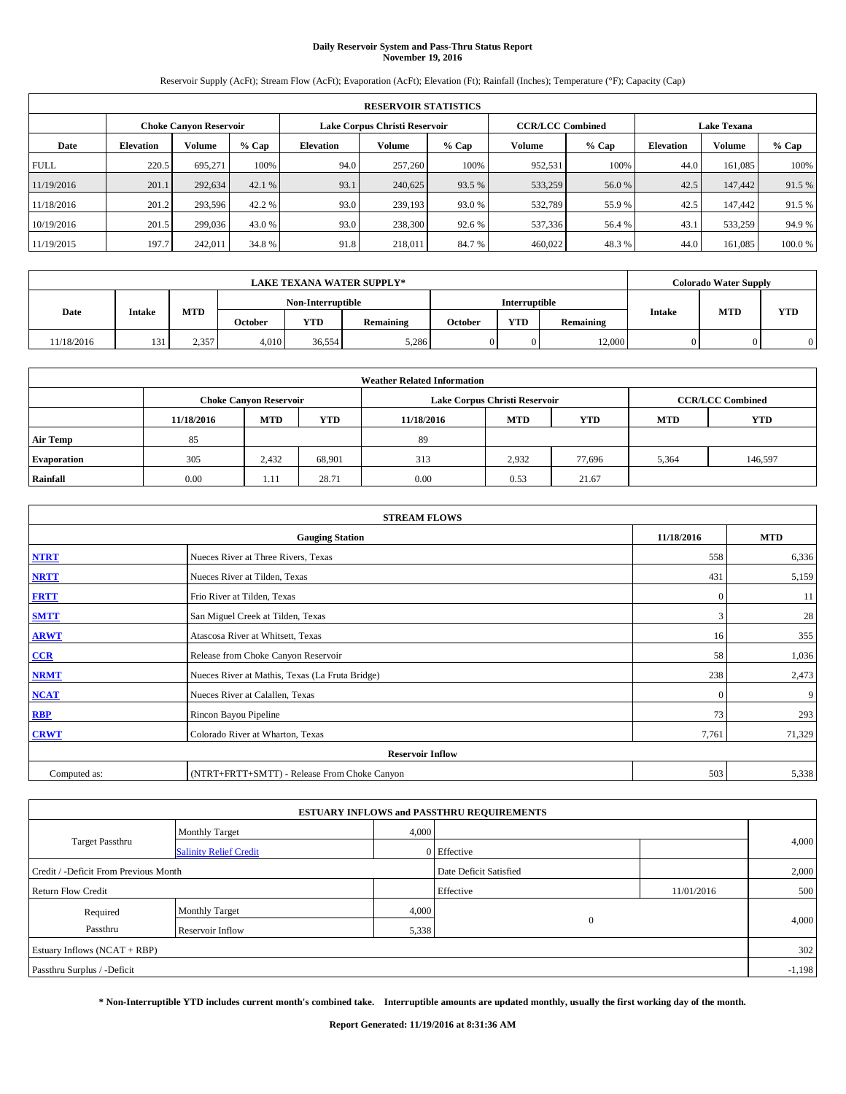# **Daily Reservoir System and Pass-Thru Status Report November 19, 2016**

Reservoir Supply (AcFt); Stream Flow (AcFt); Evaporation (AcFt); Elevation (Ft); Rainfall (Inches); Temperature (°F); Capacity (Cap)

|             | <b>RESERVOIR STATISTICS</b> |                        |         |                  |                               |         |                         |                    |                  |               |        |  |
|-------------|-----------------------------|------------------------|---------|------------------|-------------------------------|---------|-------------------------|--------------------|------------------|---------------|--------|--|
|             |                             | Choke Canvon Reservoir |         |                  | Lake Corpus Christi Reservoir |         | <b>CCR/LCC Combined</b> | <b>Lake Texana</b> |                  |               |        |  |
| Date        | <b>Elevation</b>            | Volume                 | $%$ Cap | <b>Elevation</b> | <b>Volume</b>                 | $%$ Cap | Volume                  | $%$ Cap            | <b>Elevation</b> | <b>Volume</b> | % Cap  |  |
| <b>FULL</b> | 220.5                       | 695,271                | 100%    | 94.0             | 257,260                       | 100%    | 952,531                 | 100%               | 44.0             | 161.085       | 100%   |  |
| 11/19/2016  | 201.1                       | 292,634                | 42.1 %  | 93.1             | 240,625                       | 93.5 %  | 533,259                 | 56.0 %             | 42.5             | 147,442       | 91.5%  |  |
| 11/18/2016  | 201.2                       | 293,596                | 42.2 %  | 93.0             | 239.193                       | 93.0 %  | 532,789                 | 55.9%              | 42.5             | 147,442       | 91.5 % |  |
| 10/19/2016  | 201.5                       | 299,036                | 43.0 %  | 93.0             | 238,300                       | 92.6 %  | 537,336                 | 56.4 %             | 43.              | 533,259       | 94.9%  |  |
| 11/19/2015  | 197.7                       | 242,011                | 34.8%   | 91.8             | 218,011                       | 84.7%   | 460,022                 | 48.3%              | 44.0             | 161.085       | 100.0% |  |

|            |                |       |                   |            | <b>LAKE TEXANA WATER SUPPLY*</b> |                      |            |           |               | <b>Colorado Water Supply</b> |            |
|------------|----------------|-------|-------------------|------------|----------------------------------|----------------------|------------|-----------|---------------|------------------------------|------------|
|            |                |       | Non-Interruptible |            |                                  | <b>Interruptible</b> |            |           |               |                              |            |
|            | Date<br>Intake | MTD   | October           | <b>YTD</b> | <b>Remaining</b>                 | October              | <b>YTD</b> | Remaining | <b>Intake</b> | <b>MTD</b>                   | <b>YTD</b> |
| 11/18/2016 | 131            | 2,357 | 4,010             | 36.554     | 5,286                            |                      |            | 12,000    |               |                              |            |

| <b>Weather Related Information</b> |            |                                                                                  |        |      |                               |        |                         |         |  |  |  |
|------------------------------------|------------|----------------------------------------------------------------------------------|--------|------|-------------------------------|--------|-------------------------|---------|--|--|--|
|                                    |            | <b>Choke Canyon Reservoir</b>                                                    |        |      | Lake Corpus Christi Reservoir |        | <b>CCR/LCC Combined</b> |         |  |  |  |
|                                    | 11/18/2016 | <b>YTD</b><br><b>MTD</b><br><b>MTD</b><br><b>YTD</b><br>11/18/2016<br><b>MTD</b> |        |      |                               |        |                         |         |  |  |  |
| <b>Air Temp</b>                    | 85         |                                                                                  |        | 89   |                               |        |                         |         |  |  |  |
| <b>Evaporation</b>                 | 305        | 2,432                                                                            | 68,901 | 313  | 2,932                         | 77.696 | 5,364                   | 146,597 |  |  |  |
| Rainfall                           | 0.00       | ---                                                                              | 28.71  | 0.00 | 0.53                          | 21.67  |                         |         |  |  |  |

|              | <b>STREAM FLOWS</b>                             |              |            |  |  |  |  |  |  |  |
|--------------|-------------------------------------------------|--------------|------------|--|--|--|--|--|--|--|
|              | <b>Gauging Station</b>                          | 11/18/2016   | <b>MTD</b> |  |  |  |  |  |  |  |
| <b>NTRT</b>  | Nueces River at Three Rivers, Texas             | 558          | 6,336      |  |  |  |  |  |  |  |
| <b>NRTT</b>  | Nueces River at Tilden, Texas                   | 431          | 5,159      |  |  |  |  |  |  |  |
| <b>FRTT</b>  | Frio River at Tilden, Texas                     | $\mathbf{0}$ | 11         |  |  |  |  |  |  |  |
| <b>SMTT</b>  | San Miguel Creek at Tilden, Texas               | 3            | 28         |  |  |  |  |  |  |  |
| <b>ARWT</b>  | Atascosa River at Whitsett, Texas               | 16           | 355        |  |  |  |  |  |  |  |
| $CCR$        | Release from Choke Canyon Reservoir             | 58           | 1,036      |  |  |  |  |  |  |  |
| <b>NRMT</b>  | Nueces River at Mathis, Texas (La Fruta Bridge) | 238          | 2,473      |  |  |  |  |  |  |  |
| <b>NCAT</b>  | Nueces River at Calallen, Texas                 | $\mathbf{0}$ | 9          |  |  |  |  |  |  |  |
| RBP          | Rincon Bayou Pipeline                           | 73           | 293        |  |  |  |  |  |  |  |
| <b>CRWT</b>  | Colorado River at Wharton, Texas                | 7,761        | 71,329     |  |  |  |  |  |  |  |
|              | <b>Reservoir Inflow</b>                         |              |            |  |  |  |  |  |  |  |
| Computed as: | (NTRT+FRTT+SMTT) - Release From Choke Canyon    | 503          | 5,338      |  |  |  |  |  |  |  |

| <b>ESTUARY INFLOWS and PASSTHRU REQUIREMENTS</b> |                               |       |                        |            |       |  |  |  |  |  |
|--------------------------------------------------|-------------------------------|-------|------------------------|------------|-------|--|--|--|--|--|
|                                                  | <b>Monthly Target</b>         | 4,000 |                        |            |       |  |  |  |  |  |
| <b>Target Passthru</b>                           | <b>Salinity Relief Credit</b> |       | 0 Effective            |            | 4,000 |  |  |  |  |  |
| Credit / -Deficit From Previous Month            |                               |       | Date Deficit Satisfied |            | 2,000 |  |  |  |  |  |
| <b>Return Flow Credit</b>                        |                               |       | Effective              | 11/01/2016 | 500   |  |  |  |  |  |
| Required                                         | <b>Monthly Target</b>         | 4,000 |                        |            |       |  |  |  |  |  |
| Passthru                                         | Reservoir Inflow              | 5,338 | $\Omega$               |            | 4,000 |  |  |  |  |  |
| Estuary Inflows $(NCAT + RBP)$                   |                               |       |                        |            |       |  |  |  |  |  |
| Passthru Surplus / -Deficit                      |                               |       |                        |            |       |  |  |  |  |  |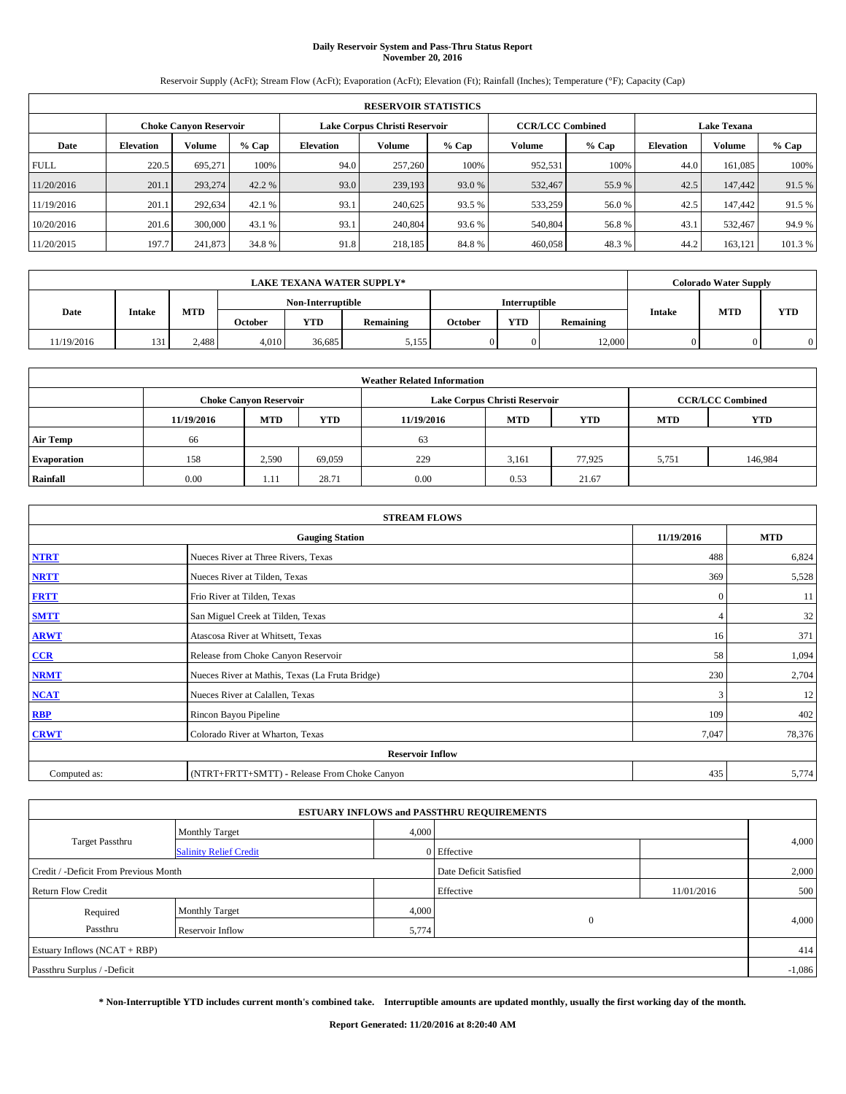# **Daily Reservoir System and Pass-Thru Status Report November 20, 2016**

Reservoir Supply (AcFt); Stream Flow (AcFt); Evaporation (AcFt); Elevation (Ft); Rainfall (Inches); Temperature (°F); Capacity (Cap)

|             | <b>RESERVOIR STATISTICS</b> |                        |         |                  |                               |         |                                               |         |                  |               |        |  |
|-------------|-----------------------------|------------------------|---------|------------------|-------------------------------|---------|-----------------------------------------------|---------|------------------|---------------|--------|--|
|             |                             | Choke Canvon Reservoir |         |                  | Lake Corpus Christi Reservoir |         | <b>CCR/LCC Combined</b><br><b>Lake Texana</b> |         |                  |               |        |  |
| Date        | <b>Elevation</b>            | Volume                 | $%$ Cap | <b>Elevation</b> | <b>Volume</b>                 | $%$ Cap | Volume                                        | $%$ Cap | <b>Elevation</b> | <b>Volume</b> | % Cap  |  |
| <b>FULL</b> | 220.5                       | 695,271                | 100%    | 94.0             | 257,260                       | 100%    | 952,531                                       | 100%    | 44.0             | 161.085       | 100%   |  |
| 11/20/2016  | 201.1                       | 293,274                | 42.2 %  | 93.0             | 239,193                       | 93.0 %  | 532,467                                       | 55.9%   | 42.5             | 147,442       | 91.5%  |  |
| 11/19/2016  | 201.1                       | 292,634                | 42.1 %  | 93.1             | 240,625                       | 93.5 %  | 533,259                                       | 56.0%   | 42.5             | 147,442       | 91.5 % |  |
| 10/20/2016  | 201.6                       | 300,000                | 43.1 %  | 93.1             | 240,804                       | 93.6 %  | 540,804                                       | 56.8%   | 43.              | 532.467       | 94.9%  |  |
| 11/20/2015  | 197.7                       | 241,873                | 34.8%   | 91.8             | 218,185                       | 84.8%   | 460,058                                       | 48.3%   | 44.2             | 163,121       | 101.3% |  |

|            |        |       |         |                   | <b>LAKE TEXANA WATER SUPPLY*</b> |         |                      |           |  | <b>Colorado Water Supply</b> |            |  |
|------------|--------|-------|---------|-------------------|----------------------------------|---------|----------------------|-----------|--|------------------------------|------------|--|
|            |        |       |         | Non-Interruptible |                                  |         | <b>Interruptible</b> |           |  | <b>MTD</b><br><b>Intake</b>  |            |  |
| Date       | Intake | MTD   | October | <b>YTD</b>        | <b>Remaining</b>                 | October | <b>YTD</b>           | Remaining |  |                              | <b>YTD</b> |  |
| 11/19/2016 | 131    | 2,488 | 4,010   | 36.685            | 5,155                            |         |                      | 12,000    |  |                              |            |  |

|                    | <b>Weather Related Information</b> |                                                                                  |        |      |                               |                         |       |         |  |  |  |  |
|--------------------|------------------------------------|----------------------------------------------------------------------------------|--------|------|-------------------------------|-------------------------|-------|---------|--|--|--|--|
|                    |                                    | <b>Choke Canyon Reservoir</b>                                                    |        |      | Lake Corpus Christi Reservoir | <b>CCR/LCC Combined</b> |       |         |  |  |  |  |
|                    | 11/19/2016                         | <b>YTD</b><br><b>MTD</b><br><b>MTD</b><br><b>YTD</b><br><b>MTD</b><br>11/19/2016 |        |      |                               |                         |       |         |  |  |  |  |
| <b>Air Temp</b>    | 66                                 |                                                                                  |        | 63   |                               |                         |       |         |  |  |  |  |
| <b>Evaporation</b> | 158                                | 2,590                                                                            | 69.059 | 229  | 3,161                         | 77.925                  | 5,751 | 146,984 |  |  |  |  |
| Rainfall           | 0.00                               | 1.11                                                                             | 28.71  | 0.00 | 0.53                          | 21.67                   |       |         |  |  |  |  |

| <b>STREAM FLOWS</b> |                                                 |              |            |  |  |  |  |  |
|---------------------|-------------------------------------------------|--------------|------------|--|--|--|--|--|
|                     | <b>Gauging Station</b>                          | 11/19/2016   | <b>MTD</b> |  |  |  |  |  |
| <b>NTRT</b>         | Nueces River at Three Rivers, Texas             | 488          | 6,824      |  |  |  |  |  |
| <b>NRTT</b>         | Nueces River at Tilden, Texas                   | 369          | 5,528      |  |  |  |  |  |
| <b>FRTT</b>         | Frio River at Tilden, Texas                     | $\mathbf{0}$ | 11         |  |  |  |  |  |
| <b>SMTT</b>         | San Miguel Creek at Tilden, Texas               |              | 32         |  |  |  |  |  |
| <b>ARWT</b>         | Atascosa River at Whitsett, Texas               | 16           | 371        |  |  |  |  |  |
| $CCR$               | Release from Choke Canyon Reservoir             | 58           | 1,094      |  |  |  |  |  |
| <b>NRMT</b>         | Nueces River at Mathis, Texas (La Fruta Bridge) | 230          | 2,704      |  |  |  |  |  |
| <b>NCAT</b>         | Nueces River at Calallen, Texas                 | 3            | 12         |  |  |  |  |  |
| RBP                 | Rincon Bayou Pipeline                           | 109          | 402        |  |  |  |  |  |
| <b>CRWT</b>         | Colorado River at Wharton, Texas                | 7,047        | 78,376     |  |  |  |  |  |
|                     | <b>Reservoir Inflow</b>                         |              |            |  |  |  |  |  |
| Computed as:        | (NTRT+FRTT+SMTT) - Release From Choke Canyon    | 435          | 5,774      |  |  |  |  |  |

|                                       |                               |                        | <b>ESTUARY INFLOWS and PASSTHRU REQUIREMENTS</b> |            |          |  |
|---------------------------------------|-------------------------------|------------------------|--------------------------------------------------|------------|----------|--|
|                                       | <b>Monthly Target</b>         | 4,000                  |                                                  |            |          |  |
| <b>Target Passthru</b>                | <b>Salinity Relief Credit</b> |                        | 0 Effective                                      |            | 4,000    |  |
| Credit / -Deficit From Previous Month |                               | Date Deficit Satisfied |                                                  | 2,000      |          |  |
| <b>Return Flow Credit</b>             |                               |                        | Effective                                        | 11/01/2016 | 500      |  |
| Required                              | <b>Monthly Target</b>         | 4,000                  |                                                  |            |          |  |
| Passthru                              | Reservoir Inflow              | 5,774                  | $\Omega$                                         |            | 4,000    |  |
| Estuary Inflows $(NCAT + RBP)$        |                               |                        |                                                  |            | 414      |  |
| Passthru Surplus / -Deficit           |                               |                        |                                                  |            | $-1,086$ |  |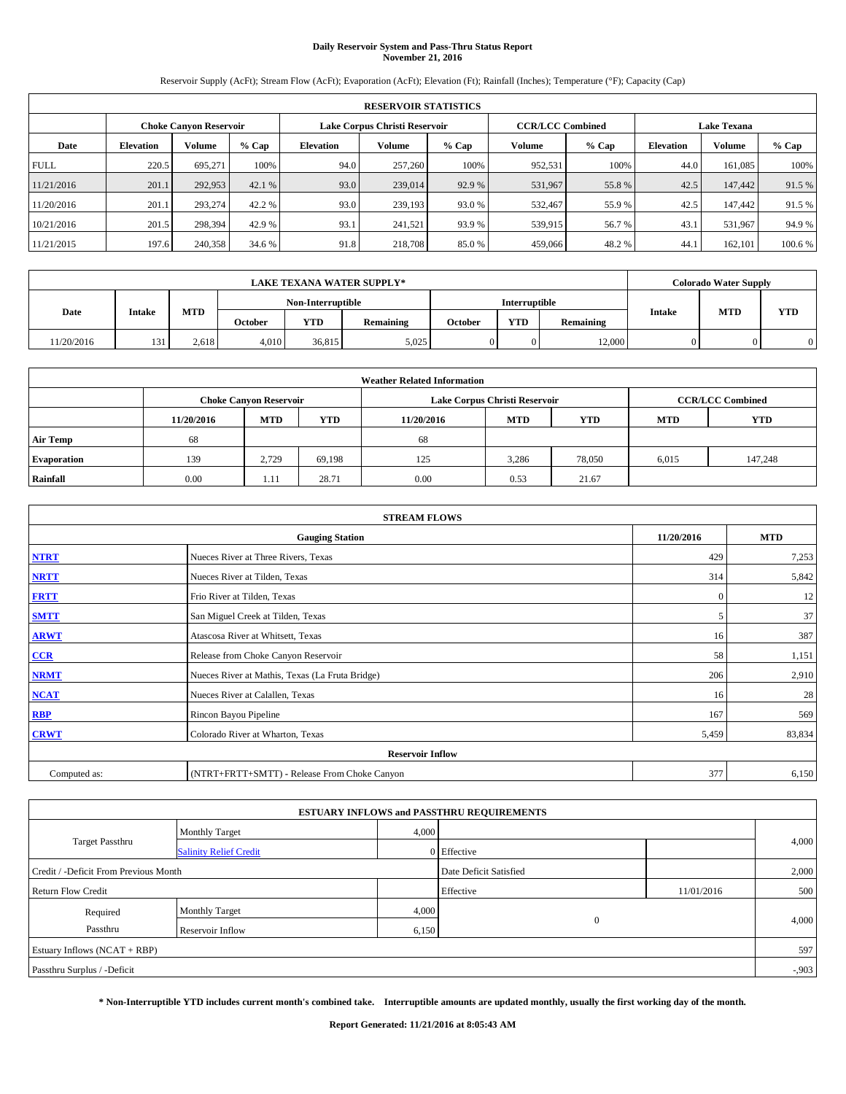# **Daily Reservoir System and Pass-Thru Status Report November 21, 2016**

Reservoir Supply (AcFt); Stream Flow (AcFt); Evaporation (AcFt); Elevation (Ft); Rainfall (Inches); Temperature (°F); Capacity (Cap)

|             | <b>RESERVOIR STATISTICS</b> |                        |         |                               |               |         |                         |         |                    |               |         |  |  |
|-------------|-----------------------------|------------------------|---------|-------------------------------|---------------|---------|-------------------------|---------|--------------------|---------------|---------|--|--|
|             |                             | Choke Canvon Reservoir |         | Lake Corpus Christi Reservoir |               |         | <b>CCR/LCC Combined</b> |         | <b>Lake Texana</b> |               |         |  |  |
| Date        | <b>Elevation</b>            | Volume                 | $%$ Cap | <b>Elevation</b>              | <b>Volume</b> | $%$ Cap | Volume                  | $%$ Cap | <b>Elevation</b>   | <b>Volume</b> | $%$ Cap |  |  |
| <b>FULL</b> | 220.5                       | 695.271                | 100%    | 94.0                          | 257,260       | 100%    | 952.531                 | 100%    | 44.0               | 161.085       | 100%    |  |  |
| 11/21/2016  | 201.1                       | 292,953                | 42.1 %  | 93.0                          | 239,014       | 92.9 %  | 531,967                 | 55.8%   | 42.5               | 147,442       | 91.5 %  |  |  |
| 11/20/2016  | 201.1                       | 293,274                | 42.2 %  | 93.0                          | 239,193       | 93.0 %  | 532,467                 | 55.9 %  | 42.5               | 147,442       | 91.5 %  |  |  |
| 10/21/2016  | 201.5                       | 298.394                | 42.9 %  | 93.1                          | 241.521       | 93.9 %  | 539,915                 | 56.7 %  | 43.                | 531.967       | 94.9%   |  |  |
| 11/21/2015  | 197.6                       | 240,358                | 34.6 %  | 91.8                          | 218,708       | 85.0%   | 459,066                 | 48.2%   | 44.                | 162,101       | 100.6 % |  |  |

|           |        |       |         |                   | <b>LAKE TEXANA WATER SUPPLY*</b> |         |               |           |  | <b>Colorado Water Supply</b> |            |
|-----------|--------|-------|---------|-------------------|----------------------------------|---------|---------------|-----------|--|------------------------------|------------|
|           |        |       |         | Non-Interruptible |                                  |         | Interruptible |           |  | <b>Intake</b><br><b>MTD</b>  |            |
| Date      | Intake | MTD   | October | <b>YTD</b>        | <b>Remaining</b>                 | October | <b>YTD</b>    | Remaining |  |                              | <b>YTD</b> |
| 1/20/2016 | 131    | 2,618 | 4.010   | 36,815            | 5,025                            |         |               | 12,000    |  |                              | $\Omega$   |

|                    | <b>Weather Related Information</b> |                                                                                  |        |      |                               |                         |       |            |  |  |  |  |
|--------------------|------------------------------------|----------------------------------------------------------------------------------|--------|------|-------------------------------|-------------------------|-------|------------|--|--|--|--|
|                    |                                    | <b>Choke Canyon Reservoir</b>                                                    |        |      | Lake Corpus Christi Reservoir | <b>CCR/LCC Combined</b> |       |            |  |  |  |  |
|                    | 11/20/2016                         | <b>YTD</b><br><b>MTD</b><br><b>MTD</b><br><b>YTD</b><br><b>MTD</b><br>11/20/2016 |        |      |                               |                         |       | <b>YTD</b> |  |  |  |  |
| <b>Air Temp</b>    | 68                                 |                                                                                  |        | 68   |                               |                         |       |            |  |  |  |  |
| <b>Evaporation</b> | 139                                | 2.729                                                                            | 69.198 | 125  | 3,286                         | 78,050                  | 6,015 | 147,248    |  |  |  |  |
| Rainfall           | 0.00                               | 1.11                                                                             | 28.71  | 0.00 | 0.53                          | 21.67                   |       |            |  |  |  |  |

| <b>STREAM FLOWS</b> |                                                 |              |            |  |  |  |  |  |
|---------------------|-------------------------------------------------|--------------|------------|--|--|--|--|--|
|                     | <b>Gauging Station</b>                          | 11/20/2016   | <b>MTD</b> |  |  |  |  |  |
| <b>NTRT</b>         | Nueces River at Three Rivers, Texas             | 429          | 7,253      |  |  |  |  |  |
| <b>NRTT</b>         | Nueces River at Tilden, Texas                   | 314          | 5,842      |  |  |  |  |  |
| <b>FRTT</b>         | Frio River at Tilden, Texas                     | $\mathbf{0}$ | 12         |  |  |  |  |  |
| <b>SMTT</b>         | San Miguel Creek at Tilden, Texas               | 5            | 37         |  |  |  |  |  |
| <b>ARWT</b>         | Atascosa River at Whitsett, Texas               | 16           | 387        |  |  |  |  |  |
| $CCR$               | Release from Choke Canyon Reservoir             | 58           | 1,151      |  |  |  |  |  |
| <b>NRMT</b>         | Nueces River at Mathis, Texas (La Fruta Bridge) | 206          | 2,910      |  |  |  |  |  |
| <b>NCAT</b>         | Nueces River at Calallen, Texas                 | 16           | 28         |  |  |  |  |  |
| RBP                 | Rincon Bayou Pipeline                           | 167          | 569        |  |  |  |  |  |
| <b>CRWT</b>         | Colorado River at Wharton, Texas                | 5,459        | 83,834     |  |  |  |  |  |
|                     | <b>Reservoir Inflow</b>                         |              |            |  |  |  |  |  |
| Computed as:        | (NTRT+FRTT+SMTT) - Release From Choke Canyon    |              |            |  |  |  |  |  |

|                                       |                               |       | <b>ESTUARY INFLOWS and PASSTHRU REQUIREMENTS</b> |            |          |
|---------------------------------------|-------------------------------|-------|--------------------------------------------------|------------|----------|
|                                       | <b>Monthly Target</b>         | 4,000 |                                                  |            |          |
| <b>Target Passthru</b>                | <b>Salinity Relief Credit</b> |       | 0 Effective                                      |            | 4,000    |
| Credit / -Deficit From Previous Month |                               |       | Date Deficit Satisfied                           |            | 2,000    |
| <b>Return Flow Credit</b>             |                               |       | Effective                                        | 11/01/2016 | 500      |
| Required                              | <b>Monthly Target</b>         | 4,000 |                                                  |            |          |
| Passthru                              | Reservoir Inflow              | 6,150 | $\overline{0}$                                   |            | 4,000    |
| Estuary Inflows (NCAT + RBP)          |                               |       |                                                  |            | 597      |
| Passthru Surplus / -Deficit           |                               |       |                                                  |            | $-0.903$ |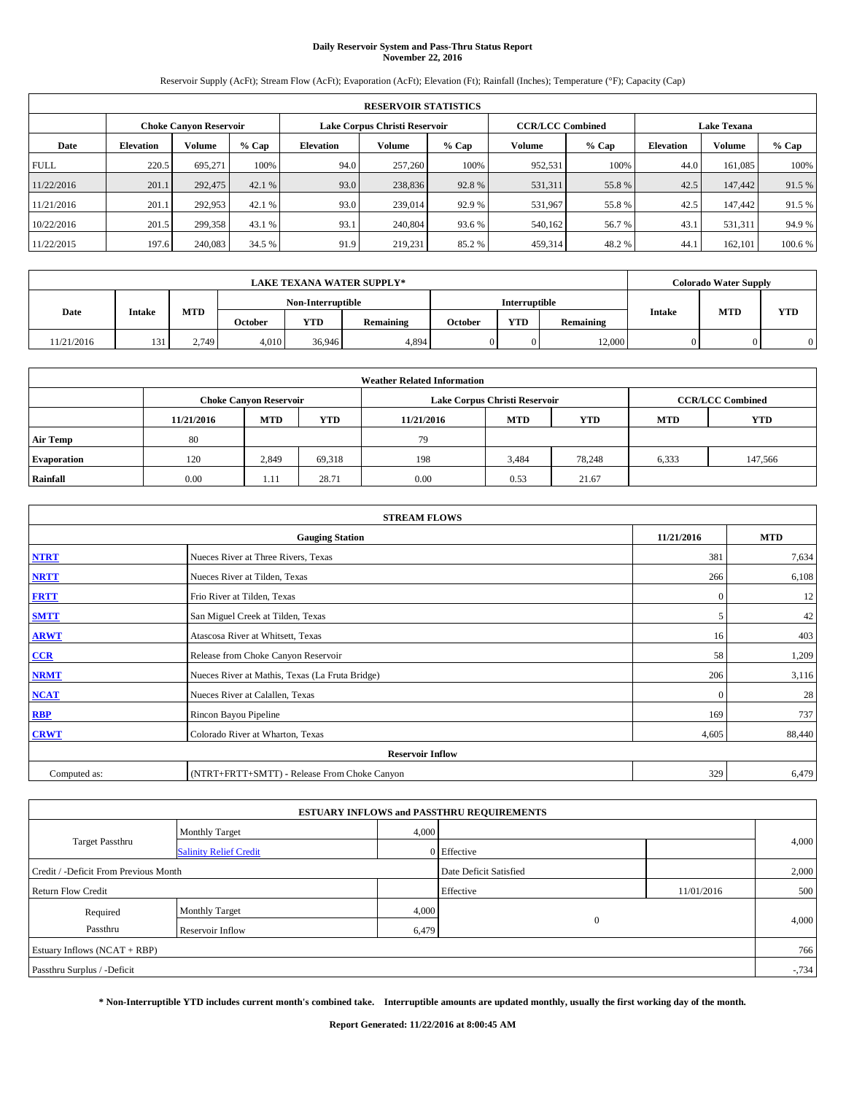# **Daily Reservoir System and Pass-Thru Status Report November 22, 2016**

Reservoir Supply (AcFt); Stream Flow (AcFt); Evaporation (AcFt); Elevation (Ft); Rainfall (Inches); Temperature (°F); Capacity (Cap)

|             | <b>RESERVOIR STATISTICS</b> |                        |         |                               |               |         |                         |         |                    |               |         |  |  |
|-------------|-----------------------------|------------------------|---------|-------------------------------|---------------|---------|-------------------------|---------|--------------------|---------------|---------|--|--|
|             |                             | Choke Canvon Reservoir |         | Lake Corpus Christi Reservoir |               |         | <b>CCR/LCC Combined</b> |         | <b>Lake Texana</b> |               |         |  |  |
| Date        | <b>Elevation</b>            | Volume                 | $%$ Cap | <b>Elevation</b>              | <b>Volume</b> | $%$ Cap | Volume                  | $%$ Cap | <b>Elevation</b>   | <b>Volume</b> | $%$ Cap |  |  |
| <b>FULL</b> | 220.5                       | 695.271                | 100%    | 94.0                          | 257,260       | 100%    | 952.531                 | 100%    | 44.0               | 161.085       | 100%    |  |  |
| 11/22/2016  | 201.1                       | 292,475                | 42.1 %  | 93.0                          | 238,836       | 92.8%   | 531,311                 | 55.8%   | 42.5               | 147,442       | 91.5 %  |  |  |
| 11/21/2016  | 201.1                       | 292,953                | 42.1 %  | 93.0                          | 239,014       | 92.9 %  | 531,967                 | 55.8%   | 42.5               | 147,442       | 91.5 %  |  |  |
| 10/22/2016  | 201.5                       | 299.358                | 43.1 %  | 93.1                          | 240,804       | 93.6 %  | 540.162                 | 56.7 %  | 43.                | 531.311       | 94.9%   |  |  |
| 11/22/2015  | 197.6                       | 240,083                | 34.5 %  | 91.9                          | 219.231       | 85.2%   | 459,314                 | 48.2%   | 44.                | 162,101       | 100.6 % |  |  |

|            |        |       |                |                   | <b>LAKE TEXANA WATER SUPPLY*</b> |         |                      |           |  | <b>Colorado Water Supply</b> |     |
|------------|--------|-------|----------------|-------------------|----------------------------------|---------|----------------------|-----------|--|------------------------------|-----|
|            |        |       |                | Non-Interruptible |                                  |         | <b>Interruptible</b> |           |  | <b>MTD</b><br><b>Intake</b>  |     |
| Date       | Intake | MTD   | <b>October</b> | <b>YTD</b>        | <b>Remaining</b>                 | October | <b>YTD</b>           | Remaining |  |                              | YTD |
| 11/21/2016 | 131    | 2,749 | 4.010          | 36.946            | 4,894                            |         |                      | 12,000    |  |                              |     |

|                    | <b>Weather Related Information</b> |                                                                                  |        |      |                               |                         |       |         |  |  |  |  |
|--------------------|------------------------------------|----------------------------------------------------------------------------------|--------|------|-------------------------------|-------------------------|-------|---------|--|--|--|--|
|                    |                                    | <b>Choke Canyon Reservoir</b>                                                    |        |      | Lake Corpus Christi Reservoir | <b>CCR/LCC Combined</b> |       |         |  |  |  |  |
|                    | 11/21/2016                         | <b>MTD</b><br><b>YTD</b><br><b>MTD</b><br><b>YTD</b><br><b>MTD</b><br>11/21/2016 |        |      |                               |                         |       |         |  |  |  |  |
| <b>Air Temp</b>    | 80                                 |                                                                                  |        | 79   |                               |                         |       |         |  |  |  |  |
| <b>Evaporation</b> | 120                                | 2,849                                                                            | 69,318 | 198  | 3,484                         | 78.248                  | 6,333 | 147,566 |  |  |  |  |
| Rainfall           | 0.00                               | ---                                                                              | 28.71  | 0.00 | 0.53                          | 21.67                   |       |         |  |  |  |  |

| <b>STREAM FLOWS</b> |                                                 |              |        |  |  |  |  |  |  |  |
|---------------------|-------------------------------------------------|--------------|--------|--|--|--|--|--|--|--|
|                     | <b>Gauging Station</b>                          |              |        |  |  |  |  |  |  |  |
| <b>NTRT</b>         | Nueces River at Three Rivers, Texas             | 381          | 7,634  |  |  |  |  |  |  |  |
| <b>NRTT</b>         | Nueces River at Tilden, Texas                   | 266          | 6,108  |  |  |  |  |  |  |  |
| <b>FRTT</b>         | Frio River at Tilden, Texas                     | $\mathbf{0}$ | 12     |  |  |  |  |  |  |  |
| <b>SMTT</b>         | San Miguel Creek at Tilden, Texas               | 5            | 42     |  |  |  |  |  |  |  |
| <b>ARWT</b>         | Atascosa River at Whitsett, Texas               | 16           | 403    |  |  |  |  |  |  |  |
| $CCR$               | Release from Choke Canyon Reservoir             | 58           | 1,209  |  |  |  |  |  |  |  |
| <b>NRMT</b>         | Nueces River at Mathis, Texas (La Fruta Bridge) | 206          | 3,116  |  |  |  |  |  |  |  |
| <b>NCAT</b>         | Nueces River at Calallen, Texas                 | $\Omega$     | 28     |  |  |  |  |  |  |  |
| RBP                 | Rincon Bayou Pipeline                           | 169          | 737    |  |  |  |  |  |  |  |
| <b>CRWT</b>         | Colorado River at Wharton, Texas                | 4,605        | 88,440 |  |  |  |  |  |  |  |
|                     |                                                 |              |        |  |  |  |  |  |  |  |
| Computed as:        | (NTRT+FRTT+SMTT) - Release From Choke Canyon    | 329          | 6,479  |  |  |  |  |  |  |  |

| <b>ESTUARY INFLOWS and PASSTHRU REQUIREMENTS</b> |                               |                        |                   |            |          |  |  |  |  |  |
|--------------------------------------------------|-------------------------------|------------------------|-------------------|------------|----------|--|--|--|--|--|
|                                                  | <b>Monthly Target</b>         | 4,000                  |                   |            |          |  |  |  |  |  |
| <b>Target Passthru</b>                           | <b>Salinity Relief Credit</b> |                        | 0 Effective       |            | 4,000    |  |  |  |  |  |
| Credit / -Deficit From Previous Month            |                               | Date Deficit Satisfied |                   | 2,000      |          |  |  |  |  |  |
| <b>Return Flow Credit</b>                        |                               |                        | Effective         | 11/01/2016 | 500      |  |  |  |  |  |
| Required                                         | <b>Monthly Target</b>         | 4,000                  |                   |            |          |  |  |  |  |  |
| Passthru<br>Reservoir Inflow                     |                               |                        | $\theta$<br>6,479 |            | 4,000    |  |  |  |  |  |
| Estuary Inflows $(NCAT + RBP)$                   |                               |                        |                   |            | 766      |  |  |  |  |  |
| Passthru Surplus / -Deficit                      |                               |                        |                   |            | $-0.734$ |  |  |  |  |  |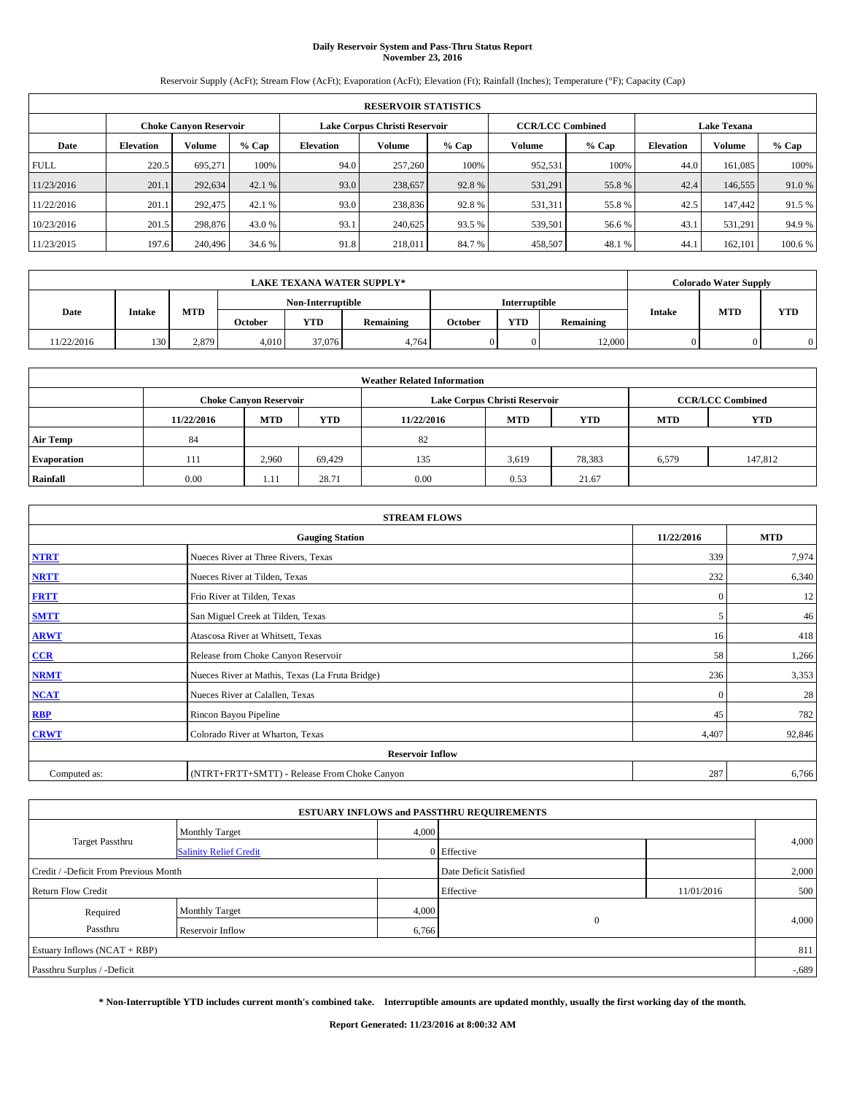# **Daily Reservoir System and Pass-Thru Status Report November 23, 2016**

Reservoir Supply (AcFt); Stream Flow (AcFt); Evaporation (AcFt); Elevation (Ft); Rainfall (Inches); Temperature (°F); Capacity (Cap)

|             | <b>RESERVOIR STATISTICS</b> |                        |         |                  |                               |         |                         |         |                  |                    |         |  |  |
|-------------|-----------------------------|------------------------|---------|------------------|-------------------------------|---------|-------------------------|---------|------------------|--------------------|---------|--|--|
|             |                             | Choke Canvon Reservoir |         |                  | Lake Corpus Christi Reservoir |         | <b>CCR/LCC Combined</b> |         |                  | <b>Lake Texana</b> |         |  |  |
| Date        | <b>Elevation</b>            | Volume                 | $%$ Cap | <b>Elevation</b> | <b>Volume</b>                 | $%$ Cap | Volume                  | $%$ Cap | <b>Elevation</b> | <b>Volume</b>      | $%$ Cap |  |  |
| <b>FULL</b> | 220.5                       | 695.271                | 100%    | 94.0             | 257,260                       | 100%    | 952.531                 | 100%    | 44.0             | 161.085            | 100%    |  |  |
| 11/23/2016  | 201.1                       | 292,634                | 42.1 %  | 93.0             | 238,657                       | 92.8%   | 531,291                 | 55.8%   | 42.4             | 146,555            | 91.0%   |  |  |
| 11/22/2016  | 201.1                       | 292,475                | 42.1 %  | 93.0             | 238,836                       | 92.8%   | 531,311                 | 55.8%   | 42.5             | 147,442            | 91.5 %  |  |  |
| 10/23/2016  | 201.5                       | 298,876                | 43.0 %  | 93.1             | 240,625                       | 93.5 %  | 539,501                 | 56.6 %  | 43.              | 531.291            | 94.9%   |  |  |
| 11/23/2015  | 197.6                       | 240,496                | 34.6 %  | 91.8             | 218,011                       | 84.7%   | 458,507                 | 48.1 %  | 44.              | 162,101            | 100.6 % |  |  |

| <b>LAKE TEXANA WATER SUPPLY*</b> |        |       |                   |            |                  |                      | <b>Colorado Water Supply</b> |           |               |            |     |
|----------------------------------|--------|-------|-------------------|------------|------------------|----------------------|------------------------------|-----------|---------------|------------|-----|
|                                  |        |       | Non-Interruptible |            |                  | <b>Interruptible</b> |                              |           |               |            |     |
| Date                             | Intake | MTD   | <b>October</b>    | <b>YTD</b> | <b>Remaining</b> | October              | <b>YTD</b>                   | Remaining | <b>Intake</b> | <b>MTD</b> | YTD |
| 11/22/2016                       | 130    | 2,879 | 4.010             | 37,076     | 4.764            |                      |                              | 12,000    |               |            |     |

| <b>Weather Related Information</b> |            |                               |            |            |                               |                         |            |            |  |
|------------------------------------|------------|-------------------------------|------------|------------|-------------------------------|-------------------------|------------|------------|--|
|                                    |            | <b>Choke Canyon Reservoir</b> |            |            | Lake Corpus Christi Reservoir | <b>CCR/LCC Combined</b> |            |            |  |
|                                    | 11/22/2016 | <b>MTD</b>                    | <b>YTD</b> | 11/22/2016 | <b>MTD</b>                    | <b>YTD</b>              | <b>MTD</b> | <b>YTD</b> |  |
| <b>Air Temp</b>                    | 84         |                               |            | 82         |                               |                         |            |            |  |
| <b>Evaporation</b>                 | 111        | 2.960                         | 69.429     | 135        | 3,619                         | 78,383                  | 6,579      | 147,812    |  |
| Rainfall                           | 0.00       | 1.11                          | 28.71      | 0.00       | 0.53                          | 21.67                   |            |            |  |

| <b>STREAM FLOWS</b> |                                                 |              |        |  |  |  |  |  |  |
|---------------------|-------------------------------------------------|--------------|--------|--|--|--|--|--|--|
|                     | <b>Gauging Station</b>                          |              |        |  |  |  |  |  |  |
| <b>NTRT</b>         | Nueces River at Three Rivers, Texas             | 339          | 7,974  |  |  |  |  |  |  |
| <b>NRTT</b>         | Nueces River at Tilden, Texas                   | 232          | 6,340  |  |  |  |  |  |  |
| <b>FRTT</b>         | Frio River at Tilden, Texas                     | $\mathbf{0}$ | 12     |  |  |  |  |  |  |
| <b>SMTT</b>         | San Miguel Creek at Tilden, Texas               | 5            | 46     |  |  |  |  |  |  |
| <b>ARWT</b>         | Atascosa River at Whitsett, Texas               | 16           | 418    |  |  |  |  |  |  |
| $CCR$               | Release from Choke Canyon Reservoir             | 58           | 1,266  |  |  |  |  |  |  |
| <b>NRMT</b>         | Nueces River at Mathis, Texas (La Fruta Bridge) | 236          | 3,353  |  |  |  |  |  |  |
| <b>NCAT</b>         | Nueces River at Calallen, Texas                 | $\mathbf{0}$ | 28     |  |  |  |  |  |  |
| RBP                 | Rincon Bayou Pipeline                           | 45           | 782    |  |  |  |  |  |  |
| <b>CRWT</b>         | Colorado River at Wharton, Texas                | 4,407        | 92,846 |  |  |  |  |  |  |
|                     |                                                 |              |        |  |  |  |  |  |  |
| Computed as:        | (NTRT+FRTT+SMTT) - Release From Choke Canyon    | 287          | 6,766  |  |  |  |  |  |  |

| <b>ESTUARY INFLOWS and PASSTHRU REQUIREMENTS</b> |                               |                        |                |            |          |  |  |  |  |  |
|--------------------------------------------------|-------------------------------|------------------------|----------------|------------|----------|--|--|--|--|--|
|                                                  | <b>Monthly Target</b>         | 4,000                  |                |            |          |  |  |  |  |  |
| <b>Target Passthru</b>                           | <b>Salinity Relief Credit</b> |                        | 0 Effective    |            | 4,000    |  |  |  |  |  |
| Credit / -Deficit From Previous Month            |                               | Date Deficit Satisfied |                | 2,000      |          |  |  |  |  |  |
| <b>Return Flow Credit</b>                        |                               |                        | Effective      | 11/01/2016 | 500      |  |  |  |  |  |
| Required                                         | <b>Monthly Target</b>         | 4,000                  |                |            |          |  |  |  |  |  |
| Passthru                                         | Reservoir Inflow              | 6,766                  | $\overline{0}$ |            | 4,000    |  |  |  |  |  |
| Estuary Inflows (NCAT + RBP)                     |                               |                        |                |            | 811      |  |  |  |  |  |
| Passthru Surplus / -Deficit                      |                               |                        |                |            | $-0.689$ |  |  |  |  |  |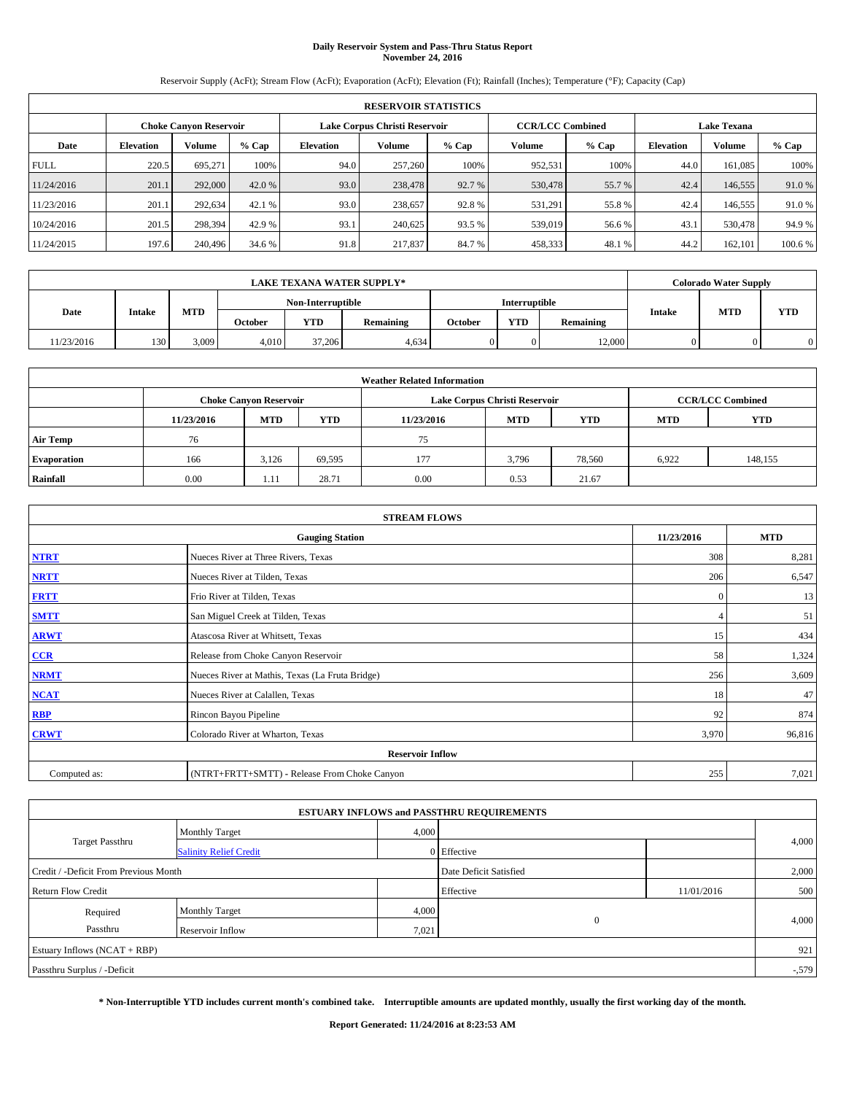# **Daily Reservoir System and Pass-Thru Status Report November 24, 2016**

Reservoir Supply (AcFt); Stream Flow (AcFt); Evaporation (AcFt); Elevation (Ft); Rainfall (Inches); Temperature (°F); Capacity (Cap)

|             | <b>RESERVOIR STATISTICS</b> |                        |         |                  |                               |         |                         |         |                  |                    |         |  |  |
|-------------|-----------------------------|------------------------|---------|------------------|-------------------------------|---------|-------------------------|---------|------------------|--------------------|---------|--|--|
|             |                             | Choke Canvon Reservoir |         |                  | Lake Corpus Christi Reservoir |         | <b>CCR/LCC Combined</b> |         |                  | <b>Lake Texana</b> |         |  |  |
| Date        | <b>Elevation</b>            | Volume                 | $%$ Cap | <b>Elevation</b> | <b>Volume</b>                 | $%$ Cap | Volume                  | $%$ Cap | <b>Elevation</b> | <b>Volume</b>      | $%$ Cap |  |  |
| <b>FULL</b> | 220.5                       | 695.271                | 100%    | 94.0             | 257,260                       | 100%    | 952.531                 | 100%    | 44.0             | 161.085            | 100%    |  |  |
| 11/24/2016  | 201.1                       | 292,000                | 42.0 %  | 93.0             | 238,478                       | 92.7 %  | 530,478                 | 55.7 %  | 42.4             | 146,555            | 91.0%   |  |  |
| 11/23/2016  | 201.1                       | 292,634                | 42.1 %  | 93.0             | 238,657                       | 92.8%   | 531,291                 | 55.8%   | 42.4             | 146,555            | 91.0%   |  |  |
| 10/24/2016  | 201.5                       | 298.394                | 42.9 %  | 93.1             | 240,625                       | 93.5 %  | 539,019                 | 56.6 %  | 43.              | 530,478            | 94.9%   |  |  |
| 11/24/2015  | 197.6                       | 240,496                | 34.6 %  | 91.8             | 217,837                       | 84.7%   | 458,333                 | 48.1 %  | 44.2             | 162,101            | 100.6%  |  |  |

| <b>LAKE TEXANA WATER SUPPLY*</b> |        |       |                |                                    |                  |         |     | <b>Colorado Water Supply</b> |               |            |            |
|----------------------------------|--------|-------|----------------|------------------------------------|------------------|---------|-----|------------------------------|---------------|------------|------------|
|                                  |        |       |                | Non-Interruptible<br>Interruptible |                  |         |     |                              |               |            |            |
| Date                             | Intake | MTD   | <b>October</b> | <b>YTD</b>                         | <b>Remaining</b> | October | YTD | Remaining                    | <b>Intake</b> | <b>MTD</b> | <b>YTD</b> |
| 11/23/2016                       | 130    | 3,009 | 4.010          | 37,206                             | 4,634            |         |     | 12.000                       |               |            | $\Omega$   |

| <b>Weather Related Information</b> |            |                               |            |            |                               |                         |            |            |  |  |
|------------------------------------|------------|-------------------------------|------------|------------|-------------------------------|-------------------------|------------|------------|--|--|
|                                    |            | <b>Choke Canyon Reservoir</b> |            |            | Lake Corpus Christi Reservoir | <b>CCR/LCC Combined</b> |            |            |  |  |
|                                    | 11/23/2016 | <b>MTD</b>                    | <b>YTD</b> | 11/23/2016 | <b>MTD</b>                    | <b>YTD</b>              | <b>MTD</b> | <b>YTD</b> |  |  |
| <b>Air Temp</b>                    | 76         |                               |            | 75         |                               |                         |            |            |  |  |
| <b>Evaporation</b>                 | 166        | 3,126                         | 69,595     | 177        | 3,796                         | 78,560                  | 6,922      | 148,155    |  |  |
| Rainfall                           | 0.00       | 1.11                          | 28.71      | 0.00       | 0.53                          | 21.67                   |            |            |  |  |

| <b>STREAM FLOWS</b>     |                                                 |              |        |  |  |  |  |  |  |
|-------------------------|-------------------------------------------------|--------------|--------|--|--|--|--|--|--|
|                         | <b>Gauging Station</b>                          |              |        |  |  |  |  |  |  |
| <b>NTRT</b>             | Nueces River at Three Rivers, Texas             | 308          | 8,281  |  |  |  |  |  |  |
| <b>NRTT</b>             | Nueces River at Tilden, Texas                   | 206          | 6,547  |  |  |  |  |  |  |
| <b>FRTT</b>             | Frio River at Tilden, Texas                     | $\mathbf{0}$ | 13     |  |  |  |  |  |  |
| <b>SMTT</b>             | San Miguel Creek at Tilden, Texas               |              | 51     |  |  |  |  |  |  |
| <b>ARWT</b>             | Atascosa River at Whitsett, Texas               | 15           | 434    |  |  |  |  |  |  |
| $CCR$                   | Release from Choke Canyon Reservoir             | 58           | 1,324  |  |  |  |  |  |  |
| <b>NRMT</b>             | Nueces River at Mathis, Texas (La Fruta Bridge) | 256          | 3,609  |  |  |  |  |  |  |
| <b>NCAT</b>             | Nueces River at Calallen, Texas                 | 18           | 47     |  |  |  |  |  |  |
| RBP                     | Rincon Bayou Pipeline                           | 92           | 874    |  |  |  |  |  |  |
| <b>CRWT</b>             | Colorado River at Wharton, Texas                | 3,970        | 96,816 |  |  |  |  |  |  |
| <b>Reservoir Inflow</b> |                                                 |              |        |  |  |  |  |  |  |
| Computed as:            | (NTRT+FRTT+SMTT) - Release From Choke Canyon    | 255          | 7,021  |  |  |  |  |  |  |

| <b>ESTUARY INFLOWS and PASSTHRU REQUIREMENTS</b> |                               |                        |                |            |          |  |  |  |  |  |
|--------------------------------------------------|-------------------------------|------------------------|----------------|------------|----------|--|--|--|--|--|
|                                                  | <b>Monthly Target</b>         | 4,000                  |                |            |          |  |  |  |  |  |
| <b>Target Passthru</b>                           | <b>Salinity Relief Credit</b> |                        | 0 Effective    |            | 4,000    |  |  |  |  |  |
| Credit / -Deficit From Previous Month            |                               | Date Deficit Satisfied |                | 2,000      |          |  |  |  |  |  |
| <b>Return Flow Credit</b>                        |                               |                        | Effective      | 11/01/2016 | 500      |  |  |  |  |  |
| Required                                         | <b>Monthly Target</b>         | 4,000                  |                |            |          |  |  |  |  |  |
| Passthru                                         | Reservoir Inflow              | 7,021                  | $\overline{0}$ |            | 4,000    |  |  |  |  |  |
| Estuary Inflows (NCAT + RBP)                     |                               |                        |                |            | 921      |  |  |  |  |  |
| Passthru Surplus / -Deficit                      |                               |                        |                |            | $-0.579$ |  |  |  |  |  |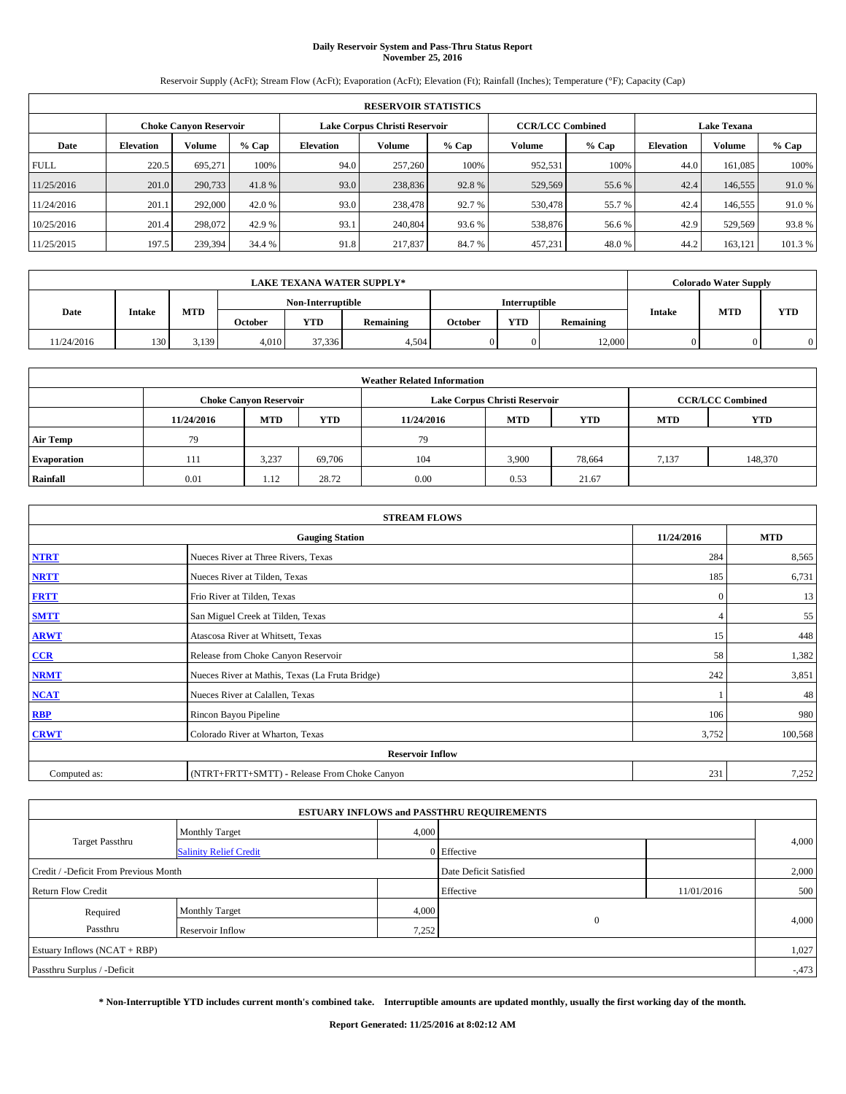# **Daily Reservoir System and Pass-Thru Status Report November 25, 2016**

Reservoir Supply (AcFt); Stream Flow (AcFt); Evaporation (AcFt); Elevation (Ft); Rainfall (Inches); Temperature (°F); Capacity (Cap)

|             | <b>RESERVOIR STATISTICS</b>   |         |         |                               |         |         |                         |         |                  |                    |        |  |
|-------------|-------------------------------|---------|---------|-------------------------------|---------|---------|-------------------------|---------|------------------|--------------------|--------|--|
|             | <b>Choke Canyon Reservoir</b> |         |         | Lake Corpus Christi Reservoir |         |         | <b>CCR/LCC Combined</b> |         |                  | <b>Lake Texana</b> |        |  |
| Date        | <b>Elevation</b>              | Volume  | $%$ Cap | <b>Elevation</b>              | Volume  | $%$ Cap | Volume                  | $%$ Cap | <b>Elevation</b> | Volume             | % Cap  |  |
| <b>FULL</b> | 220.5                         | 695.271 | 100%    | 94.0                          | 257,260 | 100%    | 952,531                 | 100%    | 44.0             | 161,085            | 100%   |  |
| 11/25/2016  | 201.0                         | 290,733 | 41.8%   | 93.0                          | 238,836 | 92.8%   | 529,569                 | 55.6%   | 42.4             | 146,555            | 91.0%  |  |
| 11/24/2016  | 201.1                         | 292,000 | 42.0 %  | 93.0                          | 238,478 | 92.7 %  | 530,478                 | 55.7 %  | 42.4             | 146,555            | 91.0 % |  |
| 10/25/2016  | 201.4                         | 298,072 | 42.9 %  | 93.1                          | 240,804 | 93.6 %  | 538,876                 | 56.6 %  | 42.9             | 529,569            | 93.8%  |  |
| 11/25/2015  | 197.5                         | 239,394 | 34.4 %  | 91.8                          | 217,837 | 84.7%   | 457,231                 | 48.0%   | 44.2             | 163,121            | 101.3% |  |

|            | <b>LAKE TEXANA WATER SUPPLY*</b> |       |                |                         |       |  |                      |           |               | <b>Colorado Water Supply</b> |     |
|------------|----------------------------------|-------|----------------|-------------------------|-------|--|----------------------|-----------|---------------|------------------------------|-----|
|            |                                  |       |                | Non-Interruptible       |       |  | <b>Interruptible</b> |           |               |                              |     |
| Date       | Intake                           | MTD   | <b>October</b> | <b>YTD</b><br>Remaining |       |  | <b>YTD</b>           | Remaining | <b>Intake</b> | <b>MTD</b>                   | YTD |
| 11/24/2016 | 130                              | 3,139 | 4.010          | 37.336                  | 4.504 |  |                      | 12,000    |               |                              |     |

| <b>Weather Related Information</b> |                                                                                                |                               |        |      |                               |                         |       |            |  |  |
|------------------------------------|------------------------------------------------------------------------------------------------|-------------------------------|--------|------|-------------------------------|-------------------------|-------|------------|--|--|
|                                    |                                                                                                | <b>Choke Canyon Reservoir</b> |        |      | Lake Corpus Christi Reservoir | <b>CCR/LCC Combined</b> |       |            |  |  |
|                                    | <b>MTD</b><br><b>YTD</b><br><b>MTD</b><br><b>YTD</b><br>11/24/2016<br><b>MTD</b><br>11/24/2016 |                               |        |      |                               |                         |       | <b>YTD</b> |  |  |
| <b>Air Temp</b>                    | 79                                                                                             |                               |        | 79   |                               |                         |       |            |  |  |
| <b>Evaporation</b>                 | 111                                                                                            | 3,237                         | 69,706 | 104  | 3,900                         | 78,664                  | 7.137 | 148,370    |  |  |
| Rainfall                           | 0.01                                                                                           | 1.12                          | 28.72  | 0.00 | 0.53                          | 21.67                   |       |            |  |  |

|              | <b>STREAM FLOWS</b>                             |              |            |  |  |  |  |  |  |  |
|--------------|-------------------------------------------------|--------------|------------|--|--|--|--|--|--|--|
|              | <b>Gauging Station</b>                          | 11/24/2016   | <b>MTD</b> |  |  |  |  |  |  |  |
| <b>NTRT</b>  | Nueces River at Three Rivers, Texas             | 284          | 8,565      |  |  |  |  |  |  |  |
| <b>NRTT</b>  | Nueces River at Tilden, Texas                   | 185          | 6,731      |  |  |  |  |  |  |  |
| <b>FRTT</b>  | Frio River at Tilden, Texas                     | $\mathbf{0}$ | 13         |  |  |  |  |  |  |  |
| <b>SMTT</b>  | San Miguel Creek at Tilden, Texas               |              | 55         |  |  |  |  |  |  |  |
| <b>ARWT</b>  | Atascosa River at Whitsett, Texas               | 15           | 448        |  |  |  |  |  |  |  |
| $CCR$        | Release from Choke Canyon Reservoir             | 58           | 1,382      |  |  |  |  |  |  |  |
| <b>NRMT</b>  | Nueces River at Mathis, Texas (La Fruta Bridge) | 242          | 3,851      |  |  |  |  |  |  |  |
| <b>NCAT</b>  | Nueces River at Calallen, Texas                 |              | 48         |  |  |  |  |  |  |  |
| RBP          | Rincon Bayou Pipeline                           | 106          | 980        |  |  |  |  |  |  |  |
| <b>CRWT</b>  | Colorado River at Wharton, Texas                | 3,752        | 100,568    |  |  |  |  |  |  |  |
|              | <b>Reservoir Inflow</b>                         |              |            |  |  |  |  |  |  |  |
| Computed as: | (NTRT+FRTT+SMTT) - Release From Choke Canyon    |              |            |  |  |  |  |  |  |  |

| <b>ESTUARY INFLOWS and PASSTHRU REQUIREMENTS</b> |                               |       |                        |            |          |  |  |  |  |  |
|--------------------------------------------------|-------------------------------|-------|------------------------|------------|----------|--|--|--|--|--|
|                                                  | <b>Monthly Target</b>         | 4,000 |                        |            |          |  |  |  |  |  |
| <b>Target Passthru</b>                           | <b>Salinity Relief Credit</b> |       | 0 Effective            |            | 4,000    |  |  |  |  |  |
| Credit / -Deficit From Previous Month            |                               |       | Date Deficit Satisfied |            | 2,000    |  |  |  |  |  |
| <b>Return Flow Credit</b>                        |                               |       | Effective              | 11/01/2016 | 500      |  |  |  |  |  |
| Required                                         | <b>Monthly Target</b>         | 4,000 |                        |            |          |  |  |  |  |  |
| Passthru                                         | Reservoir Inflow              | 7,252 | $\overline{0}$         |            | 4,000    |  |  |  |  |  |
| Estuary Inflows (NCAT + RBP)                     |                               |       |                        |            | 1,027    |  |  |  |  |  |
| Passthru Surplus / -Deficit                      |                               |       |                        |            | $-0.473$ |  |  |  |  |  |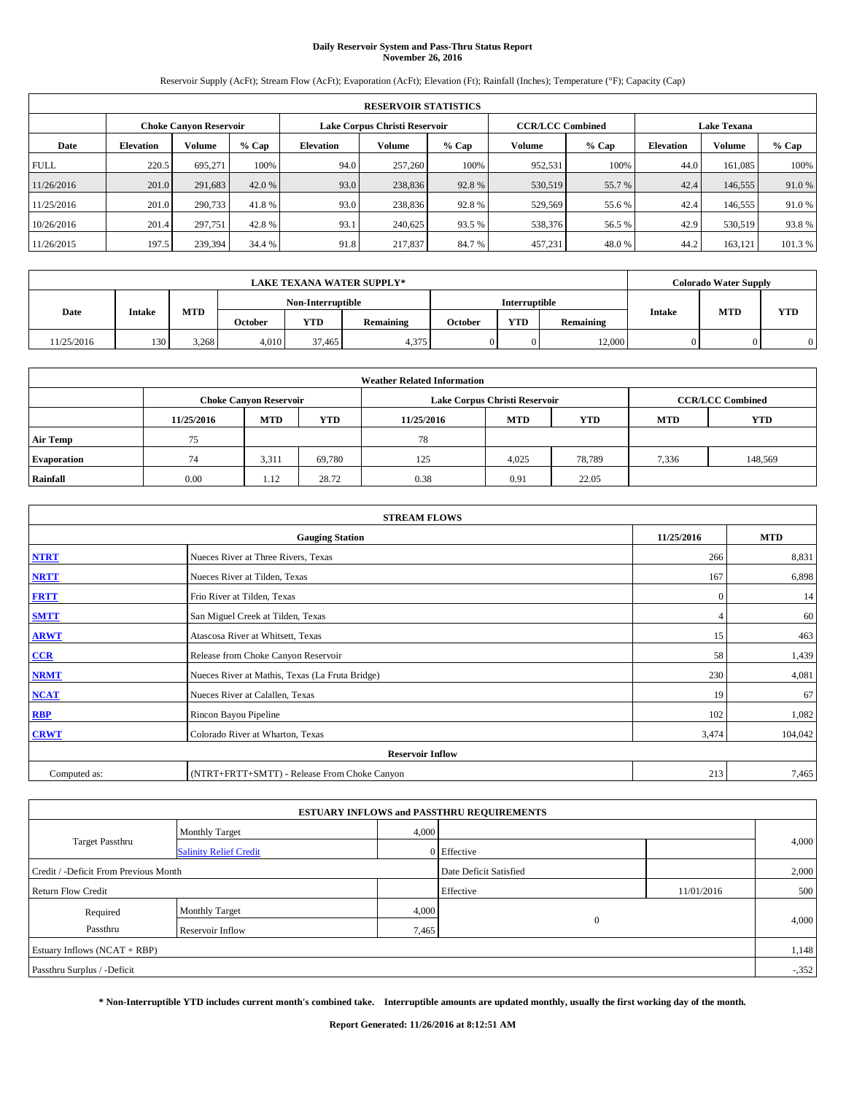# **Daily Reservoir System and Pass-Thru Status Report November 26, 2016**

Reservoir Supply (AcFt); Stream Flow (AcFt); Evaporation (AcFt); Elevation (Ft); Rainfall (Inches); Temperature (°F); Capacity (Cap)

|             | <b>RESERVOIR STATISTICS</b> |         |         |                               |         |         |         |                                               |                  |               |         |
|-------------|-----------------------------|---------|---------|-------------------------------|---------|---------|---------|-----------------------------------------------|------------------|---------------|---------|
|             | Choke Canvon Reservoir      |         |         | Lake Corpus Christi Reservoir |         |         |         | <b>CCR/LCC Combined</b><br><b>Lake Texana</b> |                  |               |         |
| Date        | <b>Elevation</b>            | Volume  | $%$ Cap | <b>Elevation</b>              | Volume  | $%$ Cap | Volume  | $%$ Cap                                       | <b>Elevation</b> | <b>Volume</b> |         |
| <b>FULL</b> | 220.5                       | 695.271 | 100%    | 94.0                          | 257,260 | 100%    | 952,531 | 100%                                          | 44.0             | 161.085       | 100%    |
| 11/26/2016  | 201.0                       | 291,683 | 42.0 %  | 93.0                          | 238,836 | 92.8%   | 530,519 | 55.7 %                                        | 42.4             | 146,555       | 91.0%   |
| 11/25/2016  | 201.0                       | 290,733 | 41.8%   | 93.0                          | 238,836 | 92.8%   | 529,569 | 55.6 %                                        | 42.4             | 146,555       | 91.0%   |
| 10/26/2016  | 201.4                       | 297.751 | 42.8%   | 93.1                          | 240.625 | 93.5 %  | 538,376 | 56.5 %                                        | 42.9             | 530,519       | 93.8%   |
| 11/26/2015  | 197.5                       | 239,394 | 34.4 %  | 91.8                          | 217,837 | 84.7%   | 457,231 | 48.0%                                         | 44.2             | 163,121       | 101.3 % |

|            | <b>LAKE TEXANA WATER SUPPLY*</b> |       |         |                   |           |         |                      |           |               | <b>Colorado Water Supply</b> |            |
|------------|----------------------------------|-------|---------|-------------------|-----------|---------|----------------------|-----------|---------------|------------------------------|------------|
|            |                                  |       |         | Non-Interruptible |           |         | <b>Interruptible</b> |           |               |                              |            |
| Date       | Intake                           | MTD   | October | <b>YTD</b>        | Remaining | October | <b>YTD</b>           | Remaining | <b>Intake</b> | <b>MTD</b>                   | <b>YTD</b> |
| 11/25/2016 | 130                              | 3,268 | 4.010   | 37.465            | 4,375     |         |                      | 12,000    |               |                              |            |

| <b>Weather Related Information</b> |                                                                                                |                               |        |      |                               |                         |       |            |  |  |
|------------------------------------|------------------------------------------------------------------------------------------------|-------------------------------|--------|------|-------------------------------|-------------------------|-------|------------|--|--|
|                                    |                                                                                                | <b>Choke Canyon Reservoir</b> |        |      | Lake Corpus Christi Reservoir | <b>CCR/LCC Combined</b> |       |            |  |  |
|                                    | <b>YTD</b><br><b>MTD</b><br><b>MTD</b><br><b>YTD</b><br><b>MTD</b><br>11/25/2016<br>11/25/2016 |                               |        |      |                               |                         |       | <b>YTD</b> |  |  |
| <b>Air Temp</b>                    | 75                                                                                             |                               |        | 78   |                               |                         |       |            |  |  |
| <b>Evaporation</b>                 | 74                                                                                             | 3,311                         | 69.780 | 125  | 4,025                         | 78,789                  | 7,336 | 148,569    |  |  |
| Rainfall                           | 0.00                                                                                           | 1.12                          | 28.72  | 0.38 | 0.91                          | 22.05                   |       |            |  |  |

| <b>STREAM FLOWS</b> |                                                 |              |            |  |  |  |  |  |  |
|---------------------|-------------------------------------------------|--------------|------------|--|--|--|--|--|--|
|                     | <b>Gauging Station</b>                          | 11/25/2016   | <b>MTD</b> |  |  |  |  |  |  |
| <b>NTRT</b>         | Nueces River at Three Rivers, Texas             | 266          | 8,831      |  |  |  |  |  |  |
| <b>NRTT</b>         | Nueces River at Tilden, Texas                   | 167          | 6,898      |  |  |  |  |  |  |
| <b>FRTT</b>         | Frio River at Tilden, Texas                     | $\mathbf{0}$ | 14         |  |  |  |  |  |  |
| <b>SMTT</b>         | San Miguel Creek at Tilden, Texas               |              | 60         |  |  |  |  |  |  |
| <b>ARWT</b>         | Atascosa River at Whitsett, Texas               | 15           | 463        |  |  |  |  |  |  |
| $CCR$               | Release from Choke Canyon Reservoir             | 58           | 1,439      |  |  |  |  |  |  |
| <b>NRMT</b>         | Nueces River at Mathis, Texas (La Fruta Bridge) | 230          | 4,081      |  |  |  |  |  |  |
| <b>NCAT</b>         | Nueces River at Calallen, Texas                 | 19           | 67         |  |  |  |  |  |  |
| RBP                 | Rincon Bayou Pipeline                           | 102          | 1,082      |  |  |  |  |  |  |
| <b>CRWT</b>         | Colorado River at Wharton, Texas                | 3,474        | 104,042    |  |  |  |  |  |  |
|                     | <b>Reservoir Inflow</b>                         |              |            |  |  |  |  |  |  |
| Computed as:        | (NTRT+FRTT+SMTT) - Release From Choke Canyon    |              |            |  |  |  |  |  |  |

| <b>ESTUARY INFLOWS and PASSTHRU REQUIREMENTS</b> |                               |                        |                |            |         |  |  |  |  |  |
|--------------------------------------------------|-------------------------------|------------------------|----------------|------------|---------|--|--|--|--|--|
|                                                  | <b>Monthly Target</b>         | 4,000                  |                |            |         |  |  |  |  |  |
| <b>Target Passthru</b>                           | <b>Salinity Relief Credit</b> |                        | 0 Effective    |            | 4,000   |  |  |  |  |  |
| Credit / -Deficit From Previous Month            |                               | Date Deficit Satisfied |                | 2,000      |         |  |  |  |  |  |
| <b>Return Flow Credit</b>                        |                               |                        | Effective      | 11/01/2016 | 500     |  |  |  |  |  |
| Required                                         | <b>Monthly Target</b>         | 4,000                  |                |            |         |  |  |  |  |  |
| Passthru                                         | Reservoir Inflow              | 7,465                  | $\overline{0}$ |            | 4,000   |  |  |  |  |  |
| Estuary Inflows (NCAT + RBP)                     |                               |                        |                |            | 1,148   |  |  |  |  |  |
| Passthru Surplus / -Deficit                      |                               |                        |                |            | $-.352$ |  |  |  |  |  |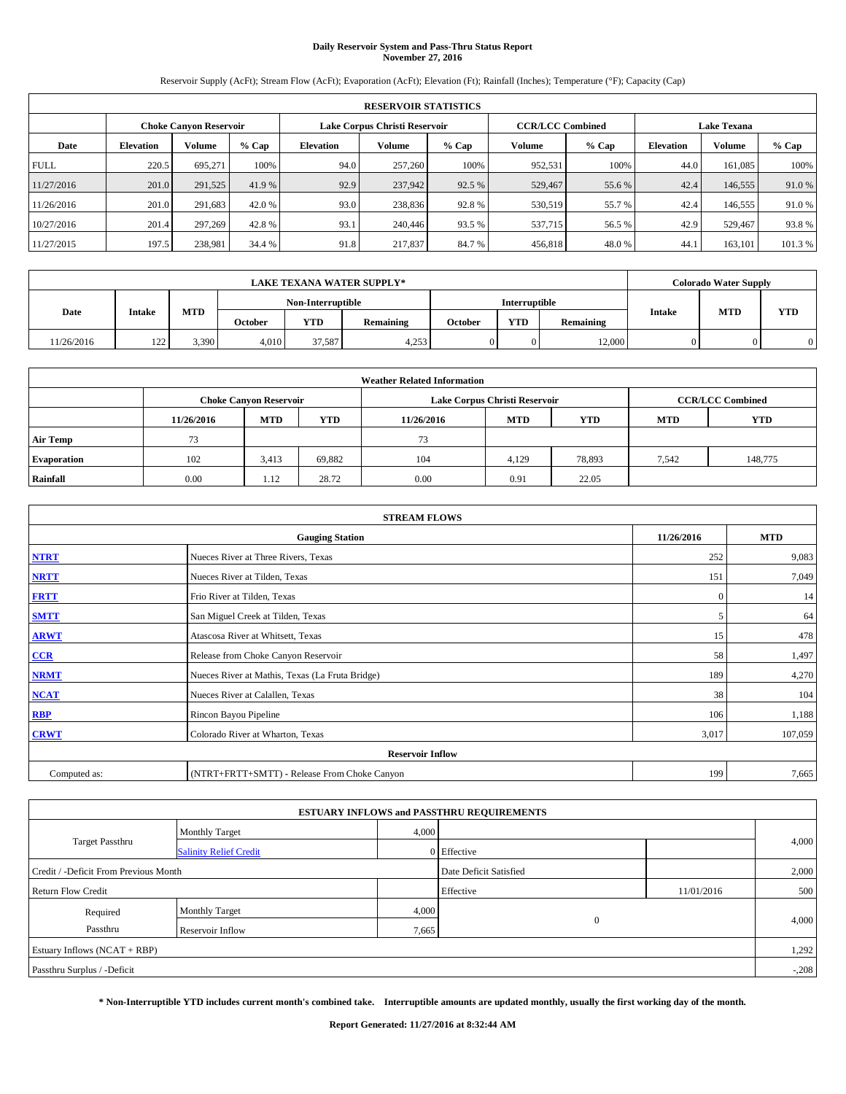# **Daily Reservoir System and Pass-Thru Status Report November 27, 2016**

Reservoir Supply (AcFt); Stream Flow (AcFt); Evaporation (AcFt); Elevation (Ft); Rainfall (Inches); Temperature (°F); Capacity (Cap)

|             | <b>RESERVOIR STATISTICS</b>   |         |         |                               |         |         |                         |         |                  |                    |        |  |
|-------------|-------------------------------|---------|---------|-------------------------------|---------|---------|-------------------------|---------|------------------|--------------------|--------|--|
|             | <b>Choke Canyon Reservoir</b> |         |         | Lake Corpus Christi Reservoir |         |         | <b>CCR/LCC Combined</b> |         |                  | <b>Lake Texana</b> |        |  |
| Date        | <b>Elevation</b>              | Volume  | $%$ Cap | <b>Elevation</b>              | Volume  | $%$ Cap | Volume                  | $%$ Cap | <b>Elevation</b> | Volume             | % Cap  |  |
| <b>FULL</b> | 220.5                         | 695.271 | 100%    | 94.0                          | 257,260 | 100%    | 952,531                 | 100%    | 44.0             | 161,085            | 100%   |  |
| 11/27/2016  | 201.0                         | 291,525 | 41.9%   | 92.9                          | 237,942 | 92.5 %  | 529,467                 | 55.6%   | 42.4             | 146,555            | 91.0%  |  |
| 11/26/2016  | 201.0                         | 291,683 | 42.0 %  | 93.0                          | 238,836 | 92.8%   | 530,519                 | 55.7 %  | 42.4             | 146,555            | 91.0 % |  |
| 10/27/2016  | 201.4                         | 297.269 | 42.8%   | 93.1                          | 240,446 | 93.5 %  | 537,715                 | 56.5 %  | 42.9             | 529,467            | 93.8%  |  |
| 11/27/2015  | 197.5                         | 238,981 | 34.4 %  | 91.8                          | 217,837 | 84.7%   | 456,818                 | 48.0%   | 44.1             | 163,101            | 101.3% |  |

|           | <b>LAKE TEXANA WATER SUPPLY*</b> |            |                |                         |       |  |                      |           |               | <b>Colorado Water Supply</b> |     |
|-----------|----------------------------------|------------|----------------|-------------------------|-------|--|----------------------|-----------|---------------|------------------------------|-----|
|           |                                  |            |                | Non-Interruptible       |       |  | <b>Interruptible</b> |           |               |                              |     |
| Date      | Intake                           | <b>MTD</b> | <b>October</b> | <b>YTD</b><br>Remaining |       |  | <b>YTD</b>           | Remaining | <b>Intake</b> | <b>MTD</b>                   | YTD |
| 1/26/2016 | 122<br>1/2                       | 3,390      | 4.010          | 37,587                  | 4,253 |  |                      | 12,000    |               |                              |     |

| <b>Weather Related Information</b> |            |                               |            |            |                               |                         |            |            |  |
|------------------------------------|------------|-------------------------------|------------|------------|-------------------------------|-------------------------|------------|------------|--|
|                                    |            | <b>Choke Canyon Reservoir</b> |            |            | Lake Corpus Christi Reservoir | <b>CCR/LCC Combined</b> |            |            |  |
|                                    | 11/26/2016 | <b>MTD</b>                    | <b>YTD</b> | 11/26/2016 | <b>MTD</b>                    | <b>YTD</b>              | <b>MTD</b> | <b>YTD</b> |  |
| <b>Air Temp</b>                    | 73         |                               |            | 73         |                               |                         |            |            |  |
| <b>Evaporation</b>                 | 102        | 3,413                         | 69,882     | 104        | 4,129                         | 78,893                  | 7,542      | 148,775    |  |
| Rainfall                           | 0.00       | 1.12                          | 28.72      | 0.00       | 0.91                          | 22.05                   |            |            |  |

| <b>STREAM FLOWS</b> |                                                 |              |         |  |  |  |  |  |
|---------------------|-------------------------------------------------|--------------|---------|--|--|--|--|--|
|                     | 11/26/2016                                      | <b>MTD</b>   |         |  |  |  |  |  |
| <b>NTRT</b>         | Nueces River at Three Rivers, Texas             | 252          | 9,083   |  |  |  |  |  |
| <b>NRTT</b>         | Nueces River at Tilden, Texas                   | 151          | 7,049   |  |  |  |  |  |
| <b>FRTT</b>         | Frio River at Tilden, Texas                     | $\mathbf{0}$ | 14      |  |  |  |  |  |
| <b>SMTT</b>         | San Miguel Creek at Tilden, Texas               | 5            | 64      |  |  |  |  |  |
| <b>ARWT</b>         | Atascosa River at Whitsett, Texas               | 15           | 478     |  |  |  |  |  |
| $CCR$               | Release from Choke Canyon Reservoir             | 58           | 1,497   |  |  |  |  |  |
| <b>NRMT</b>         | Nueces River at Mathis, Texas (La Fruta Bridge) | 189          | 4,270   |  |  |  |  |  |
| <b>NCAT</b>         | Nueces River at Calallen, Texas                 | 38           | 104     |  |  |  |  |  |
| RBP                 | Rincon Bayou Pipeline                           | 106          | 1,188   |  |  |  |  |  |
| <b>CRWT</b>         | Colorado River at Wharton, Texas                | 3,017        | 107,059 |  |  |  |  |  |
|                     | <b>Reservoir Inflow</b>                         |              |         |  |  |  |  |  |
| Computed as:        | (NTRT+FRTT+SMTT) - Release From Choke Canyon    | 199          | 7,665   |  |  |  |  |  |

|                                       |                               |       | <b>ESTUARY INFLOWS and PASSTHRU REQUIREMENTS</b> |            |         |
|---------------------------------------|-------------------------------|-------|--------------------------------------------------|------------|---------|
|                                       | <b>Monthly Target</b>         | 4,000 |                                                  |            |         |
| <b>Target Passthru</b>                | <b>Salinity Relief Credit</b> |       | 0 Effective                                      |            | 4,000   |
| Credit / -Deficit From Previous Month |                               |       | Date Deficit Satisfied                           |            | 2,000   |
| <b>Return Flow Credit</b>             |                               |       | Effective                                        | 11/01/2016 | 500     |
| Required                              | <b>Monthly Target</b>         | 4,000 |                                                  |            |         |
| Passthru                              | Reservoir Inflow              | 7,665 | $\overline{0}$                                   |            | 4,000   |
| Estuary Inflows (NCAT + RBP)          |                               |       |                                                  |            | 1,292   |
| Passthru Surplus / -Deficit           |                               |       |                                                  |            | $-.208$ |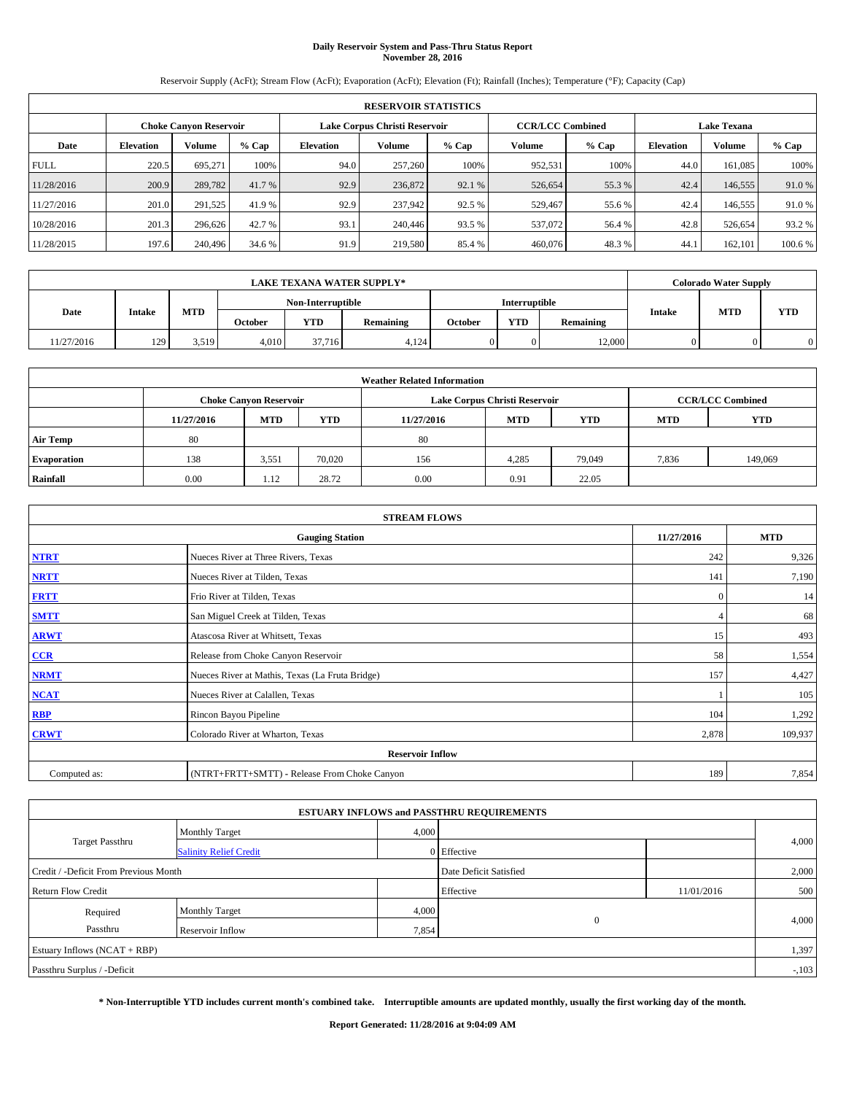# **Daily Reservoir System and Pass-Thru Status Report November 28, 2016**

Reservoir Supply (AcFt); Stream Flow (AcFt); Evaporation (AcFt); Elevation (Ft); Rainfall (Inches); Temperature (°F); Capacity (Cap)

| <b>RESERVOIR STATISTICS</b> |                  |                        |         |                  |                               |         |                         |         |                  |                    |         |  |
|-----------------------------|------------------|------------------------|---------|------------------|-------------------------------|---------|-------------------------|---------|------------------|--------------------|---------|--|
|                             |                  | Choke Canvon Reservoir |         |                  | Lake Corpus Christi Reservoir |         | <b>CCR/LCC Combined</b> |         |                  | <b>Lake Texana</b> |         |  |
| Date                        | <b>Elevation</b> | Volume                 | $%$ Cap | <b>Elevation</b> | <b>Volume</b>                 | $%$ Cap | Volume                  | $%$ Cap | <b>Elevation</b> | <b>Volume</b>      | $%$ Cap |  |
| <b>FULL</b>                 | 220.5            | 695.271                | 100%    | 94.0             | 257,260                       | 100%    | 952.531                 | 100%    | 44.0             | 161.085            | 100%    |  |
| 11/28/2016                  | 200.9            | 289,782                | 41.7 %  | 92.9             | 236,872                       | 92.1 %  | 526,654                 | 55.3 %  | 42.4             | 146,555            | 91.0%   |  |
| 11/27/2016                  | 201.0            | 291,525                | 41.9%   | 92.9             | 237,942                       | 92.5 %  | 529,467                 | 55.6 %  | 42.4             | 146,555            | 91.0%   |  |
| 10/28/2016                  | 201.3            | 296.626                | 42.7 %  | 93.1             | 240,446                       | 93.5 %  | 537,072                 | 56.4 %  | 42.8             | 526,654            | 93.2 %  |  |
| 11/28/2015                  | 197.6            | 240,496                | 34.6 %  | 91.9             | 219,580                       | 85.4 %  | 460,076                 | 48.3%   | 44.              | 162,101            | 100.6%  |  |

| <b>LAKE TEXANA WATER SUPPLY*</b> |        |       |         |                   |                  |         |               |           |               | <b>Colorado Water Supply</b> |            |
|----------------------------------|--------|-------|---------|-------------------|------------------|---------|---------------|-----------|---------------|------------------------------|------------|
|                                  |        |       |         | Non-Interruptible |                  |         | Interruptible |           |               |                              |            |
| Date                             | Intake | MTD   | October | <b>YTD</b>        | <b>Remaining</b> | October | <b>YTD</b>    | Remaining | <b>Intake</b> | <b>MTD</b>                   | <b>YTD</b> |
| 1/27/2016                        | 129    | 3,519 | 4,010   | 37.716            | 4,124            |         |               | 12,000    |               |                              | $\Omega$   |

| <b>Weather Related Information</b> |            |                               |            |            |                               |                         |            |         |  |
|------------------------------------|------------|-------------------------------|------------|------------|-------------------------------|-------------------------|------------|---------|--|
|                                    |            | <b>Choke Canyon Reservoir</b> |            |            | Lake Corpus Christi Reservoir | <b>CCR/LCC Combined</b> |            |         |  |
|                                    | 11/27/2016 | <b>MTD</b>                    | <b>YTD</b> | 11/27/2016 | <b>MTD</b>                    | <b>MTD</b>              | <b>YTD</b> |         |  |
| <b>Air Temp</b>                    | 80         |                               |            | 80         |                               |                         |            |         |  |
| <b>Evaporation</b>                 | 138        | 3,551                         | 70,020     | 156        | 4,285                         | 79,049                  | 7,836      | 149,069 |  |
| Rainfall                           | 0.00       | 1.12                          | 28.72      | 0.00       | 0.91                          | 22.05                   |            |         |  |

| <b>STREAM FLOWS</b> |                                                 |              |         |  |  |  |  |  |
|---------------------|-------------------------------------------------|--------------|---------|--|--|--|--|--|
|                     | 11/27/2016                                      | <b>MTD</b>   |         |  |  |  |  |  |
| <b>NTRT</b>         | Nueces River at Three Rivers, Texas             | 242          | 9,326   |  |  |  |  |  |
| <b>NRTT</b>         | Nueces River at Tilden, Texas                   | 141          | 7,190   |  |  |  |  |  |
| <b>FRTT</b>         | Frio River at Tilden, Texas                     | $\mathbf{0}$ | 14      |  |  |  |  |  |
| <b>SMTT</b>         | San Miguel Creek at Tilden, Texas               |              | 68      |  |  |  |  |  |
| <b>ARWT</b>         | Atascosa River at Whitsett, Texas               | 15           | 493     |  |  |  |  |  |
| $CCR$               | Release from Choke Canyon Reservoir             | 58           | 1,554   |  |  |  |  |  |
| <b>NRMT</b>         | Nueces River at Mathis, Texas (La Fruta Bridge) | 157          | 4,427   |  |  |  |  |  |
| <b>NCAT</b>         | Nueces River at Calallen, Texas                 |              | 105     |  |  |  |  |  |
| RBP                 | Rincon Bayou Pipeline                           | 104          | 1,292   |  |  |  |  |  |
| <b>CRWT</b>         | Colorado River at Wharton, Texas                | 2,878        | 109,937 |  |  |  |  |  |
|                     | <b>Reservoir Inflow</b>                         |              |         |  |  |  |  |  |
| Computed as:        | (NTRT+FRTT+SMTT) - Release From Choke Canyon    | 189          | 7,854   |  |  |  |  |  |

|                                       |                               |       | <b>ESTUARY INFLOWS and PASSTHRU REQUIREMENTS</b> |            |         |
|---------------------------------------|-------------------------------|-------|--------------------------------------------------|------------|---------|
|                                       | <b>Monthly Target</b>         | 4,000 |                                                  |            |         |
| <b>Target Passthru</b>                | <b>Salinity Relief Credit</b> |       | 0 Effective                                      |            | 4,000   |
| Credit / -Deficit From Previous Month |                               |       | Date Deficit Satisfied                           |            | 2,000   |
| <b>Return Flow Credit</b>             |                               |       | Effective                                        | 11/01/2016 | 500     |
| Required                              | <b>Monthly Target</b>         | 4,000 |                                                  |            |         |
| Passthru                              | Reservoir Inflow              | 7,854 | $\overline{0}$                                   |            | 4,000   |
| Estuary Inflows (NCAT + RBP)          |                               |       |                                                  |            | 1,397   |
| Passthru Surplus / -Deficit           |                               |       |                                                  |            | $-.103$ |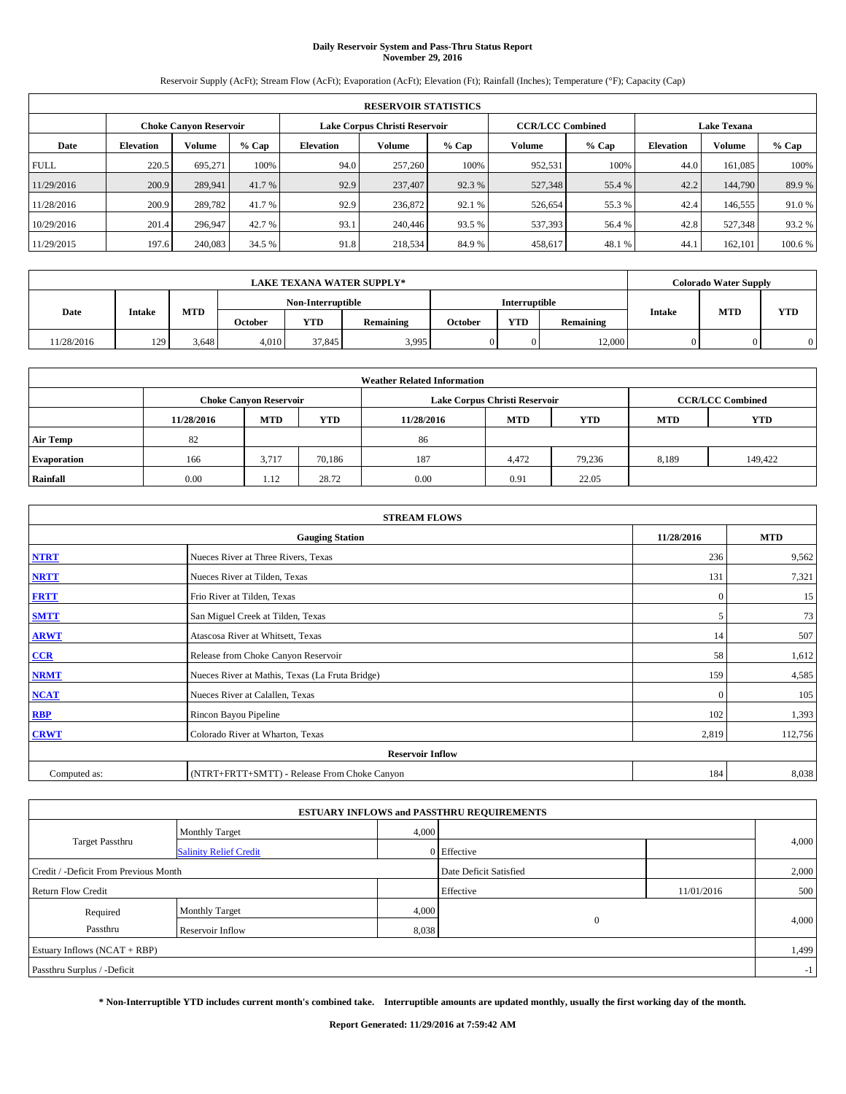# **Daily Reservoir System and Pass-Thru Status Report November 29, 2016**

Reservoir Supply (AcFt); Stream Flow (AcFt); Evaporation (AcFt); Elevation (Ft); Rainfall (Inches); Temperature (°F); Capacity (Cap)

| <b>RESERVOIR STATISTICS</b> |                  |                        |         |                  |                               |         |                         |         |                  |                    |         |  |
|-----------------------------|------------------|------------------------|---------|------------------|-------------------------------|---------|-------------------------|---------|------------------|--------------------|---------|--|
|                             |                  | Choke Canvon Reservoir |         |                  | Lake Corpus Christi Reservoir |         | <b>CCR/LCC Combined</b> |         |                  | <b>Lake Texana</b> |         |  |
| Date                        | <b>Elevation</b> | Volume                 | $%$ Cap | <b>Elevation</b> | <b>Volume</b>                 | $%$ Cap | Volume                  | $%$ Cap | <b>Elevation</b> | <b>Volume</b>      | $%$ Cap |  |
| <b>FULL</b>                 | 220.5            | 695.271                | 100%    | 94.0             | 257,260                       | 100%    | 952.531                 | 100%    | 44.0             | 161.085            | 100%    |  |
| 11/29/2016                  | 200.9            | 289,941                | 41.7 %  | 92.9             | 237,407                       | 92.3 %  | 527,348                 | 55.4 %  | 42.2             | 144,790            | 89.9%   |  |
| 11/28/2016                  | 200.9            | 289,782                | 41.7 %  | 92.9             | 236,872                       | 92.1 %  | 526,654                 | 55.3 %  | 42.4             | 146,555            | 91.0%   |  |
| 10/29/2016                  | 201.4            | 296,947                | 42.7 %  | 93.1             | 240,446                       | 93.5 %  | 537,393                 | 56.4 %  | 42.8             | 527,348            | 93.2 %  |  |
| 11/29/2015                  | 197.6            | 240,083                | 34.5 %  | 91.8             | 218,534                       | 84.9%   | 458,617                 | 48.1 %  | 44.              | 162,101            | 100.6%  |  |

|           | <b>LAKE TEXANA WATER SUPPLY*</b> |       |                |                   |           |         |                      |           |               | <b>Colorado Water Supply</b> |     |
|-----------|----------------------------------|-------|----------------|-------------------|-----------|---------|----------------------|-----------|---------------|------------------------------|-----|
|           |                                  |       |                | Non-Interruptible |           |         | <b>Interruptible</b> |           |               |                              |     |
| Date      | Intake                           | MTD   | <b>October</b> | <b>YTD</b>        | Remaining | October | <b>YTD</b>           | Remaining | <b>Intake</b> | <b>MTD</b>                   | YTD |
| 1/28/2016 | 129                              | 3,648 | 4.010          | 37.845            | 3.995     |         |                      | 12,000    |               |                              |     |

| <b>Weather Related Information</b> |            |                               |            |            |                                        |                         |       |         |  |  |
|------------------------------------|------------|-------------------------------|------------|------------|----------------------------------------|-------------------------|-------|---------|--|--|
|                                    |            | <b>Choke Canyon Reservoir</b> |            |            | Lake Corpus Christi Reservoir          | <b>CCR/LCC Combined</b> |       |         |  |  |
|                                    | 11/28/2016 | <b>MTD</b>                    | <b>YTD</b> | 11/28/2016 | <b>MTD</b><br><b>YTD</b><br><b>MTD</b> |                         |       |         |  |  |
| <b>Air Temp</b>                    | 82         |                               |            | 86         |                                        |                         |       |         |  |  |
| <b>Evaporation</b>                 | 166        | 3,717                         | 70,186     | 187        | 4,472                                  | 79.236                  | 8,189 | 149,422 |  |  |
| Rainfall                           | 0.00       | 1.12                          | 28.72      | 0.00       | 0.91                                   | 22.05                   |       |         |  |  |

| <b>STREAM FLOWS</b> |                                                 |              |         |  |  |  |  |  |
|---------------------|-------------------------------------------------|--------------|---------|--|--|--|--|--|
|                     | 11/28/2016                                      | <b>MTD</b>   |         |  |  |  |  |  |
| <b>NTRT</b>         | Nueces River at Three Rivers, Texas             | 236          | 9,562   |  |  |  |  |  |
| <b>NRTT</b>         | Nueces River at Tilden, Texas                   | 131          | 7,321   |  |  |  |  |  |
| <b>FRTT</b>         | Frio River at Tilden, Texas                     | $\mathbf{0}$ | 15      |  |  |  |  |  |
| <b>SMTT</b>         | San Miguel Creek at Tilden, Texas               | 5            | 73      |  |  |  |  |  |
| <b>ARWT</b>         | Atascosa River at Whitsett, Texas               | 14           | 507     |  |  |  |  |  |
| $CCR$               | Release from Choke Canyon Reservoir             | 58           | 1,612   |  |  |  |  |  |
| <b>NRMT</b>         | Nueces River at Mathis, Texas (La Fruta Bridge) | 159          | 4,585   |  |  |  |  |  |
| <b>NCAT</b>         | Nueces River at Calallen, Texas                 | $\mathbf{0}$ | 105     |  |  |  |  |  |
| RBP                 | Rincon Bayou Pipeline                           | 102          | 1,393   |  |  |  |  |  |
| <b>CRWT</b>         | Colorado River at Wharton, Texas                | 2,819        | 112,756 |  |  |  |  |  |
|                     |                                                 |              |         |  |  |  |  |  |
| Computed as:        | (NTRT+FRTT+SMTT) - Release From Choke Canyon    | 184          | 8,038   |  |  |  |  |  |

| <b>ESTUARY INFLOWS and PASSTHRU REQUIREMENTS</b> |                               |       |                        |            |       |  |  |  |
|--------------------------------------------------|-------------------------------|-------|------------------------|------------|-------|--|--|--|
| <b>Target Passthru</b>                           | Monthly Target                | 4,000 |                        |            |       |  |  |  |
|                                                  | <b>Salinity Relief Credit</b> |       | 0 Effective            |            | 4,000 |  |  |  |
| Credit / -Deficit From Previous Month            |                               |       | Date Deficit Satisfied |            | 2,000 |  |  |  |
| <b>Return Flow Credit</b>                        |                               |       | Effective              | 11/01/2016 | 500   |  |  |  |
| Required                                         | <b>Monthly Target</b>         | 4,000 |                        |            |       |  |  |  |
| Passthru                                         | Reservoir Inflow              | 8,038 | $\theta$               |            | 4,000 |  |  |  |
| Estuary Inflows $(NCAT + RBP)$                   |                               |       |                        |            |       |  |  |  |
| Passthru Surplus / -Deficit                      |                               |       |                        |            |       |  |  |  |